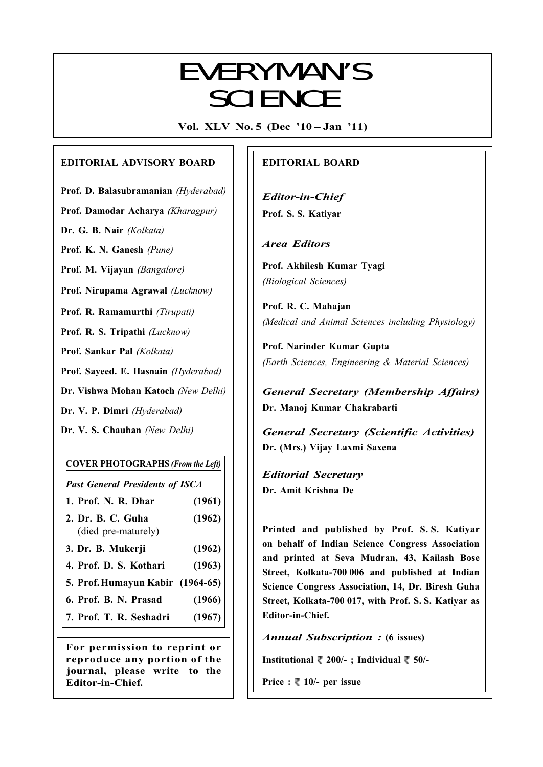## $E$  V $E$   $D$  V $N$   $A$   $A$   $N$   $V$   $C$ EVERYMAN'S **SCIENCE**

Vol. XLV No. 5 (Dec '10 – Jan '11)

#### EDITORIAL ADVISORY BOARD

Prof. D. Balasubramanian (Hyderabad)

Prof. Damodar Acharya (Kharagpur)

Dr. G. B. Nair (Kolkata)

Prof. K. N. Ganesh (Pune)

Prof. M. Vijayan (Bangalore)

Prof. Nirupama Agrawal (Lucknow)

Prof. R. Ramamurthi (Tirupati)

Prof. R. S. Tripathi (Lucknow)

Prof. Sankar Pal (Kolkata)

Prof. Sayeed. E. Hasnain (Hyderabad)

Dr. Vishwa Mohan Katoch (New Delhi)

Dr. V. P. Dimri (Hyderabad)

Dr. V. S. Chauhan (New Delhi)

#### COVER PHOTOGRAPHS (From the Left)

Past General Presidents of ISCA

- 1. Prof. N. R. Dhar (1961)
- 2. Dr. B. C. Guha (1962) (died pre-maturely)
- 3. Dr. B. Mukerji (1962)
- 4. Prof. D. S. Kothari (1963)
- 5. Prof.Humayun Kabir (1964-65)
- 6. Prof. B. N. Prasad (1966)
- 7. Prof. T. R. Seshadri (1967)

For permission to reprint or reproduce any portion of the journal, please write to the Editor-in-Chief.

#### EDITORIAL BOARD

Editor-in-Chief Prof. S. S. Katiyar

Area Editors

Prof. Akhilesh Kumar Tyagi (Biological Sciences)

Prof. R. C. Mahajan (Medical and Animal Sciences including Physiology)

Prof. Narinder Kumar Gupta (Earth Sciences, Engineering & Material Sciences)

General Secretary (Membership Affairs) Dr. Manoj Kumar Chakrabarti

General Secretary (Scientific Activities) Dr. (Mrs.) Vijay Laxmi Saxena

Editorial Secretary Dr. Amit Krishna De

Printed and published by Prof. S. S. Katiyar on behalf of Indian Science Congress Association and printed at Seva Mudran, 43, Kailash Bose Street, Kolkata-700 006 and published at Indian Science Congress Association, 14, Dr. Biresh Guha Street, Kolkata-700 017, with Prof. S. S. Katiyar as Editor-in-Chief.

Annual Subscription : (6 issues)

Institutional  $\bar{\phantom{1}}$  200/-; Individual  $\bar{\phantom{1}}$  50/-

Price :  $\sqrt[m]{ }$  10/- per issue

261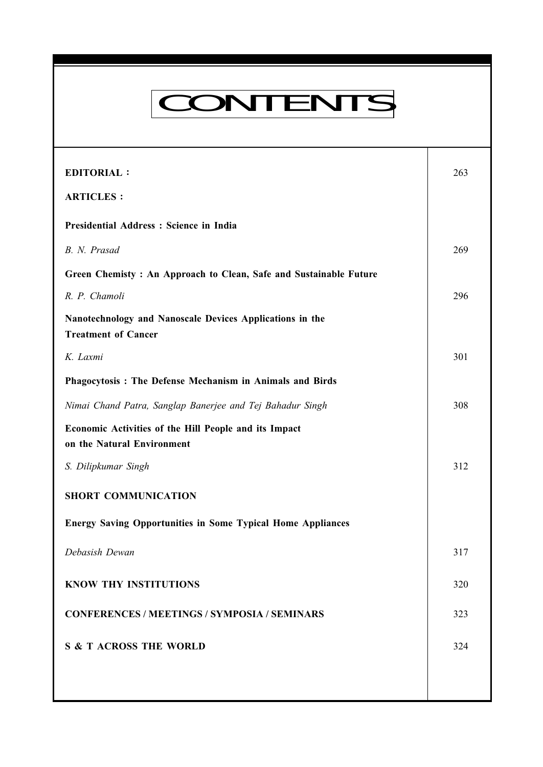# CONTENTS

Everyman's Science VOL. XLV NO. 5, Dec '10 — Jan '11

| <b>EDITORIAL:</b>                                                                      | 263 |
|----------------------------------------------------------------------------------------|-----|
| <b>ARTICLES:</b>                                                                       |     |
| Presidential Address : Science in India                                                |     |
| B. N. Prasad                                                                           | 269 |
| Green Chemisty: An Approach to Clean, Safe and Sustainable Future                      |     |
| R. P. Chamoli                                                                          | 296 |
| Nanotechnology and Nanoscale Devices Applications in the<br><b>Treatment of Cancer</b> |     |
| K. Laxmi                                                                               | 301 |
| Phagocytosis: The Defense Mechanism in Animals and Birds                               |     |
| Nimai Chand Patra, Sanglap Banerjee and Tej Bahadur Singh                              | 308 |
| Economic Activities of the Hill People and its Impact<br>on the Natural Environment    |     |
| S. Dilipkumar Singh                                                                    | 312 |
| <b>SHORT COMMUNICATION</b>                                                             |     |
| <b>Energy Saving Opportunities in Some Typical Home Appliances</b>                     |     |
| Debasish Dewan                                                                         | 317 |
| <b>KNOW THY INSTITUTIONS</b>                                                           | 320 |
| <b>CONFERENCES / MEETINGS / SYMPOSIA / SEMINARS</b>                                    | 323 |
| <b>S &amp; T ACROSS THE WORLD</b>                                                      | 324 |
|                                                                                        |     |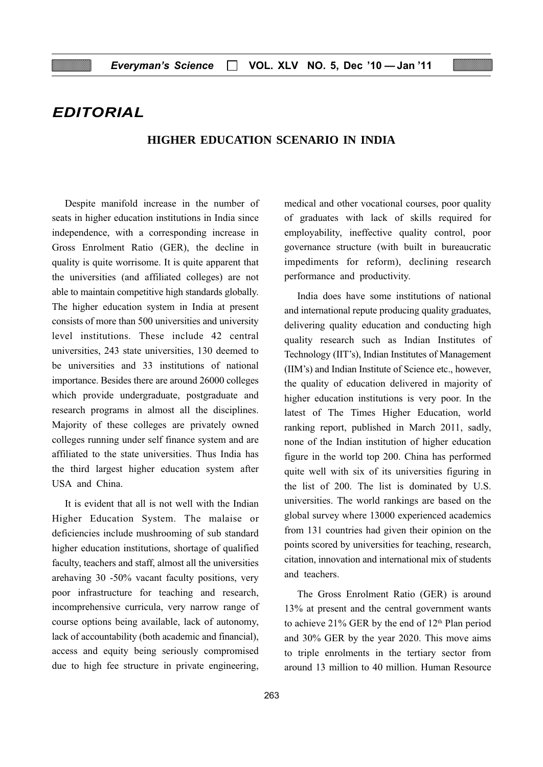## EDITORIAL

#### **HIGHER EDUCATION SCENARIO IN INDIA**

Despite manifold increase in the number of seats in higher education institutions in India since independence, with a corresponding increase in Gross Enrolment Ratio (GER), the decline in quality is quite worrisome. It is quite apparent that the universities (and affiliated colleges) are not able to maintain competitive high standards globally. The higher education system in India at present consists of more than 500 universities and university level institutions. These include 42 central universities, 243 state universities, 130 deemed to be universities and 33 institutions of national importance. Besides there are around 26000 colleges which provide undergraduate, postgraduate and research programs in almost all the disciplines. Majority of these colleges are privately owned colleges running under self finance system and are affiliated to the state universities. Thus India has the third largest higher education system after USA and China.

It is evident that all is not well with the Indian Higher Education System. The malaise or deficiencies include mushrooming of sub standard higher education institutions, shortage of qualified faculty, teachers and staff, almost all the universities arehaving 30 -50% vacant faculty positions, very poor infrastructure for teaching and research, incomprehensive curricula, very narrow range of course options being available, lack of autonomy, lack of accountability (both academic and financial), access and equity being seriously compromised due to high fee structure in private engineering,

medical and other vocational courses, poor quality of graduates with lack of skills required for employability, ineffective quality control, poor governance structure (with built in bureaucratic impediments for reform), declining research performance and productivity.

India does have some institutions of national and international repute producing quality graduates, delivering quality education and conducting high quality research such as Indian Institutes of Technology (IIT's), Indian Institutes of Management (IIM's) and Indian Institute of Science etc., however, the quality of education delivered in majority of higher education institutions is very poor. In the latest of The Times Higher Education, world ranking report, published in March 2011, sadly, none of the Indian institution of higher education figure in the world top 200. China has performed quite well with six of its universities figuring in the list of 200. The list is dominated by U.S. universities. The world rankings are based on the global survey where 13000 experienced academics from 131 countries had given their opinion on the points scored by universities for teaching, research, citation, innovation and international mix of students and teachers.

The Gross Enrolment Ratio (GER) is around 13% at present and the central government wants to achieve 21% GER by the end of  $12<sup>th</sup>$  Plan period and 30% GER by the year 2020. This move aims to triple enrolments in the tertiary sector from around 13 million to 40 million. Human Resource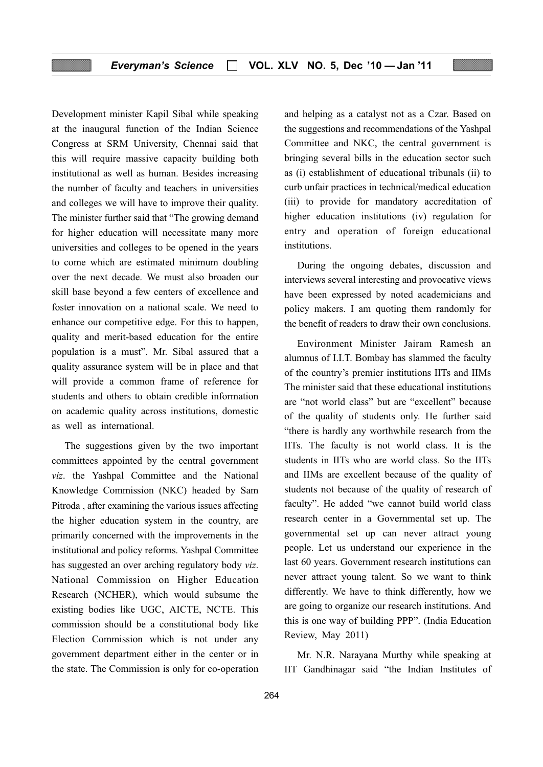Development minister Kapil Sibal while speaking at the inaugural function of the Indian Science Congress at SRM University, Chennai said that this will require massive capacity building both institutional as well as human. Besides increasing the number of faculty and teachers in universities and colleges we will have to improve their quality. The minister further said that "The growing demand for higher education will necessitate many more universities and colleges to be opened in the years to come which are estimated minimum doubling over the next decade. We must also broaden our skill base beyond a few centers of excellence and foster innovation on a national scale. We need to enhance our competitive edge. For this to happen, quality and merit-based education for the entire population is a must". Mr. Sibal assured that a quality assurance system will be in place and that will provide a common frame of reference for students and others to obtain credible information on academic quality across institutions, domestic as well as international.

The suggestions given by the two important committees appointed by the central government viz. the Yashpal Committee and the National Knowledge Commission (NKC) headed by Sam Pitroda , after examining the various issues affecting the higher education system in the country, are primarily concerned with the improvements in the institutional and policy reforms. Yashpal Committee has suggested an over arching regulatory body viz. National Commission on Higher Education Research (NCHER), which would subsume the existing bodies like UGC, AICTE, NCTE. This commission should be a constitutional body like Election Commission which is not under any government department either in the center or in the state. The Commission is only for co-operation

and helping as a catalyst not as a Czar. Based on the suggestions and recommendations of the Yashpal Committee and NKC, the central government is bringing several bills in the education sector such as (i) establishment of educational tribunals (ii) to curb unfair practices in technical/medical education (iii) to provide for mandatory accreditation of higher education institutions (iv) regulation for entry and operation of foreign educational institutions.

During the ongoing debates, discussion and interviews several interesting and provocative views have been expressed by noted academicians and policy makers. I am quoting them randomly for the benefit of readers to draw their own conclusions.

Environment Minister Jairam Ramesh an alumnus of I.I.T. Bombay has slammed the faculty of the country's premier institutions IITs and IIMs The minister said that these educational institutions are "not world class" but are "excellent" because of the quality of students only. He further said "there is hardly any worthwhile research from the IITs. The faculty is not world class. It is the students in IITs who are world class. So the IITs and IIMs are excellent because of the quality of students not because of the quality of research of faculty". He added "we cannot build world class research center in a Governmental set up. The governmental set up can never attract young people. Let us understand our experience in the last 60 years. Government research institutions can never attract young talent. So we want to think differently. We have to think differently, how we are going to organize our research institutions. And this is one way of building PPP". (India Education Review, May 2011)

Mr. N.R. Narayana Murthy while speaking at IIT Gandhinagar said "the Indian Institutes of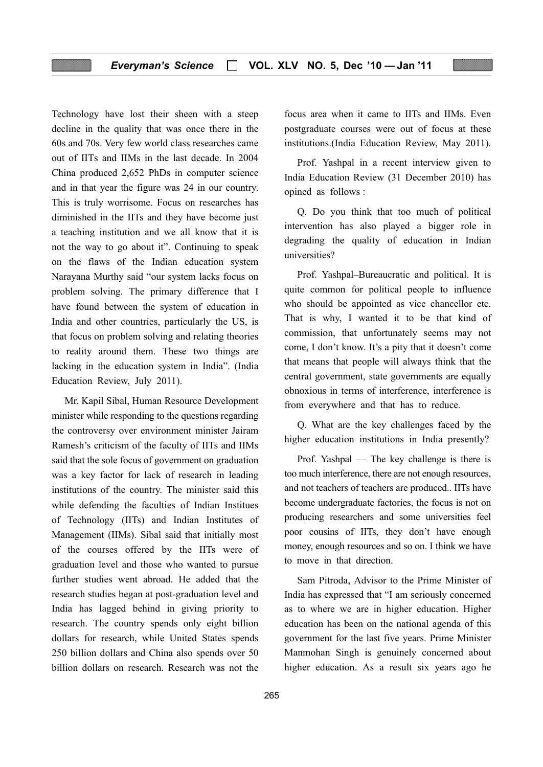#### Everyman's Science  $\Box$  VOL. XLV NO. 5, Dec '10 - Jan '11

Technology have lost their sheen with a steep decline in the quality that was once there in the 60s and 70s. Very few world class researches came out of IITs and IIMs in the last decade. In 2004 China produced 2,652 PhDs in computer science and in that year the figure was 24 in our country. This is truly worrisome. Focus on researches has diminished in the IITs and they have become just a teaching institution and we all know that it is not the way to go about it". Continuing to speak on the flaws of the Indian education system Narayana Murthy said "our system lacks focus on problem solving. The primary difference that I have found between the system of education in India and other countries, particularly the US, is that focus on problem solving and relating theories to reality around them. These two things are lacking in the education system in India". (India Education Review, July 2011).

Mr. Kapil Sibal, Human Resource Development minister while responding to the questions regarding the controversy over environment minister Jairam Ramesh's criticism of the faculty of IITs and IIMs said that the sole focus of government on graduation was a key factor for lack of research in leading institutions of the country. The minister said this while defending the faculties of Indian Institues of Technology (IITs) and Indian Institutes of Management (IIMs). Sibal said that initially most of the courses offered by the IITs were of graduation level and those who wanted to pursue further studies went abroad. He added that the research studies began at post-graduation level and India has lagged behind in giving priority to research. The country spends only eight billion dollars for research, while United States spends 250 billion dollars and China also spends over 50 billion dollars on research. Research was not the

focus area when it came to IITs and IIMs. Even postgraduate courses were out of focus at these institutions.(India Education Review, May 2011).

Prof. Yashpal in a recent interview given to India Education Review (31 December 2010) has opined as follows :

Q. Do you think that too much of political intervention has also played a bigger role in degrading the quality of education in Indian universities?

Prof. Yashpal–Bureaucratic and political. It is quite common for political people to influence who should be appointed as vice chancellor etc. That is why, I wanted it to be that kind of commission, that unfortunately seems may not come, I don't know. It's a pity that it doesn't come that means that people will always think that the central government, state governments are equally obnoxious in terms of interference, interference is from everywhere and that has to reduce.

Q. What are the key challenges faced by the higher education institutions in India presently?

Prof. Yashpal — The key challenge is there is too much interference, there are not enough resources, and not teachers of teachers are produced.. IITs have become undergraduate factories, the focus is not on producing researchers and some universities feel poor cousins of IITs, they don't have enough money, enough resources and so on. I think we have to move in that direction.

Sam Pitroda, Advisor to the Prime Minister of India has expressed that "I am seriously concerned as to where we are in higher education. Higher education has been on the national agenda of this government for the last five years. Prime Minister Manmohan Singh is genuinely concerned about higher education. As a result six years ago he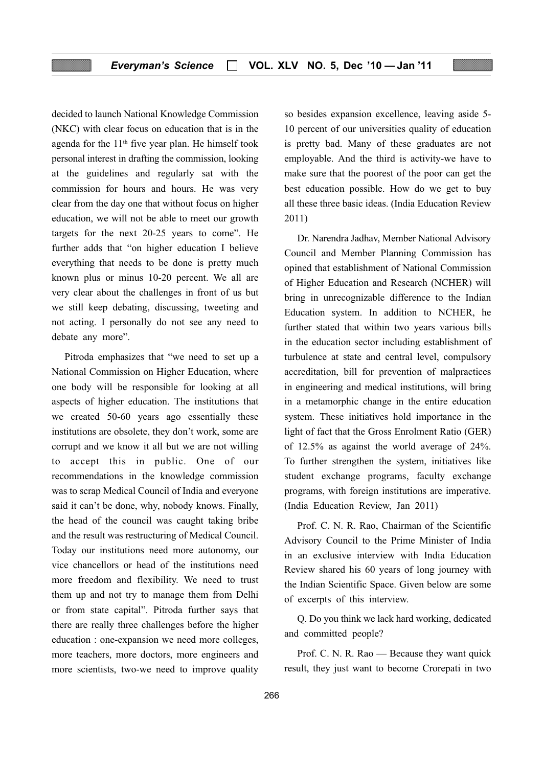decided to launch National Knowledge Commission (NKC) with clear focus on education that is in the agenda for the 11th five year plan. He himself took personal interest in drafting the commission, looking at the guidelines and regularly sat with the commission for hours and hours. He was very clear from the day one that without focus on higher education, we will not be able to meet our growth targets for the next 20-25 years to come". He further adds that "on higher education I believe everything that needs to be done is pretty much known plus or minus 10-20 percent. We all are very clear about the challenges in front of us but we still keep debating, discussing, tweeting and not acting. I personally do not see any need to debate any more".

Pitroda emphasizes that "we need to set up a National Commission on Higher Education, where one body will be responsible for looking at all aspects of higher education. The institutions that we created 50-60 years ago essentially these institutions are obsolete, they don't work, some are corrupt and we know it all but we are not willing to accept this in public. One of our recommendations in the knowledge commission was to scrap Medical Council of India and everyone said it can't be done, why, nobody knows. Finally, the head of the council was caught taking bribe and the result was restructuring of Medical Council. Today our institutions need more autonomy, our vice chancellors or head of the institutions need more freedom and flexibility. We need to trust them up and not try to manage them from Delhi or from state capital". Pitroda further says that there are really three challenges before the higher education : one-expansion we need more colleges, more teachers, more doctors, more engineers and more scientists, two-we need to improve quality

so besides expansion excellence, leaving aside 5- 10 percent of our universities quality of education is pretty bad. Many of these graduates are not employable. And the third is activity-we have to make sure that the poorest of the poor can get the best education possible. How do we get to buy all these three basic ideas. (India Education Review 2011)

Dr. Narendra Jadhav, Member National Advisory Council and Member Planning Commission has opined that establishment of National Commission of Higher Education and Research (NCHER) will bring in unrecognizable difference to the Indian Education system. In addition to NCHER, he further stated that within two years various bills in the education sector including establishment of turbulence at state and central level, compulsory accreditation, bill for prevention of malpractices in engineering and medical institutions, will bring in a metamorphic change in the entire education system. These initiatives hold importance in the light of fact that the Gross Enrolment Ratio (GER) of 12.5% as against the world average of 24%. To further strengthen the system, initiatives like student exchange programs, faculty exchange programs, with foreign institutions are imperative. (India Education Review, Jan 2011)

Prof. C. N. R. Rao, Chairman of the Scientific Advisory Council to the Prime Minister of India in an exclusive interview with India Education Review shared his 60 years of long journey with the Indian Scientific Space. Given below are some of excerpts of this interview.

Q. Do you think we lack hard working, dedicated and committed people?

Prof. C. N. R. Rao — Because they want quick result, they just want to become Crorepati in two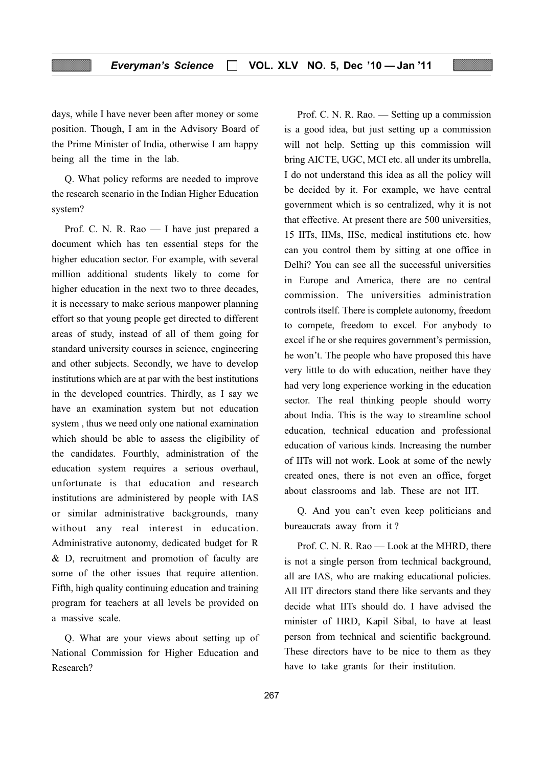#### Everyman's Science  $\Box$  VOL. XLV NO. 5, Dec '10 - Jan '11

days, while I have never been after money or some position. Though, I am in the Advisory Board of the Prime Minister of India, otherwise I am happy being all the time in the lab.

Q. What policy reforms are needed to improve the research scenario in the Indian Higher Education system?

Prof. C. N. R. Rao — I have just prepared a document which has ten essential steps for the higher education sector. For example, with several million additional students likely to come for higher education in the next two to three decades, it is necessary to make serious manpower planning effort so that young people get directed to different areas of study, instead of all of them going for standard university courses in science, engineering and other subjects. Secondly, we have to develop institutions which are at par with the best institutions in the developed countries. Thirdly, as I say we have an examination system but not education system , thus we need only one national examination which should be able to assess the eligibility of the candidates. Fourthly, administration of the education system requires a serious overhaul, unfortunate is that education and research institutions are administered by people with IAS or similar administrative backgrounds, many without any real interest in education. Administrative autonomy, dedicated budget for R & D, recruitment and promotion of faculty are some of the other issues that require attention. Fifth, high quality continuing education and training program for teachers at all levels be provided on a massive scale.

Q. What are your views about setting up of National Commission for Higher Education and Research?

Prof. C. N. R. Rao. — Setting up a commission is a good idea, but just setting up a commission will not help. Setting up this commission will bring AICTE, UGC, MCI etc. all under its umbrella, I do not understand this idea as all the policy will be decided by it. For example, we have central government which is so centralized, why it is not that effective. At present there are 500 universities, 15 IITs, IIMs, IISc, medical institutions etc. how can you control them by sitting at one office in Delhi? You can see all the successful universities in Europe and America, there are no central commission. The universities administration controls itself. There is complete autonomy, freedom to compete, freedom to excel. For anybody to excel if he or she requires government's permission, he won't. The people who have proposed this have very little to do with education, neither have they had very long experience working in the education sector. The real thinking people should worry about India. This is the way to streamline school education, technical education and professional education of various kinds. Increasing the number of IITs will not work. Look at some of the newly created ones, there is not even an office, forget about classrooms and lab. These are not IIT.

Q. And you can't even keep politicians and bureaucrats away from it ?

Prof. C. N. R. Rao — Look at the MHRD, there is not a single person from technical background, all are IAS, who are making educational policies. All IIT directors stand there like servants and they decide what IITs should do. I have advised the minister of HRD, Kapil Sibal, to have at least person from technical and scientific background. These directors have to be nice to them as they have to take grants for their institution.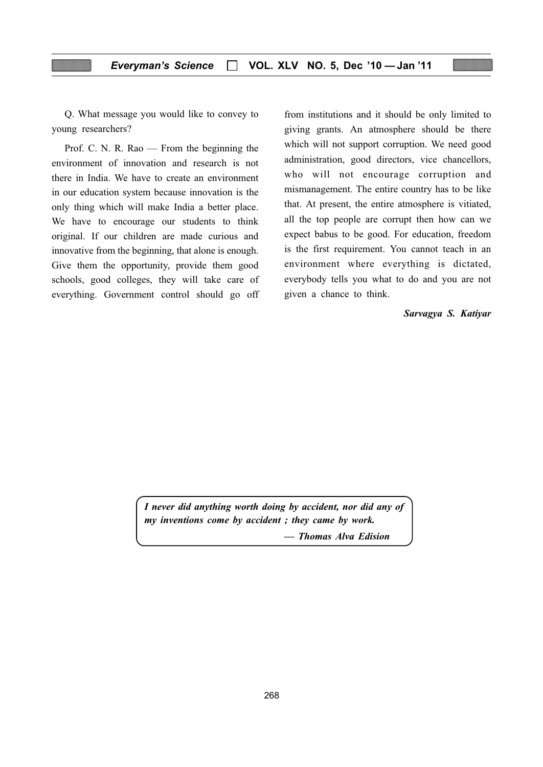Q. What message you would like to convey to young researchers?

Prof. C. N. R. Rao — From the beginning the environment of innovation and research is not there in India. We have to create an environment in our education system because innovation is the only thing which will make India a better place. We have to encourage our students to think original. If our children are made curious and innovative from the beginning, that alone is enough. Give them the opportunity, provide them good schools, good colleges, they will take care of everything. Government control should go off from institutions and it should be only limited to giving grants. An atmosphere should be there which will not support corruption. We need good administration, good directors, vice chancellors, who will not encourage corruption and mismanagement. The entire country has to be like that. At present, the entire atmosphere is vitiated, all the top people are corrupt then how can we expect babus to be good. For education, freedom is the first requirement. You cannot teach in an environment where everything is dictated, everybody tells you what to do and you are not given a chance to think.

#### Sarvagya S. Katiyar

I never did anything worth doing by accident, nor did any of my inventions come by accident ; they came by work.

— Thomas Alva Edision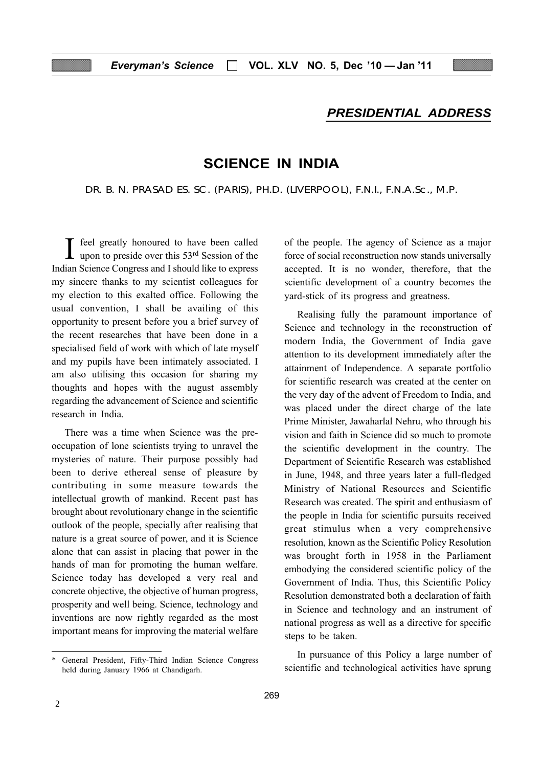#### PRESIDENTIAL ADDRESS

### SCIENCE IN INDIA

DR. B. N. PRASAD ES. SC. (PARIS), PH.D. (LIVERPOOL), F.N.I., F.N.A.Sc., M.P.

 $\prod$  feel greatly honoured to have been called<br>upon to preside over this 53<sup>rd</sup> Session of the Indian Science Congress and I should like to express my sincere thanks to my scientist colleagues for my election to this exalted office. Following the usual convention, I shall be availing of this opportunity to present before you a brief survey of the recent researches that have been done in a specialised field of work with which of late myself and my pupils have been intimately associated. I am also utilising this occasion for sharing my thoughts and hopes with the august assembly regarding the advancement of Science and scientific research in India.

There was a time when Science was the preoccupation of lone scientists trying to unravel the mysteries of nature. Their purpose possibly had been to derive ethereal sense of pleasure by contributing in some measure towards the intellectual growth of mankind. Recent past has brought about revolutionary change in the scientific outlook of the people, specially after realising that nature is a great source of power, and it is Science alone that can assist in placing that power in the hands of man for promoting the human welfare. Science today has developed a very real and concrete objective, the objective of human progress, prosperity and well being. Science, technology and inventions are now rightly regarded as the most important means for improving the material welfare

held during January 1966 at Chandigarh.

of the people. The agency of Science as a major force of social reconstruction now stands universally accepted. It is no wonder, therefore, that the scientific development of a country becomes the yard-stick of its progress and greatness.

Realising fully the paramount importance of Science and technology in the reconstruction of modern India, the Government of India gave attention to its development immediately after the attainment of Independence. A separate portfolio for scientific research was created at the center on the very day of the advent of Freedom to India, and was placed under the direct charge of the late Prime Minister, Jawaharlal Nehru, who through his vision and faith in Science did so much to promote the scientific development in the country. The Department of Scientific Research was established in June, 1948, and three years later a full-fledged Ministry of National Resources and Scientific Research was created. The spirit and enthusiasm of the people in India for scientific pursuits received great stimulus when a very comprehensive resolution, known as the Scientific Policy Resolution was brought forth in 1958 in the Parliament embodying the considered scientific policy of the Government of India. Thus, this Scientific Policy Resolution demonstrated both a declaration of faith in Science and technology and an instrument of national progress as well as a directive for specific steps to be taken.

In pursuance of this Policy a large number of General President, Fifty-Third Indian Science Congress<br>held during January 1966 at Chandigarh. Scientific and technological activities have sprung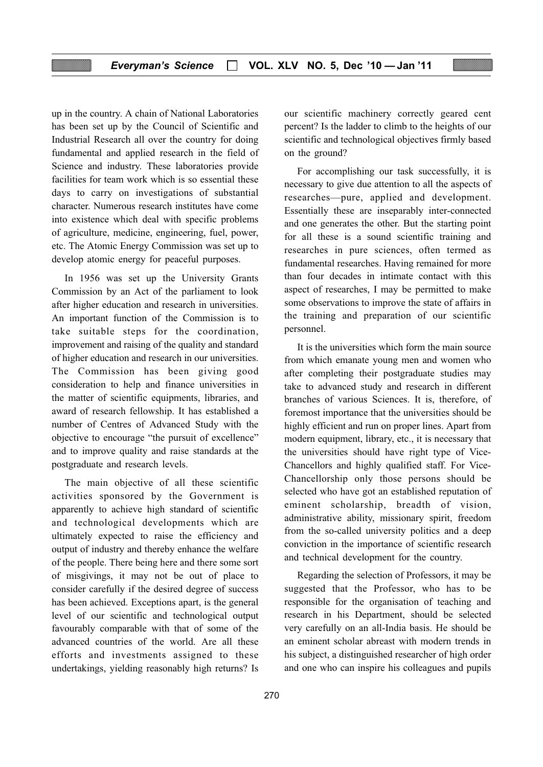up in the country. A chain of National Laboratories has been set up by the Council of Scientific and Industrial Research all over the country for doing fundamental and applied research in the field of Science and industry. These laboratories provide facilities for team work which is so essential these days to carry on investigations of substantial character. Numerous research institutes have come into existence which deal with specific problems of agriculture, medicine, engineering, fuel, power, etc. The Atomic Energy Commission was set up to develop atomic energy for peaceful purposes.

In 1956 was set up the University Grants Commission by an Act of the parliament to look after higher education and research in universities. An important function of the Commission is to take suitable steps for the coordination, improvement and raising of the quality and standard of higher education and research in our universities. The Commission has been giving good consideration to help and finance universities in the matter of scientific equipments, libraries, and award of research fellowship. It has established a number of Centres of Advanced Study with the objective to encourage "the pursuit of excellence" and to improve quality and raise standards at the postgraduate and research levels.

The main objective of all these scientific activities sponsored by the Government is apparently to achieve high standard of scientific and technological developments which are ultimately expected to raise the efficiency and output of industry and thereby enhance the welfare of the people. There being here and there some sort of misgivings, it may not be out of place to consider carefully if the desired degree of success has been achieved. Exceptions apart, is the general level of our scientific and technological output favourably comparable with that of some of the advanced countries of the world. Are all these efforts and investments assigned to these undertakings, yielding reasonably high returns? Is

our scientific machinery correctly geared cent percent? Is the ladder to climb to the heights of our scientific and technological objectives firmly based on the ground?

For accomplishing our task successfully, it is necessary to give due attention to all the aspects of researches—pure, applied and development. Essentially these are inseparably inter-connected and one generates the other. But the starting point for all these is a sound scientific training and researches in pure sciences, often termed as fundamental researches. Having remained for more than four decades in intimate contact with this aspect of researches, I may be permitted to make some observations to improve the state of affairs in the training and preparation of our scientific personnel.

It is the universities which form the main source from which emanate young men and women who after completing their postgraduate studies may take to advanced study and research in different branches of various Sciences. It is, therefore, of foremost importance that the universities should be highly efficient and run on proper lines. Apart from modern equipment, library, etc., it is necessary that the universities should have right type of Vice-Chancellors and highly qualified staff. For Vice-Chancellorship only those persons should be selected who have got an established reputation of eminent scholarship, breadth of vision, administrative ability, missionary spirit, freedom from the so-called university politics and a deep conviction in the importance of scientific research and technical development for the country.

Regarding the selection of Professors, it may be suggested that the Professor, who has to be responsible for the organisation of teaching and research in his Department, should be selected very carefully on an all-India basis. He should be an eminent scholar abreast with modern trends in his subject, a distinguished researcher of high order and one who can inspire his colleagues and pupils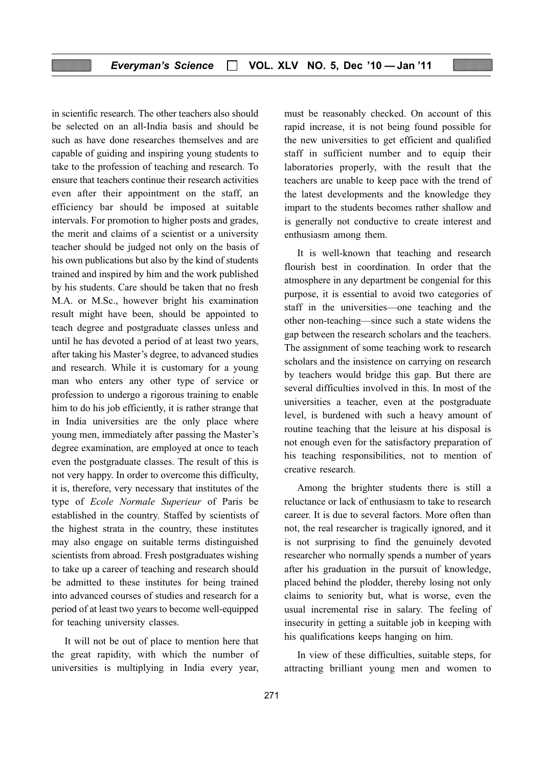in scientific research. The other teachers also should be selected on an all-India basis and should be such as have done researches themselves and are capable of guiding and inspiring young students to take to the profession of teaching and research. To ensure that teachers continue their research activities even after their appointment on the staff, an efficiency bar should be imposed at suitable intervals. For promotion to higher posts and grades, the merit and claims of a scientist or a university teacher should be judged not only on the basis of his own publications but also by the kind of students trained and inspired by him and the work published by his students. Care should be taken that no fresh M.A. or M.Sc., however bright his examination result might have been, should be appointed to teach degree and postgraduate classes unless and until he has devoted a period of at least two years, after taking his Master's degree, to advanced studies and research. While it is customary for a young man who enters any other type of service or profession to undergo a rigorous training to enable him to do his job efficiently, it is rather strange that in India universities are the only place where young men, immediately after passing the Master's degree examination, are employed at once to teach even the postgraduate classes. The result of this is not very happy. In order to overcome this difficulty, it is, therefore, very necessary that institutes of the type of Ecole Normale Superieur of Paris be established in the country. Staffed by scientists of the highest strata in the country, these institutes may also engage on suitable terms distinguished scientists from abroad. Fresh postgraduates wishing to take up a career of teaching and research should be admitted to these institutes for being trained into advanced courses of studies and research for a period of at least two years to become well-equipped for teaching university classes.

It will not be out of place to mention here that the great rapidity, with which the number of universities is multiplying in India every year, must be reasonably checked. On account of this rapid increase, it is not being found possible for the new universities to get efficient and qualified staff in sufficient number and to equip their laboratories properly, with the result that the teachers are unable to keep pace with the trend of the latest developments and the knowledge they impart to the students becomes rather shallow and is generally not conductive to create interest and enthusiasm among them.

It is well-known that teaching and research flourish best in coordination. In order that the atmosphere in any department be congenial for this purpose, it is essential to avoid two categories of staff in the universities—one teaching and the other non-teaching—since such a state widens the gap between the research scholars and the teachers. The assignment of some teaching work to research scholars and the insistence on carrying on research by teachers would bridge this gap. But there are several difficulties involved in this. In most of the universities a teacher, even at the postgraduate level, is burdened with such a heavy amount of routine teaching that the leisure at his disposal is not enough even for the satisfactory preparation of his teaching responsibilities, not to mention of creative research.

Among the brighter students there is still a reluctance or lack of enthusiasm to take to research career. It is due to several factors. More often than not, the real researcher is tragically ignored, and it is not surprising to find the genuinely devoted researcher who normally spends a number of years after his graduation in the pursuit of knowledge, placed behind the plodder, thereby losing not only claims to seniority but, what is worse, even the usual incremental rise in salary. The feeling of insecurity in getting a suitable job in keeping with his qualifications keeps hanging on him.

In view of these difficulties, suitable steps, for attracting brilliant young men and women to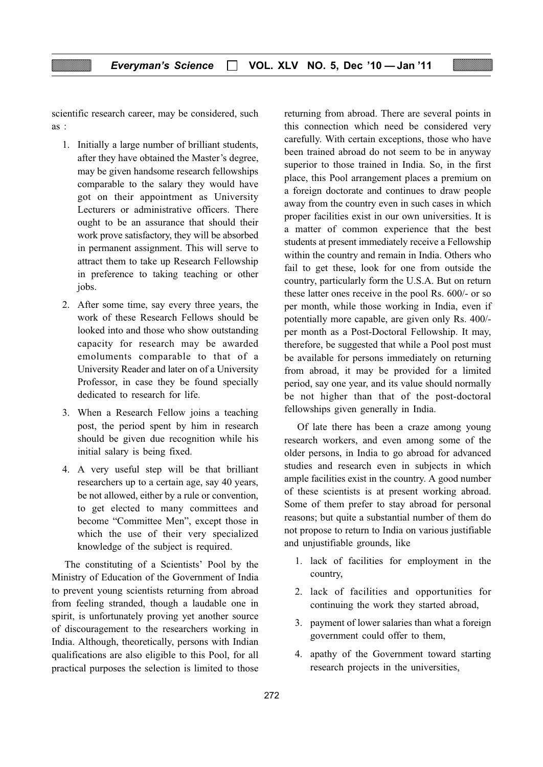scientific research career, may be considered, such as :

- 1. Initially a large number of brilliant students, after they have obtained the Master's degree, may be given handsome research fellowships comparable to the salary they would have got on their appointment as University Lecturers or administrative officers. There ought to be an assurance that should their work prove satisfactory, they will be absorbed in permanent assignment. This will serve to attract them to take up Research Fellowship in preference to taking teaching or other jobs.
- 2. After some time, say every three years, the work of these Research Fellows should be looked into and those who show outstanding capacity for research may be awarded emoluments comparable to that of a University Reader and later on of a University Professor, in case they be found specially dedicated to research for life.
- 3. When a Research Fellow joins a teaching post, the period spent by him in research should be given due recognition while his initial salary is being fixed.
- 4. A very useful step will be that brilliant researchers up to a certain age, say 40 years, be not allowed, either by a rule or convention, to get elected to many committees and become "Committee Men", except those in which the use of their very specialized knowledge of the subject is required.

The constituting of a Scientists' Pool by the Ministry of Education of the Government of India to prevent young scientists returning from abroad from feeling stranded, though a laudable one in spirit, is unfortunately proving yet another source of discouragement to the researchers working in India. Although, theoretically, persons with Indian qualifications are also eligible to this Pool, for all practical purposes the selection is limited to those

returning from abroad. There are several points in this connection which need be considered very carefully. With certain exceptions, those who have been trained abroad do not seem to be in anyway superior to those trained in India. So, in the first place, this Pool arrangement places a premium on a foreign doctorate and continues to draw people away from the country even in such cases in which proper facilities exist in our own universities. It is a matter of common experience that the best students at present immediately receive a Fellowship within the country and remain in India. Others who fail to get these, look for one from outside the country, particularly form the U.S.A. But on return these latter ones receive in the pool Rs. 600/- or so per month, while those working in India, even if potentially more capable, are given only Rs. 400/ per month as a Post-Doctoral Fellowship. It may, therefore, be suggested that while a Pool post must be available for persons immediately on returning from abroad, it may be provided for a limited period, say one year, and its value should normally be not higher than that of the post-doctoral fellowships given generally in India.

Of late there has been a craze among young research workers, and even among some of the older persons, in India to go abroad for advanced studies and research even in subjects in which ample facilities exist in the country. A good number of these scientists is at present working abroad. Some of them prefer to stay abroad for personal reasons; but quite a substantial number of them do not propose to return to India on various justifiable and unjustifiable grounds, like

- 1. lack of facilities for employment in the country,
- 2. lack of facilities and opportunities for continuing the work they started abroad,
- 3. payment of lower salaries than what a foreign government could offer to them,
- 4. apathy of the Government toward starting research projects in the universities,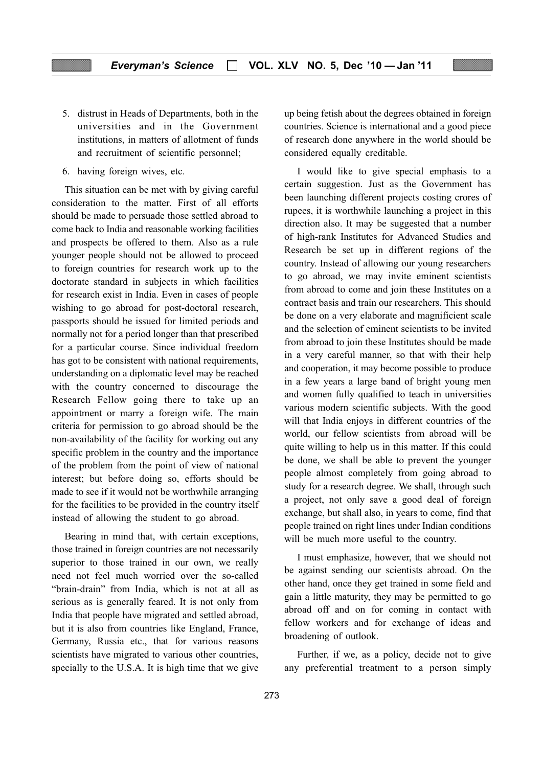- 5. distrust in Heads of Departments, both in the universities and in the Government institutions, in matters of allotment of funds and recruitment of scientific personnel;
- 6. having foreign wives, etc.

This situation can be met with by giving careful consideration to the matter. First of all efforts should be made to persuade those settled abroad to come back to India and reasonable working facilities and prospects be offered to them. Also as a rule younger people should not be allowed to proceed to foreign countries for research work up to the doctorate standard in subjects in which facilities for research exist in India. Even in cases of people wishing to go abroad for post-doctoral research, passports should be issued for limited periods and normally not for a period longer than that prescribed for a particular course. Since individual freedom has got to be consistent with national requirements, understanding on a diplomatic level may be reached with the country concerned to discourage the Research Fellow going there to take up an appointment or marry a foreign wife. The main criteria for permission to go abroad should be the non-availability of the facility for working out any specific problem in the country and the importance of the problem from the point of view of national interest; but before doing so, efforts should be made to see if it would not be worthwhile arranging for the facilities to be provided in the country itself instead of allowing the student to go abroad.

Bearing in mind that, with certain exceptions, those trained in foreign countries are not necessarily superior to those trained in our own, we really need not feel much worried over the so-called "brain-drain" from India, which is not at all as serious as is generally feared. It is not only from India that people have migrated and settled abroad, but it is also from countries like England, France, Germany, Russia etc., that for various reasons scientists have migrated to various other countries, specially to the U.S.A. It is high time that we give up being fetish about the degrees obtained in foreign countries. Science is international and a good piece of research done anywhere in the world should be considered equally creditable.

I would like to give special emphasis to a certain suggestion. Just as the Government has been launching different projects costing crores of rupees, it is worthwhile launching a project in this direction also. It may be suggested that a number of high-rank Institutes for Advanced Studies and Research be set up in different regions of the country. Instead of allowing our young researchers to go abroad, we may invite eminent scientists from abroad to come and join these Institutes on a contract basis and train our researchers. This should be done on a very elaborate and magnificient scale and the selection of eminent scientists to be invited from abroad to join these Institutes should be made in a very careful manner, so that with their help and cooperation, it may become possible to produce in a few years a large band of bright young men and women fully qualified to teach in universities various modern scientific subjects. With the good will that India enjoys in different countries of the world, our fellow scientists from abroad will be quite willing to help us in this matter. If this could be done, we shall be able to prevent the younger people almost completely from going abroad to study for a research degree. We shall, through such a project, not only save a good deal of foreign exchange, but shall also, in years to come, find that people trained on right lines under Indian conditions will be much more useful to the country.

I must emphasize, however, that we should not be against sending our scientists abroad. On the other hand, once they get trained in some field and gain a little maturity, they may be permitted to go abroad off and on for coming in contact with fellow workers and for exchange of ideas and broadening of outlook.

Further, if we, as a policy, decide not to give any preferential treatment to a person simply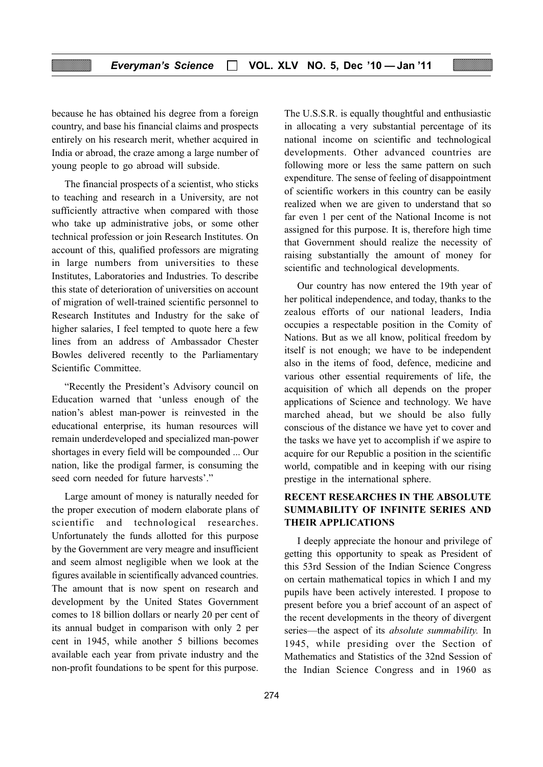because he has obtained his degree from a foreign country, and base his financial claims and prospects entirely on his research merit, whether acquired in India or abroad, the craze among a large number of young people to go abroad will subside.

The financial prospects of a scientist, who sticks to teaching and research in a University, are not sufficiently attractive when compared with those who take up administrative jobs, or some other technical profession or join Research Institutes. On account of this, qualified professors are migrating in large numbers from universities to these Institutes, Laboratories and Industries. To describe this state of deterioration of universities on account of migration of well-trained scientific personnel to Research Institutes and Industry for the sake of higher salaries, I feel tempted to quote here a few lines from an address of Ambassador Chester Bowles delivered recently to the Parliamentary Scientific Committee.

"Recently the President's Advisory council on Education warned that 'unless enough of the nation's ablest man-power is reinvested in the educational enterprise, its human resources will remain underdeveloped and specialized man-power shortages in every field will be compounded ... Our nation, like the prodigal farmer, is consuming the seed corn needed for future harvests'."

Large amount of money is naturally needed for the proper execution of modern elaborate plans of scientific and technological researches. Unfortunately the funds allotted for this purpose by the Government are very meagre and insufficient and seem almost negligible when we look at the figures available in scientifically advanced countries. The amount that is now spent on research and development by the United States Government comes to 18 billion dollars or nearly 20 per cent of its annual budget in comparison with only 2 per cent in 1945, while another 5 billions becomes available each year from private industry and the non-profit foundations to be spent for this purpose.

The U.S.S.R. is equally thoughtful and enthusiastic in allocating a very substantial percentage of its national income on scientific and technological developments. Other advanced countries are following more or less the same pattern on such expenditure. The sense of feeling of disappointment of scientific workers in this country can be easily realized when we are given to understand that so far even 1 per cent of the National Income is not assigned for this purpose. It is, therefore high time that Government should realize the necessity of raising substantially the amount of money for scientific and technological developments.

Our country has now entered the 19th year of her political independence, and today, thanks to the zealous efforts of our national leaders, India occupies a respectable position in the Comity of Nations. But as we all know, political freedom by itself is not enough; we have to be independent also in the items of food, defence, medicine and various other essential requirements of life, the acquisition of which all depends on the proper applications of Science and technology. We have marched ahead, but we should be also fully conscious of the distance we have yet to cover and the tasks we have yet to accomplish if we aspire to acquire for our Republic a position in the scientific world, compatible and in keeping with our rising prestige in the international sphere.

#### RECENT RESEARCHES IN THE ABSOLUTE SUMMABILITY OF INFINITE SERIES AND THEIR APPLICATIONS

I deeply appreciate the honour and privilege of getting this opportunity to speak as President of this 53rd Session of the Indian Science Congress on certain mathematical topics in which I and my pupils have been actively interested. I propose to present before you a brief account of an aspect of the recent developments in the theory of divergent series—the aspect of its *absolute summability*. In 1945, while presiding over the Section of Mathematics and Statistics of the 32nd Session of the Indian Science Congress and in 1960 as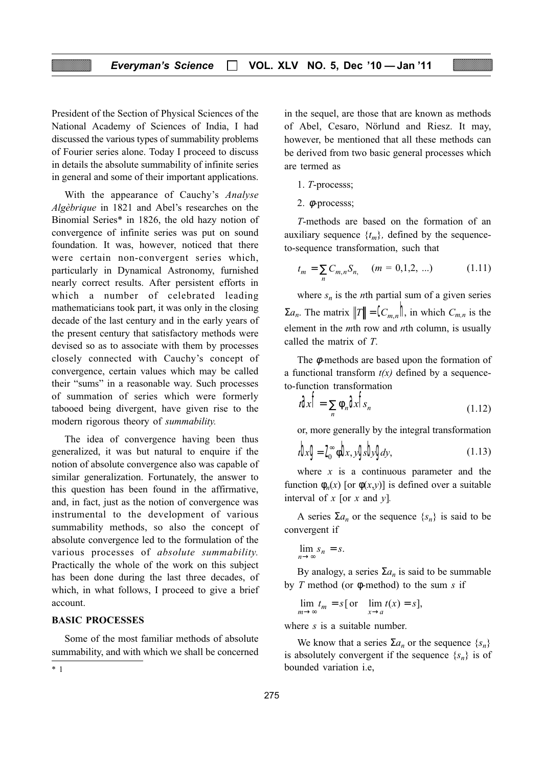President of the Section of Physical Sciences of the National Academy of Sciences of India, I had discussed the various types of summability problems of Fourier series alone. Today I proceed to discuss in details the absolute summability of infinite series in general and some of their important applications.

With the appearance of Cauchy's Analyse Algèbrique in 1821 and Abel's researches on the Binomial Series\* in 1826, the old hazy notion of convergence of infinite series was put on sound foundation. It was, however, noticed that there were certain non-convergent series which, particularly in Dynamical Astronomy, furnished nearly correct results. After persistent efforts in which a number of celebrated leading mathematicians took part, it was only in the closing decade of the last century and in the early years of the present century that satisfactory methods were devised so as to associate with them by processes closely connected with Cauchy's concept of convergence, certain values which may be called their "sums" in a reasonable way. Such processes of summation of series which were formerly tabooed being divergent, have given rise to the modern rigorous theory of summability.

The idea of convergence having been thus generalized, it was but natural to enquire if the notion of absolute convergence also was capable of similar generalization. Fortunately, the answer to this question has been found in the affirmative, and, in fact, just as the notion of convergence was instrumental to the development of various summability methods, so also the concept of absolute convergence led to the formulation of the various processes of absolute summability. Practically the whole of the work on this subject has been done during the last three decades, of which, in what follows, I proceed to give a brief account.

#### BASIC PROCESSES

Some of the most familiar methods of absolute summability, and with which we shall be concerned in the sequel, are those that are known as methods of Abel, Cesaro, Nörlund and Riesz. It may, however, be mentioned that all these methods can be derived from two basic general processes which are termed as

- 1. T-processs;
- 2. φ-processs;

T-methods are based on the formation of an auxiliary sequence  $\{t_m\}$ , defined by the sequenceto-sequence transformation, such that

$$
t_m = \sum_{n} C_{m,n} S_{n,} \quad (m = 0, 1, 2, \ldots) \tag{1.11}
$$

where  $s_n$  is the *n*th partial sum of a given series  $\Sigma a_n$ . The matrix  $||T|| = \mathbb{C}_{m,n}$ ,  $||\mathbf{r}||$  in which  $C_{m,n}$  is the element in the  $m$ th row and  $n$ th column, is usually called the matrix of T.

The φ-methods are based upon the formation of a functional transform  $t(x)$  defined by a sequenceto-function transformation

$$
t\mathbf{a}\mathbf{b} = \sum_{n} \phi_n \mathbf{a}\mathbf{b}\mathbf{b}_n \tag{1.12}
$$

or, more generally by the integral transformation

$$
t\mathbf{b}x\mathbf{g} = \mathbf{I}_0^\infty \phi \mathbf{b}x, y\mathbf{g}x\mathbf{b}y\mathbf{g}dy, \qquad (1.13)
$$

where  $x$  is a continuous parameter and the function  $\phi_n(x)$  [or  $\phi(x,y)$ ] is defined over a suitable interval of  $x$  [or  $x$  and  $y$ ].

A series  $\Sigma a_n$  or the sequence  $\{s_n\}$  is said to be convergent if

$$
\lim_{n \to \infty} s_n = s.
$$

By analogy, a series  $\Sigma a_n$  is said to be summable by T method (or  $\phi$ -method) to the sum s if

$$
\lim_{m \to \infty} t_m = s \text{ [ or } \lim_{x \to a} t(x) = s \text{],}
$$

where s is a suitable number.

We know that a series  $\Sigma a_n$  or the sequence  $\{s_n\}$ is absolutely convergent if the sequence  $\{s_n\}$  is of \* 1 bounded variation i.e,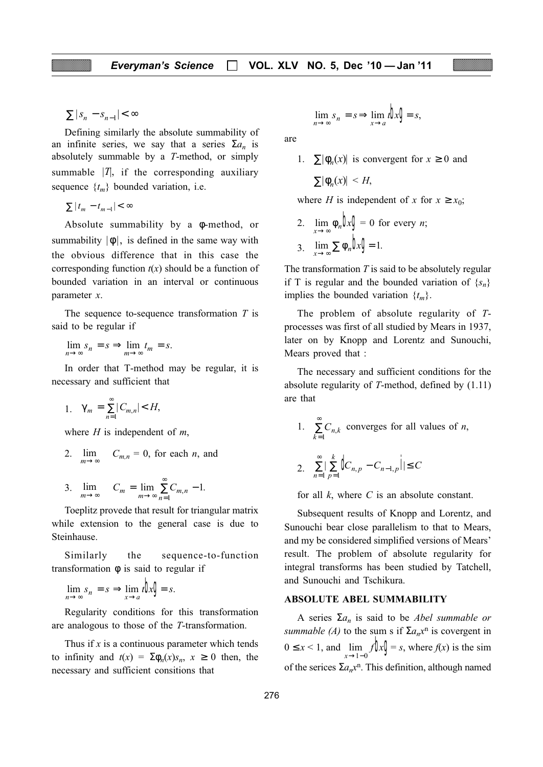$\sum |S_n - S_{n-1}| < \infty$ 

Defining similarly the absolute summability of an infinite series, we say that a series  $\Sigma a_n$  is absolutely summable by a T-method, or simply summable  $|T|$ , if the corresponding auxiliary sequence  $\{t_m\}$  bounded variation, i.e.

$$
\sum |t_m - t_{m-1}| < \infty
$$

Absolute summability by a φ-method, or summability  $|\phi|$ , is defined in the same way with the obvious difference that in this case the corresponding function  $t(x)$  should be a function of bounded variation in an interval or continuous parameter x.

The sequence to-sequence transformation  $T$  is said to be regular if

 $\lim_{n \to \infty} s_n = s \Rightarrow \lim_{m \to \infty} t_m = s.$ 

In order that T-method may be regular, it is necessary and sufficient that

1.  $\gamma_m = \sum_{n=1}^{\infty} |C_{m,n}| < H$ =  $\sum_{n=1}^{\infty} |C_{m,n}| < H,$ 

where  $H$  is independent of  $m$ ,

- 2.  $\lim_{m\to\infty}$  $C_{m,n} = 0$ , for each *n*, and
- 3.  $\lim_{m \to \infty} C_m = \lim_{m \to \infty} \sum_{n=1}^{\infty} C_{m,n} 1.$

Toeplitz provede that result for triangular matrix while extension to the general case is due to Steinhause.

Similarly the sequence-to-function transformation φ is said to regular if

$$
\lim_{n \to \infty} s_n = s \implies \lim_{x \to a} t \mathbf{b} x \mathbf{g} = s.
$$

Regularity conditions for this transformation are analogous to those of the T-transformation.

Thus if  $x$  is a continuous parameter which tends to infinity and  $t(x) = \sum \phi_n(x) s_n$ ,  $x \ge 0$  then, the necessary and sufficient consitions that

$$
\lim_{n \to \infty} s_n = s \Longrightarrow \lim_{x \to a} t \mathbf{b} x \mathbf{g} = s,
$$

are

1.  $\sum |\phi_n(x)|$  is convergent for  $x \ge 0$  and  $\sum |\phi_n(x)| \leq H$ 

where H is independent of x for  $x \ge x_0$ ;

2. 
$$
\lim_{x \to \infty} \phi_n \mathbf{b}x \mathbf{g} = 0 \text{ for every } n;
$$
  
3. 
$$
\lim_{x \to \infty} \sum \phi_n \mathbf{b}x \mathbf{g} = 1.
$$

The transformation  $T$  is said to be absolutely regular if T is regular and the bounded variation of  $\{s_n\}$ implies the bounded variation  $\{t_m\}$ .

The problem of absolute regularity of Tprocesses was first of all studied by Mears in 1937, later on by Knopp and Lorentz and Sunouchi, Mears proved that :

The necessary and sufficient conditions for the absolute regularity of T-method, defined by (1.11) are that

1. 
$$
\sum_{k=1}^{\infty} C_{n,k}
$$
 converges for all values of *n*,  
2. 
$$
\sum_{n=1}^{\infty} \sum_{p=1}^{k} \oint_{n,p} -C_{n-1,p} \oint_{1} \leq C
$$

for all  $k$ , where  $C$  is an absolute constant.

Subsequent results of Knopp and Lorentz, and Sunouchi bear close parallelism to that to Mears, and my be considered simplified versions of Mears' result. The problem of absolute regularity for integral transforms has been studied by Tatchell, and Sunouchi and Tschikura.

#### ABSOLUTE ABEL SUMMABILITY

A series  $\Sigma a_n$  is said to be *Abel summable or* summable (A) to the sum s if  $\Sigma a_n x^n$  is covergent in  $0 \le x < 1$ , and  $\lim_{x \to 1-0} f(x) = s$ , where  $f(x)$  is the sim of the serices  $\Sigma a_n x^n$ . This definition, although named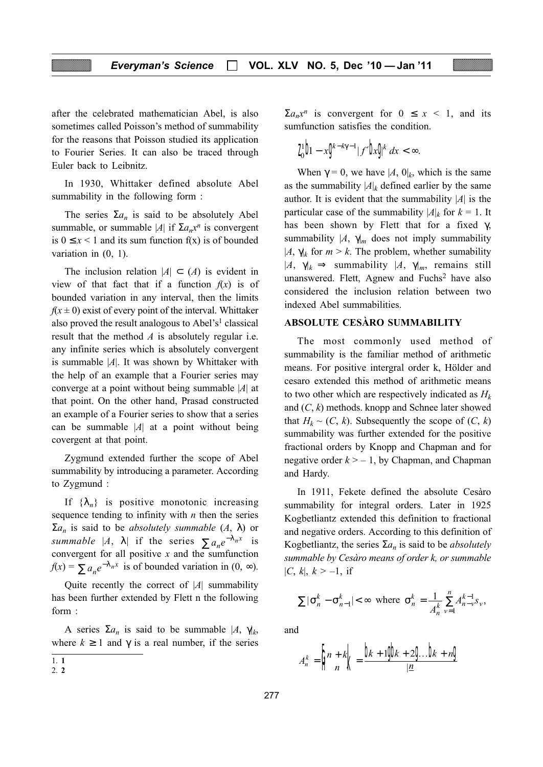after the celebrated mathematician Abel, is also sometimes called Poisson's method of summability for the reasons that Poisson studied its application to Fourier Series. It can also be traced through Euler back to Leibnitz.

In 1930, Whittaker defined absolute Abel summability in the following form :

The series  $\Sigma a_n$  is said to be absolutely Abel summable, or summable |A| if  $\Sigma a_n x^n$  is convergent is  $0 \leq x \leq 1$  and its sum function f(x) is of bounded variation in (0, 1).

The inclusion relation  $|A| \subset (A)$  is evident in view of that fact that if a function  $f(x)$  is of bounded variation in any interval, then the limits  $f(x \pm 0)$  exist of every point of the interval. Whittaker also proved the result analogous to Abel's<sup>1</sup> classical result that the method  $A$  is absolutely regular i.e. any infinite series which is absolutely convergent is summable  $|A|$ . It was shown by Whittaker with the help of an example that a Fourier series may converge at a point without being summable  $|A|$  at that point. On the other hand, Prasad constructed an example of a Fourier series to show that a series can be summable  $|A|$  at a point without being covergent at that point.

Zygmund extended further the scope of Abel summability by introducing a parameter. According to Zygmund :

If  $\{\lambda_n\}$  is positive monotonic increasing sequence tending to infinity with  $n$  then the series  $\Sigma a_n$  is said to be *absolutely summable*  $(A, \lambda)$  or summable |A,  $\lambda$ | if the series  $\sum a_n e^{-\lambda_n x}$  is convergent for all positive  $x$  and the sumfunction  $f(x) = \sum a_n e^{-\lambda_n x}$  is of bounded variation in  $(0, \infty)$ .

Quite recently the correct of  $|A|$  summability has been further extended by Flett n the following form :

A series  $\Sigma a_n$  is said to be summable  $|A, \gamma|_k$ , where  $k \ge 1$  and  $\gamma$  is a real number, if the series  $\sum a_n x^n$  is convergent for  $0 \le x \le 1$ , and its sumfunction satisfies the condition.

$$
I_0^1\bm b - x \bm g^{\epsilon - k\gamma-1} |f'\bm b x \bm g^k \ dx < \infty.
$$

When  $\gamma = 0$ , we have  $|A, 0|_k$ , which is the same as the summability  $|A|_k$  defined earlier by the same author. It is evident that the summability  $|A|$  is the particular case of the summability  $|A|_k$  for  $k = 1$ . It has been shown by Flett that for a fixed  $\gamma$ , summability  $|A, \gamma|_m$  does not imply summability  $|A, \gamma|_k$  for  $m > k$ . The problem, whether sumability  $|A, \gamma|_k \Rightarrow$  summability  $|A, \gamma|_m$ , remains still unanswered. Flett, Agnew and Fuchs<sup>2</sup> have also considered the inclusion relation between two indexed Abel summabilities.

#### ABSOLUTE CESÀRO SUMMABILITY

The most commonly used method of summability is the familiar method of arithmetic means. For positive intergral order k, Hölder and cesaro extended this method of arithmetic means to two other which are respectively indicated as  $H_k$ and  $(C, k)$  methods. knopp and Schnee later showed that  $H_k \sim (C, k)$ . Subsequently the scope of  $(C, k)$ summability was further extended for the positive fractional orders by Knopp and Chapman and for negative order  $k > -1$ , by Chapman, and Chapman and Hardy.

In 1911, Fekete defined the absolute Cesàro summability for integral orders. Later in 1925 Kogbetliantz extended this definition to fractional and negative orders. According to this definition of Kogbetliantz, the series  $\Sigma a_n$  is said to be *absolutely* summable by Cesàro means of order k, or summable  $|C, k|, k > -1$ , if

$$
\sum |\sigma_n^k - \sigma_{n-1}^k| < \infty \text{ where } \sigma_n^k = \frac{1}{A_n^k} \sum_{\nu=1}^n A_{n-\nu}^{k-1} s_\nu,
$$

and

$$
A_n^k = \left\| \frac{n+k}{n} \right\| = \frac{\left| \frac{n}{k+1} \right\| + 2 \cdot \left| \frac{n}{k+n} \right|}{\left| \frac{n}{k+1} \right|}
$$

<sup>1.</sup> 1

<sup>2.</sup> 2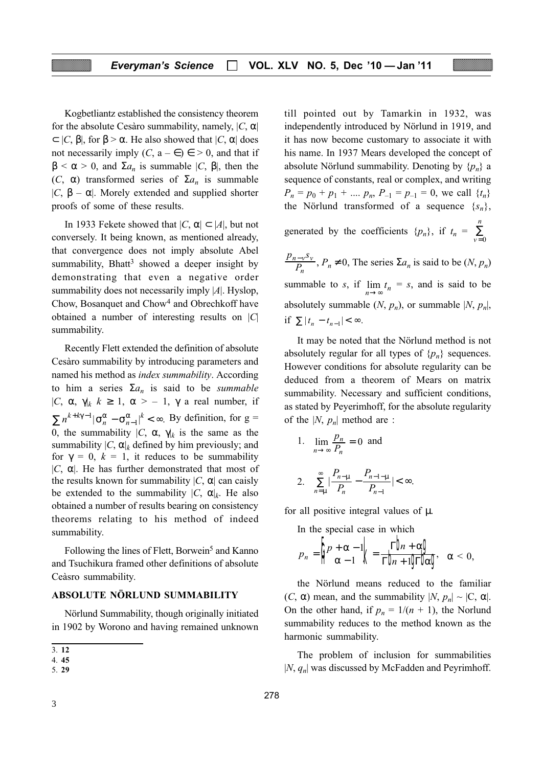Kogbetliantz established the consistency theorem for the absolute Cesàro summability, namely,  $|C, \alpha|$  $\subset$  |C,  $\beta$ |, for  $\beta$  >  $\alpha$ . He also showed that  $|C, \alpha|$  does not necessarily imply  $(C, a - \epsilon) \in > 0$ , and that if  $\beta < \alpha > 0$ , and  $\Sigma a_n$  is summable  $|C, \beta|$ , then the (C,  $\alpha$ ) transformed series of  $\Sigma a_n$  is summable | $C, \beta - \alpha$ |. Morely extended and supplied shorter proofs of some of these results.

In 1933 Fekete showed that  $|C, \alpha| \subset |A|$ , but not conversely. It being known, as mentioned already, that convergence does not imply absolute Abel summability, Bhatt<sup>3</sup> showed a deeper insight by demonstrating that even a negative order summability does not necessarily imply |A|. Hyslop, Chow, Bosanquet and Chow4 and Obrechkoff have obtained a number of interesting results on  $|C|$ summability.

Recently Flett extended the definition of absolute Cesàro summability by introducing parameters and named his method as index summability. According to him a series  $\Sigma a_n$  is said to be *summable* |C,  $\alpha$ ,  $\gamma$ |k  $k \geq 1$ ,  $\alpha > -1$ ,  $\gamma$  a real number, if  $\sum n^{k+k\gamma-1} |\sigma_n^{\alpha} - \sigma_{n-1}^{\alpha}|^k < \infty$ . By definition, for  $g =$ 0, the summability  $|C, \alpha, \gamma|$  is the same as the summability  $|C, \alpha|_k$  defined by him previously; and for  $\gamma = 0$ ,  $k = 1$ , it reduces to be summability | $C$ ,  $\alpha$ |. He has further demonstrated that most of the results known for summability  $|C, \alpha|$  can caisly be extended to the summability  $|C, \alpha|_k$ . He also obtained a number of results bearing on consistency theorems relating to his method of indeed summability.

Following the lines of Flett, Borwein<sup>5</sup> and Kanno and Tsuchikura framed other definitions of absolute Ceàsro summability.

#### ABSOLUTE NÖRLUND SUMMABILITY

Nörlund Summability, though originally initiated in 1902 by Worono and having remained unknown till pointed out by Tamarkin in 1932, was independently introduced by Nörlund in 1919, and it has now become customary to associate it with his name. In 1937 Mears developed the concept of absolute Nörlund summability. Denoting by  $\{p_n\}$  a sequence of constants, real or complex, and writing  $P_n = p_0 + p_1 + \dots p_n$ ,  $P_{-1} = p_{-1} = 0$ , we call  $\{t_n\}$ the Nörlund transformed of a sequence  $\{s_n\}$ ,

generated by the coefficients  $\{p_n\}$ , if  $t_n = \frac{1}{\nu}$  $\boldsymbol{n}$ = ∑  $\boldsymbol{0}$ 

 $p_{n-v}$ s  $P_{_{\!I}}$  $n-v^{\mathcal{S}}v$  $\frac{-v^3v}{P_n}$ ,  $P_n \neq 0$ , The series  $\Sigma a_n$  is said to be  $(N, p_n)$ summable to s, if  $\lim_{n \to \infty} t_n = s$ , and is said to be absolutely summable  $(N, p_n)$ , or summable  $|N, p_n|$ , if  $\sum |t_n - t_{n-1}| < \infty$ .

It may be noted that the Nörlund method is not absolutely regular for all types of  $\{p_n\}$  sequences. However conditions for absolute regularity can be deduced from a theorem of Mears on matrix summability. Necessary and sufficient conditions, as stated by Peyerimhoff, for the absolute regularity of the  $|N, p_n|$  method are :

1. 
$$
\lim_{n \to \infty} \frac{p_n}{P_n} = 0
$$
 and  
\n2.  $\sum_{n=\mu}^{\infty} \left| \frac{P_{n-\mu}}{P_n} - \frac{P_{n-1-\mu}}{P_{n-1}} \right| < \infty$ .

for all positive integral values of µ.

In the special case in which

$$
p_n = \left\| \rho + \alpha - 1 \right\|_2 = \frac{\Gamma \mathbf{b}_n + \alpha \mathbf{d}}{\Gamma \mathbf{b}_n + 10 \Gamma \mathbf{b}_n} \quad \alpha < 0,
$$

the Nörlund means reduced to the familiar  $(C, \alpha)$  mean, and the summability  $|N, p_n| \sim |C, \alpha|$ . On the other hand, if  $p_n = 1/(n + 1)$ , the Norlund summability reduces to the method known as the harmonic summability.

The problem of inclusion for summabilities  $|N, q_n|$  was discussed by McFadden and Peyrimhoff.

<sup>3.</sup> 12

<sup>4.</sup> 45

<sup>5.</sup> 29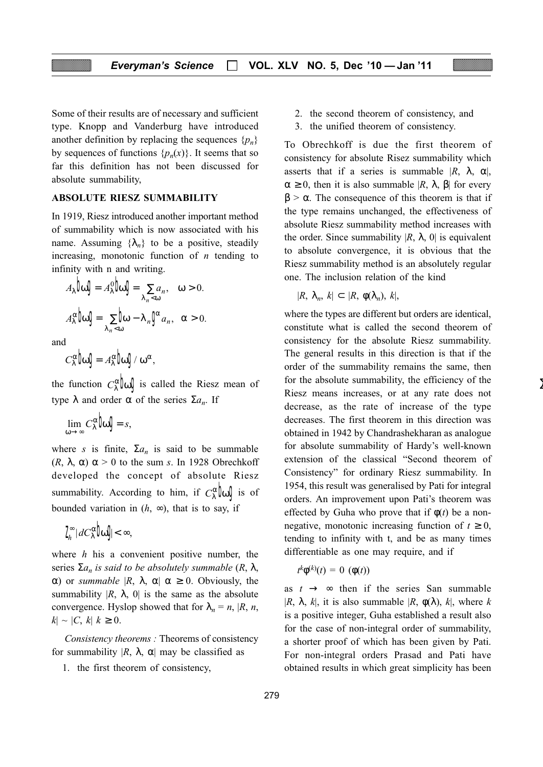Some of their results are of necessary and sufficient type. Knopp and Vanderburg have introduced another definition by replacing the sequences  $\{p_n\}$ by sequences of functions  $\{p_n(x)\}\$ . It seems that so far this definition has not been discussed for absolute summability,

#### ABSOLUTE RIESZ SUMMABILITY

In 1919, Riesz introduced another important method of summability which is now associated with his name. Assuming  $\{\lambda_n\}$  to be a positive, steadily increasing, monotonic function of  $n$  tending to infinity with n and writing.

$$
A_{\lambda}\mathbf{b}\mathbf{0}\mathbf{J} = A_{\lambda}^{0}\mathbf{b}\mathbf{0}\mathbf{J} = \sum_{\lambda_{n}<\omega} a_{n}, \quad \omega > 0.
$$

$$
A_{\lambda}^{\alpha}\mathbf{b}\mathbf{0}\mathbf{J} = \sum_{\lambda_{n}<\omega}\mathbf{b}\mathbf{0} - \lambda_{n}\mathbf{0}^{*} a_{n}, \quad \alpha > 0.
$$

and

$$
\mathit{C}^{\alpha}_{\lambda} \text{bd} = \mathit{A}^{\alpha}_{\lambda} \text{bd} / \omega^{\alpha},
$$

the function  $C_{\lambda}^{\alpha}$   $\alpha$  is called the Riesz mean of type  $\lambda$  and order  $\alpha$  of the series  $\Sigma a_n$ . If

$$
\lim_{\omega \to \infty} C_{\lambda}^{\alpha} \phi \mathbf{I} = s,
$$

where s is finite,  $\Sigma a_n$  is said to be summable (R,  $\lambda$ ,  $\alpha$ )  $\alpha$  > 0 to the sum s. In 1928 Obrechkoff developed the concept of absolute Riesz summability. According to him, if  $C_{\lambda}^{\alpha}$   $\alpha$   $\beta$  is of bounded variation in  $(h, \infty)$ , that is to say, if

$$
I_n^{\infty} | dC_{\lambda}^{\alpha} \log < \infty,
$$

where  $h$  his a convenient positive number, the series  $\Sigma a_n$  is said to be absolutely summable  $(R, \lambda, \lambda)$ α) or *summable* |R, λ, α| α ≥ 0. Obviously, the summability  $|R, \lambda, 0|$  is the same as the absolute convergence. Hyslop showed that for  $\lambda_n = n$ ,  $|R, n$ ,  $k \sim |C, k| k \ge 0.$ 

Consistency theorems : Theorems of consistency for summability  $|R, \lambda, \alpha|$  may be classified as

1. the first theorem of consistency,

- 2. the second theorem of consistency, and
- 3. the unified theorem of consistency.

To Obrechkoff is due the first theorem of consistency for absolute Risez summability which asserts that if a series is summable  $|R, \lambda, \alpha|$ ,  $\alpha \geq 0$ , then it is also summable  $|R, \lambda, \beta|$  for every  $β > α$ . The consequence of this theorem is that if the type remains unchanged, the effectiveness of absolute Riesz summability method increases with the order. Since summability  $|R, \lambda, 0|$  is equivalent to absolute convergence, it is obvious that the Riesz summability method is an absolutely regular one. The inclusion relation of the kind

$$
|R, \lambda_n, k| \subset |R, \phi(\lambda_n), k|,
$$

where the types are different but orders are identical, constitute what is called the second theorem of consistency for the absolute Riesz summability. The general results in this direction is that if the order of the summability remains the same, then for the absolute summability, the efficiency of the Riesz means increases, or at any rate does not decrease, as the rate of increase of the type decreases. The first theorem in this direction was obtained in 1942 by Chandrashekharan as analogue for absolute summability of Hardy's well-known extension of the classical "Second theorem of Consistency" for ordinary Riesz summability. In 1954, this result was generalised by Pati for integral orders. An improvement upon Pati's theorem was effected by Guha who prove that if  $\phi(t)$  be a nonnegative, monotonic increasing function of  $t \geq 0$ , tending to infinity with t, and be as many times differentiable as one may require, and if

∑

$$
t^k \phi^{(k)}(t) = 0 \ (\phi(t))
$$

as  $t \rightarrow \infty$  then if the series San summable |R,  $\lambda$ , k|, it is also summable |R,  $\phi(\lambda)$ , k|, where k is a positive integer, Guha established a result also for the case of non-integral order of summability, a shorter proof of which has been given by Pati. For non-integral orders Prasad and Pati have obtained results in which great simplicity has been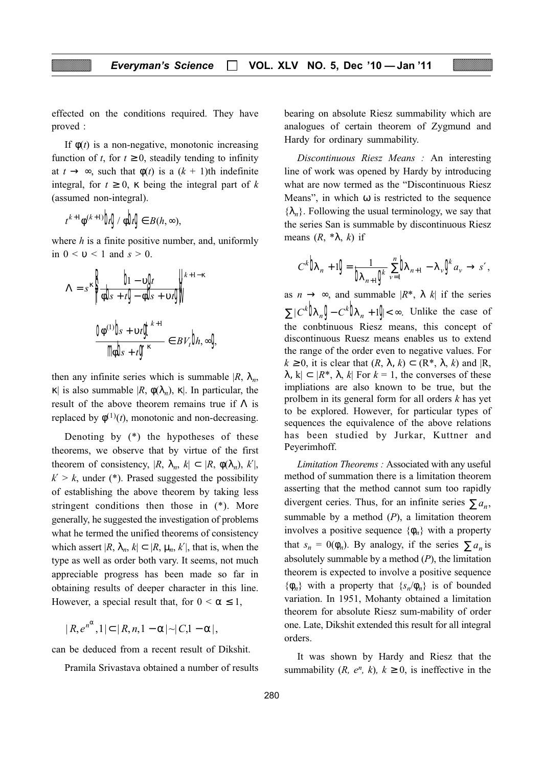effected on the conditions required. They have proved :

If  $\phi(t)$  is a non-negative, monotonic increasing function of t, for  $t \geq 0$ , steadily tending to infinity at  $t \to \infty$ , such that  $\phi(t)$  is a  $(k + 1)$ th indefinite integral, for  $t \geq 0$ ,  $\kappa$  being the integral part of k (assumed non-integral).

$$
t^{k+1}\phi^{(k+1)}\mathbf{b}\mathbf{g}/\phi\mathbf{b}\mathbf{g}\in B(h,\infty),
$$

where  $h$  is a finite positive number, and, uniformly in  $0 < v < 1$  and  $s > 0$ .

$$
\Lambda = s^{\kappa} \frac{\beta}{\phi b^{\kappa} + t \cdot 0} - \phi b^{\kappa} + \nu t \cdot 0
$$
\n
$$
\frac{0 \phi^{(1)} b^{\kappa} + \nu t \cdot 0^{\kappa}}{\phi b^{\kappa} + t \cdot 0^{\kappa}} \in BV_t b_t, \infty
$$

then any infinite series which is summable  $|R, \lambda_n$ , κ| is also summable |R,  $\phi(\lambda_n)$ , κ|. In particular, the result of the above theorem remains true if  $\Lambda$  is replaced by  $\phi^{(1)}(t)$ , monotonic and non-decreasing.

Denoting by (\*) the hypotheses of these theorems, we observe that by virtue of the first theorem of consistency,  $|R, \lambda_n, k| \subset |R, \phi(\lambda_n), k'|$ ,  $k' > k$ , under (\*). Prased suggested the possibility of establishing the above theorem by taking less stringent conditions then those in (\*). More generally, he suggested the investigation of problems what he termed the unified theorems of consistency which assert  $|R, \lambda_n, k| \subset |R, \mu_n, k'|$ , that is, when the type as well as order both vary. It seems, not much appreciable progress has been made so far in obtaining results of deeper character in this line. However, a special result that, for  $0 < \alpha \leq 1$ ,

 $|R, e^{n^{\alpha}}, 1| \subset |R, n, 1 - \alpha| \sim |C, 1 - \alpha|,$ 

can be deduced from a recent result of Dikshit.

Pramila Srivastava obtained a number of results

bearing on absolute Riesz summability which are analogues of certain theorem of Zygmund and Hardy for ordinary summability.

Discontinuous Riesz Means : An interesting line of work was opened by Hardy by introducing what are now termed as the "Discontinuous Riesz Means", in which  $\omega$  is restricted to the sequence  ${\lambda_n}$ . Following the usual terminology, we say that the series San is summable by discontinuous Riesz means  $(R, *\lambda, k)$  if

$$
C^k \mathbf{b}_{n+1} \mathbf{g} = \frac{1}{\mathbf{b}_{n+1} \mathbf{g}^{\mathbf{c}}} \sum_{v=1}^n \mathbf{b}_{n+1} - \lambda_v \mathbf{g}^{\mathbf{c}} a_v \to s',
$$

as  $n \to \infty$ , and summable  $|R^*, \lambda \, k|$  if the series  $\sum |C^k| \mathbf{D}_{n} \mathbf{Q} - C^k \mathbf{D}_{n}$  + 1 $\mathbf{Q} < \infty$ . Unlike the case of the conbtinuous Riesz means, this concept of discontinuous Ruesz means enables us to extend the range of the order even to negative values. For  $k \ge 0$ , it is clear that  $(R, \lambda, k) \subset (R^*, \lambda, k)$  and  $|R$ ,  $\lambda$ , k|  $\subset$  | $R^*$ ,  $\lambda$ , k| For  $k = 1$ , the converses of these impliations are also known to be true, but the prolbem in its general form for all orders  $k$  has yet to be explored. However, for particular types of sequences the equivalence of the above relations has been studied by Jurkar, Kuttner and Peyerimhoff.

Limitation Theorems : Associated with any useful method of summation there is a limitation theorem asserting that the method cannot sum too rapidly divergent ceries. Thus, for an infinite series  $\sum a_n$ , summable by a method  $(P)$ , a limitation theorem involves a positive sequence  $\{\phi_n\}$  with a property that  $s_n = 0(\phi_n)$ . By analogy, if the series  $\sum a_n$  is absolutely summable by a method  $(P)$ , the limitation theorem is expected to involve a positive sequence  $\{\phi_n\}$  with a property that  $\{s_n/\phi_n\}$  is of bounded variation. In 1951, Mohanty obtained a limitation theorem for absolute Riesz sum-mability of order one. Late, Dikshit extended this result for all integral orders.

It was shown by Hardy and Riesz that the summability  $(R, e^n, k)$ ,  $k \ge 0$ , is ineffective in the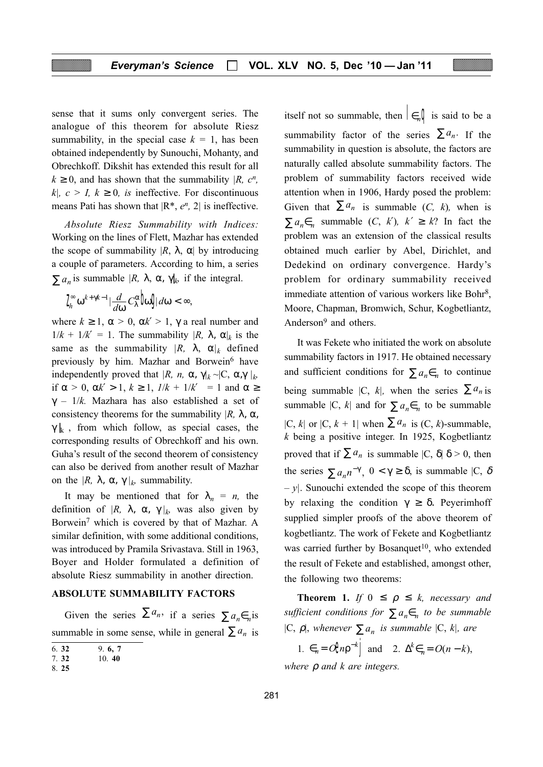sense that it sums only convergent series. The analogue of this theorem for absolute Riesz summability, in the special case  $k = 1$ , has been obtained independently by Sunouchi, Mohanty, and Obrechkoff. Dikshit has extended this result for all  $k \geq 0$ , and has shown that the summability |R, c<sup>n</sup>, k|,  $c > I$ ,  $k \ge 0$ , is ineffective. For discontinuous means Pati has shown that  $|R^*, e^n, 2|$  is ineffective.

Absolute Riesz Summability with Indices: Working on the lines of Flett, Mazhar has extended the scope of summability  $|R, \lambda, \alpha|$  by introducing a couple of parameters. According to him, a series  $\sum a_n$  is summable  $|R, \lambda, \alpha, \gamma|_k$  if the integral.

$$
\int_{h}^{\infty} \omega^{k+\gamma k-1} |\frac{d}{d\omega} C_{\lambda}^{\alpha} \boldsymbol{\ln} \boldsymbol{J} d\omega < \infty,
$$

where  $k \ge 1$ ,  $\alpha > 0$ ,  $\alpha k' > 1$ ,  $\gamma$  a real number and  $1/k + 1/k' = 1$ . The summability  $|R$ ,  $\lambda$ ,  $\alpha|_k$  is the same as the summability  $|R, \lambda, \alpha|_k$  defined previously by him. Mazhar and Borwein<sup>6</sup> have independently proved that  $|R, n, \alpha, \gamma|_k \sim |C, \alpha, \gamma|_k$ if  $\alpha > 0$ ,  $\alpha k' > 1$ ,  $k \ge 1$ ,  $1/k + 1/k' = 1$  and  $\alpha \ge$  $\gamma$  – 1/k. Mazhara has also established a set of consistency theorems for the summability  $|R$ ,  $\lambda$ ,  $\alpha$ ,  $\gamma |k$ , from which follow, as special cases, the corresponding results of Obrechkoff and his own. Guha's result of the second theorem of consistency can also be derived from another result of Mazhar on the  $|R$ ,  $\lambda$ ,  $\alpha$ ,  $\gamma|_k$  summability.

It may be mentioned that for  $\lambda_n = n$ , the definition of  $|R, \lambda, \alpha, \gamma|_k$  was also given by Borwein<sup>7</sup> which is covered by that of Mazhar. A similar definition, with some additional conditions, was introduced by Pramila Srivastava. Still in 1963, Boyer and Holder formulated a definition of absolute Riesz summability in another direction.

#### ABSOLUTE SUMMABILITY FACTORS

Given the series  $\sum a_n$ , if a series  $\sum a_n \in n$  is summable in some sense, while in general  $\sum a_n$  is

| . . |  |
|-----|--|
|     |  |

7. 32 10. 40

itself not so summable, then  $\mathbf{e}_{n} \mathbf{Q}$  is said to be a summability factor of the series  $\sum a_n$ . If the summability in question is absolute, the factors are naturally called absolute summability factors. The problem of summability factors received wide attention when in 1906, Hardy posed the problem: Given that  $\sum a_n$  is summable (C, k), when is  $\sum a_n \in_{n}$  summable  $(C, k')$ ,  $k' \geq k$ ? In fact the problem was an extension of the classical results obtained much earlier by Abel, Dirichlet, and Dedekind on ordinary convergence. Hardy's problem for ordinary summability received immediate attention of various workers like Bohr<sup>8</sup>, Moore, Chapman, Bromwich, Schur, Kogbetliantz, Anderson9 and others.

It was Fekete who initiated the work on absolute summability factors in 1917. He obtained necessary and sufficient conditions for  $\sum a_n \in_{n}$  to continue being summable  $|C, k|$ , when the series  $\sum a_n$  is summable  $|C, k|$  and for  $\sum a_n \in R$  to be summable |C, k| or  $|C, k+1|$  when  $\sum a_n$  is  $(C, k)$ -summable,  $k$  being a positive integer. In 1925, Kogbetliantz proved that if  $\sum a_n$  is summable  $|C, \delta| \delta > 0$ , then the series  $\sum a_n n^{-\gamma}$ ,  $0 < \gamma \ge \delta$ , is summable  $|C, \delta \rangle$  $- v$ . Sunouchi extended the scope of this theorem by relaxing the condition  $\gamma \geq \delta$ . Peyerimhoff supplied simpler proofs of the above theorem of kogbetliantz. The work of Fekete and Kogbetliantz was carried further by Bosanquet<sup>10</sup>, who extended the result of Fekete and established, amongst other, the following two theorems:

**Theorem 1.** If  $0 \leq \rho \leq k$ , necessary and sufficient conditions for  $\sum a_n \in_{n}$  to be summable |C,  $\rho$ |, whenever  $\sum a_n$  is summable  $|C, k|$ , are

1.  $\epsilon_n = O\theta n \rho^{-k}$  and 2.  $\Delta^k \epsilon_n = O(n-k)$ , where  $\rho$  and  $k$  are integers.

<sup>8.</sup> 25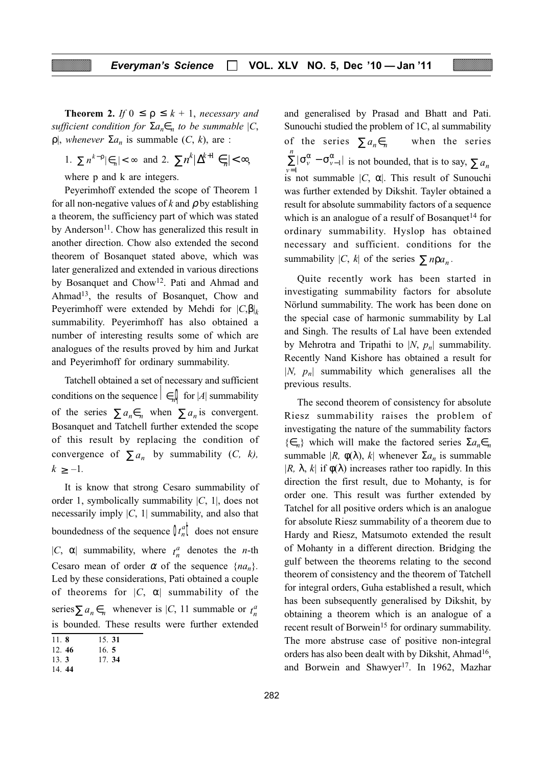**Theorem 2.** If  $0 \leq \rho \leq k + 1$ , necessary and sufficient condition for  $\Sigma a_n \in_n$  to be summable  $|C_n|$  $ρ|$ , whenever  $Σa_n$  is summable  $(C, k)$ , are :

1. 
$$
\sum n^{k-p} |\epsilon_n| < \infty
$$
 and 2.  $\sum n^k |\Delta^{k+1} \epsilon_n| < \infty$ ,

where p and k are integers.

Peyerimhoff extended the scope of Theorem 1 for all non-negative values of k and  $\rho$  by establishing a theorem, the sufficiency part of which was stated by Anderson<sup>11</sup>. Chow has generalized this result in another direction. Chow also extended the second theorem of Bosanquet stated above, which was later generalized and extended in various directions by Bosanquet and Chow12. Pati and Ahmad and Ahmad<sup>13</sup>, the results of Bosanquet, Chow and Peyerimhoff were extended by Mehdi for  $|C,\beta|_k$ summability. Peyerimhoff has also obtained a number of interesting results some of which are analogues of the results proved by him and Jurkat and Peyerimhoff for ordinary summability.

Tatchell obtained a set of necessary and sufficient conditions on the sequence  $\mathbf{\epsilon}_n \mathbf{Q}$  for |A| summability of the series  $\sum a_n \in_{n}$  when  $\sum a_n$  is convergent. Bosanquet and Tatchell further extended the scope of this result by replacing the condition of convergence of  $\sum a_n$  by summability (C, k),  $k \geq -1$ .

It is know that strong Cesaro summability of order 1, symbolically summability  $|C, 1|$ , does not necessarily imply  $|C, 1|$  summability, and also that boundedness of the sequence  $\int u_n^a \vec{l}$  does not ensure |C,  $\alpha$ | summability, where  $t_n^a$  denotes the *n*-th Cesaro mean of order  $\alpha$  of the sequence  $\{na_n\}$ . Led by these considerations, Pati obtained a couple of theorems for  $|C, \alpha|$  summability of the series  $\sum a_n \in_n$  whenever is  $|C|$ , 11 summable or  $t_n^d$ is bounded. These results were further extended

and generalised by Prasad and Bhatt and Pati. Sunouchi studied the problem of 1C, al summability of the series  $\sum a_n \in_n$  when the series  $\sum_{\nu=1}^n |\sigma_{\nu}^{\alpha} - \sigma_{\nu-1}^{\alpha}|$  $\sum_{\nu=1}^{n} |\sigma_{\nu}^{\alpha} - \sigma_{\nu-1}^{\alpha}|$  is not bounded, that is to say,  $\sum a_n$  $\sum_{n=1}^{\infty}$  is not summable |C,  $\alpha$ |. This result of Sunouchi was further extended by Dikshit. Tayler obtained a result for absolute summability factors of a sequence which is an analogue of a resulf of Bosanquet<sup>14</sup> for ordinary summability. Hyslop has obtained necessary and sufficient. conditions for the summability  $|C, k|$  of the series  $\sum n \rho a_n$ .

Quite recently work has been started in investigating summability factors for absolute Nörlund summability. The work has been done on the special case of harmonic summability by Lal and Singh. The results of Lal have been extended by Mehrotra and Tripathi to  $|N, p_n|$  summability. Recently Nand Kishore has obtained a result for |N,  $p_n$ | summability which generalises all the previous results.

The second theorem of consistency for absolute Riesz summability raises the problem of investigating the nature of the summability factors  $\{\epsilon_n\}$  which will make the factored series  $\Sigma a_n \epsilon_n$ summable  $|R, \phi(\lambda), k|$  whenever  $\Sigma a_n$  is summable |R,  $\lambda$ , k| if  $\phi(\lambda)$  increases rather too rapidly. In this direction the first result, due to Mohanty, is for order one. This result was further extended by Tatchel for all positive orders which is an analogue for absolute Riesz summability of a theorem due to Hardy and Riesz, Matsumoto extended the result of Mohanty in a different direction. Bridging the gulf between the theorems relating to the second theorem of consistency and the theorem of Tatchell for integral orders, Guha established a result, which has been subsequently generalised by Dikshit, by obtaining a theorem which is an analogue of a recent result of Borwein<sup>15</sup> for ordinary summability. The more abstruse case of positive non-integral orders has also been dealt with by Dikshit, Ahmad<sup>16</sup>, and Borwein and Shawyer<sup>17</sup>. In 1962, Mazhar

<sup>11.</sup> 8 15. 31

<sup>12.</sup> 46 16. 5

<sup>13.</sup> 3 17. 34

<sup>14.</sup> 44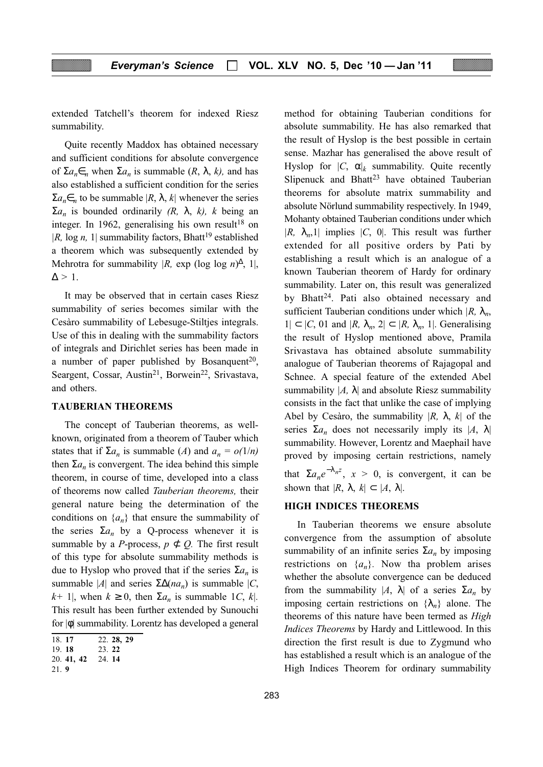extended Tatchell's theorem for indexed Riesz summability.

Quite recently Maddox has obtained necessary and sufficient conditions for absolute convergence of  $\Sigma a_n \in R$  when  $\Sigma a_n$  is summable  $(R, \lambda, k)$ , and has also established a sufficient condition for the series  $\sum a_n \in n$  to be summable  $|R, \lambda, k|$  whenever the series  $\Sigma a_n$  is bounded ordinarily (R,  $\lambda$ , k), k being an integer. In 1962, generalising his own result<sup>18</sup> on |R, log n, 1| summability factors, Bhatt<sup>19</sup> established a theorem which was subsequently extended by Mehrotra for summability  $|R$ , exp (log log n)<sup> $\Delta$ </sup>, 1,  $\Delta > 1$ .

It may be observed that in certain cases Riesz summability of series becomes similar with the Cesàro summability of Lebesuge-Stiltjes integrals. Use of this in dealing with the summability factors of integrals and Dirichlet series has been made in a number of paper published by Bosanquent<sup>20</sup>, Seargent, Cossar, Austin<sup>21</sup>, Borwein<sup>22</sup>, Srivastava, and others.

#### TAUBERIAN THEOREMS

The concept of Tauberian theorems, as wellknown, originated from a theorem of Tauber which states that if  $\Sigma a_n$  is summable (A) and  $a_n = o(1/n)$ then  $\Sigma a_n$  is convergent. The idea behind this simple theorem, in course of time, developed into a class of theorems now called Tauberian theorems, their general nature being the determination of the conditions on  $\{a_n\}$  that ensure the summability of the series  $\Sigma a_n$  by a Q-process whenever it is summable by a *P*-process,  $p \not\subset Q$ . The first result of this type for absolute summability methods is due to Hyslop who proved that if the series  $\sum a_n$  is summable |A| and series  $\Sigma \Delta(na_n)$  is summable |C,  $k+1$ , when  $k \ge 0$ , then  $\Sigma a_n$  is summable 1C, k|. This result has been further extended by Sunouchi for |φ| summability. Lorentz has developed a general

method for obtaining Tauberian conditions for absolute summability. He has also remarked that the result of Hyslop is the best possible in certain sense. Mazhar has generalised the above result of Hyslop for  $|C, \alpha|_k$  summability. Quite recently Slipenuck and Bhatt<sup>23</sup> have obtained Tauberian theorems for absolute matrix summability and absolute Nörlund summability respectively. In 1949, Mohanty obtained Tauberian conditions under which  $|R, \lambda_n, 1|$  implies  $|C, 0|$ . This result was further extended for all positive orders by Pati by establishing a result which is an analogue of a known Tauberian theorem of Hardy for ordinary summability. Later on, this result was generalized by Bhatt<sup>24</sup>. Pati also obtained necessary and sufficient Tauberian conditions under which  $|R, \lambda_n$ ,  $1| \subset |C, 01 \text{ and } |R, \lambda_n, 2| \subset |R, \lambda_n, 1|$ . Generalising the result of Hyslop mentioned above, Pramila Srivastava has obtained absolute summability analogue of Tauberian theorems of Rajagopal and Schnee. A special feature of the extended Abel summability  $|A, \lambda|$  and absolute Riesz summability consists in the fact that unlike the case of implying Abel by Cesàro, the summability  $|R, \lambda, k|$  of the series  $\Sigma a_n$  does not necessarily imply its  $|A, \lambda|$ summability. However, Lorentz and Maephail have proved by imposing certain restrictions, namely that  $\sum a_n e^{-\lambda_n z}$ ,  $x > 0$ , is convergent, it can be shown that  $|R, \lambda, k| \subset |A, \lambda|$ .

#### HIGH INDICES THEOREMS

In Tauberian theorems we ensure absolute convergence from the assumption of absolute summability of an infinite series  $\Sigma a_n$  by imposing restrictions on  $\{a_n\}$ . Now tha problem arises whether the absolute convergence can be deduced from the summability  $|A, \lambda|$  of a series  $\Sigma a_n$  by imposing certain restrictions on  $\{\lambda_n\}$  alone. The theorems of this nature have been termed as *High* Indices Theorems by Hardy and Littlewood. In this direction the first result is due to Zygmund who has established a result which is an analogue of the High Indices Theorem for ordinary summability

<sup>18.</sup> 17 22. 28, 29

<sup>19.</sup> 18 23. 22

<sup>20.</sup> 41, 42 24. 14

<sup>21.</sup> 9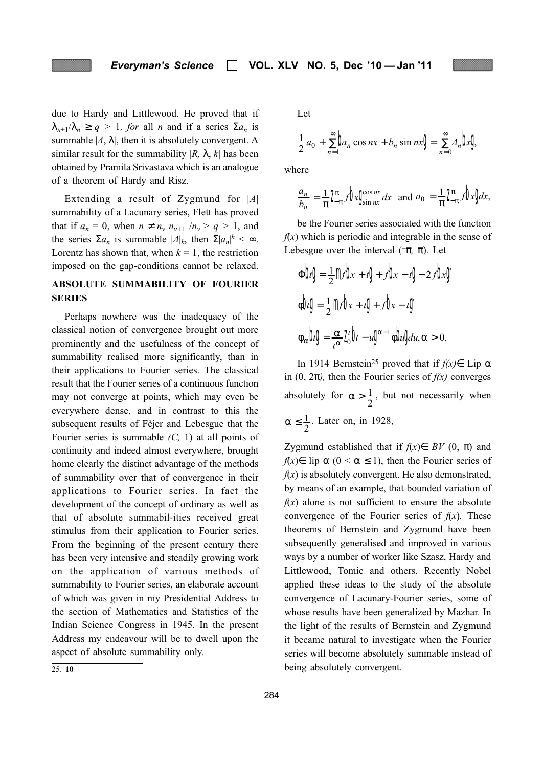due to Hardy and Littlewood. He proved that if  $\lambda_{n+1}/\lambda_n \ge q > 1$ , for all n and if a series  $\Sigma a_n$  is summable  $|A, \lambda|$ , then it is absolutely convergent. A similar result for the summability  $|R, \lambda, k|$  has been obtained by Pramila Srivastava which is an analogue of a theorem of Hardy and Risz.

Extending a result of Zygmund for  $|A|$ summability of a Lacunary series, Flett has proved that if  $a_n = 0$ , when  $n \neq n_v$ ,  $n_{v+1}/n_v > q > 1$ , and the series  $\Sigma a_n$  is summable  $|A|_k$ , then  $\Sigma |a_n|^k < \infty$ . Lorentz has shown that, when  $k = 1$ , the restriction imposed on the gap-conditions cannot be relaxed.

#### ABSOLUTE SUMMABILITY OF FOURIER SERIES

Perhaps nowhere was the inadequacy of the classical notion of convergence brought out more prominently and the usefulness of the concept of summability realised more significantly, than in their applications to Fourier series. The classical result that the Fourier series of a continuous function may not converge at points, which may even be everywhere dense, and in contrast to this the subsequent results of Fèjer and Lebesgue that the Fourier series is summable  $(C, 1)$  at all points of continuity and indeed almost everywhere, brought home clearly the distinct advantage of the methods of summability over that of convergence in their applications to Fourier series. In fact the development of the concept of ordinary as well as that of absolute summabil-ities received great stimulus from their application to Fourier series. From the beginning of the present century there has been very intensive and steadily growing work on the application of various methods of summability to Fourier series, an elaborate account of which was given in my Presidential Address to the section of Mathematics and Statistics of the Indian Science Congress in 1945. In the present Address my endeavour will be to dwell upon the aspect of absolute summability only.

Let

$$
\frac{1}{2}a_0 + \sum_{n=1}^{\infty} \mathbf{b}_n \cos nx + b_n \sin nx \mathbf{g} = \sum_{n=0}^{\infty} A_n \mathbf{b}_n \mathbf{g}
$$

where

$$
\frac{a_n}{b_n} = \frac{1}{\pi} \int_{-\pi}^{\pi} f \mathbf{b}x \mathbf{C}_{\sin nx}^{\cos nx} dx \text{ and } a_0 = \frac{1}{\pi} \int_{-\pi}^{\pi} f \mathbf{b}x \mathbf{b}dx,
$$

be the Fourier series associated with the function  $f(x)$  which is periodic and integrable in the sense of Lebesgue over the interval ( $-\pi$ ,  $\pi$ ). Let

$$
\Phi \Phi \Phi = \frac{1}{2} m \Phi x + t \Phi + f \Phi x - t \Phi - 2 f \Phi x \Phi
$$

$$
\Phi \Phi \Phi = \frac{1}{2} m \Phi x + t \Phi + f \Phi x - t \Phi
$$

$$
\Phi_{\alpha} \Phi \Phi = \frac{\alpha}{t^{\alpha}} \chi_{0}^{\prime} \Phi - u \Phi^{x-1} \Phi \Phi \Phi u, \alpha > 0.
$$

In 1914 Bernstein<sup>25</sup> proved that if  $f(x) \in$  Lip  $\alpha$ in  $(0, 2\pi)$ , then the Fourier series of  $f(x)$  converges absolutely for  $\alpha > \frac{1}{2}$ , but not necessarily when  $\alpha \leq \frac{1}{2}$ . Later on, in 1928,

Zygmund established that if  $f(x) \in BV(0, \pi)$  and  $f(x) \in$  lip  $\alpha$  (0 <  $\alpha \le 1$ ), then the Fourier series of  $f(x)$  is absolutely convergent. He also demonstrated, by means of an example, that bounded variation of  $f(x)$  alone is not sufficient to ensure the absolute convergence of the Fourier series of  $f(x)$ . These theorems of Bernstein and Zygmund have been subsequently generalised and improved in various ways by a number of worker like Szasz, Hardy and Littlewood, Tomic and others. Recently Nobel applied these ideas to the study of the absolute convergence of Lacunary-Fourier series, some of whose results have been generalized by Mazhar. In the light of the results of Bernstein and Zygmund it became natural to investigate when the Fourier series will become absolutely summable instead of 25. 10 being absolutely convergent.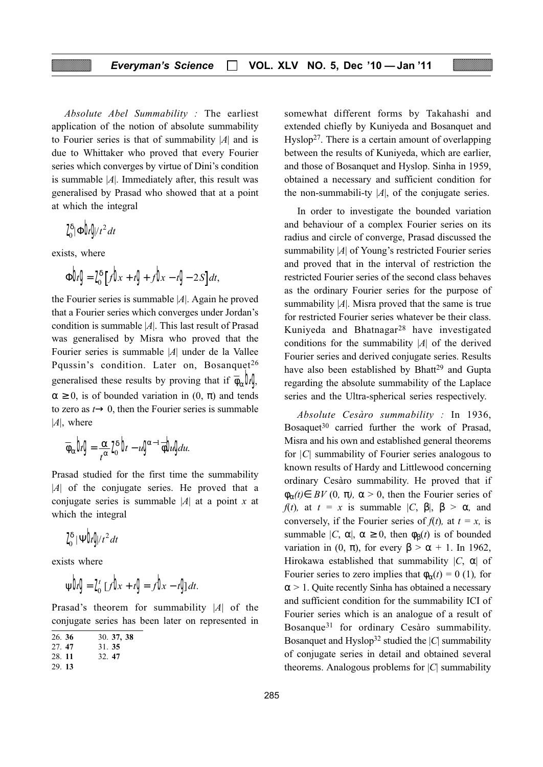Absolute Abel Summability : The earliest application of the notion of absolute summability to Fourier series is that of summability  $|A|$  and is due to Whittaker who proved that every Fourier series which converges by virtue of Dini's condition is summable  $|A|$ . Immediately after, this result was generalised by Prasad who showed that at a point at which the integral

$$
I_0^\delta |\Phi| f/t^2 dt
$$

exists, where

$$
\Phi \phi = I_0^{\delta} \left[ f \phi + t \phi + f \phi - t \phi - 2S \right] dt,
$$

the Fourier series is summable  $|A|$ . Again he proved that a Fourier series which converges under Jordan's condition is summable  $|A|$ . This last result of Prasad was generalised by Misra who proved that the Fourier series is summable |A| under de la Vallee Pqussin's condition. Later on, Bosanquet<sup>26</sup> generalised these results by proving that if  $\overline{\phi}_{\alpha} \mathbf{\hat{H}}$  $\alpha \geq 0$ , is of bounded variation in  $(0, \pi)$  and tends to zero as  $t \rightarrow 0$ , then the Fourier series is summable  $|A|$ , where

$$
\overline{\varphi}_{\alpha}bg = \tfrac{\alpha}{\ell^{\alpha}}\tfrac{\gamma_{\delta}}{\delta}b - \iota g^{\alpha-1}\tfrac{\gamma_{\delta}}{\delta}b_{\iota}g_{\iota\iota}.
$$

Prasad studied for the first time the summability  $|A|$  of the conjugate series. He proved that a conjugate series is summable |A| at a point x at which the integral

$$
\textbf{Z}_{0}^{\delta} \,|\Psi \textbf{b} \textbf{y}\textbf{y}t^{2}dt
$$

exists where

$$
\psi b \mathbf{g} = \mathbf{J}_0' \left[ f \mathbf{h}_x + t \mathbf{g} \right] = f \mathbf{h}_x - t \mathbf{g} dt.
$$

Prasad's theorem for summability |A| of the conjugate series has been later on represented in

| 26.36 |  | 30. 37, 38 |  |
|-------|--|------------|--|
|       |  |            |  |

27. 47 31. 35

28. 11 32. 47

$$
29.13
$$

somewhat different forms by Takahashi and extended chiefly by Kuniyeda and Bosanquet and  $Hyslop<sup>27</sup>$ . There is a certain amount of overlapping between the results of Kuniyeda, which are earlier, and those of Bosanquet and Hyslop. Sinha in 1959, obtained a necessary and sufficient condition for the non-summabili-ty  $|A|$ , of the conjugate series.

In order to investigate the bounded variation and behaviour of a complex Fourier series on its radius and circle of converge, Prasad discussed the summability |A| of Young's restricted Fourier series and proved that in the interval of restriction the restricted Fourier series of the second class behaves as the ordinary Fourier series for the purpose of summability  $|A|$ . Misra proved that the same is true for restricted Fourier series whatever be their class. Kuniyeda and Bhatnagar28 have investigated conditions for the summability  $|A|$  of the derived Fourier series and derived conjugate series. Results have also been established by Bhatt<sup>29</sup> and Gupta regarding the absolute summability of the Laplace series and the Ultra-spherical series respectively.

Absolute Cesàro summability : In 1936, Bosaquet<sup>30</sup> carried further the work of Prasad, Misra and his own and established general theorems for |C| summability of Fourier series analogous to known results of Hardy and Littlewood concerning ordinary Cesàro summability. He proved that if  $\phi_{\alpha}(t) \in BV(0, \pi)$ ,  $\alpha > 0$ , then the Fourier series of f(t), at  $t = x$  is summable  $|C, \beta|, \beta > \alpha$ , and conversely, if the Fourier series of  $f(t)$ , at  $t = x$ , is summable  $|C, \alpha|, \alpha \ge 0$ , then  $\phi_{\beta}(t)$  is of bounded variation in (0,  $\pi$ ), for every  $\beta > \alpha + 1$ . In 1962, Hirokawa established that summability  $|C, \alpha|$  of Fourier series to zero implies that  $\phi_{\alpha}(t) = 0$  (1), for  $\alpha$  > 1. Quite recently Sinha has obtained a necessary and sufficient condition for the summability ICI of Fourier series which is an analogue of a result of Bosanque31 for ordinary Cesàro summability. Bosanquet and Hyslop<sup>32</sup> studied the  $|C|$  summability of conjugate series in detail and obtained several theorems. Analogous problems for  $|C|$  summability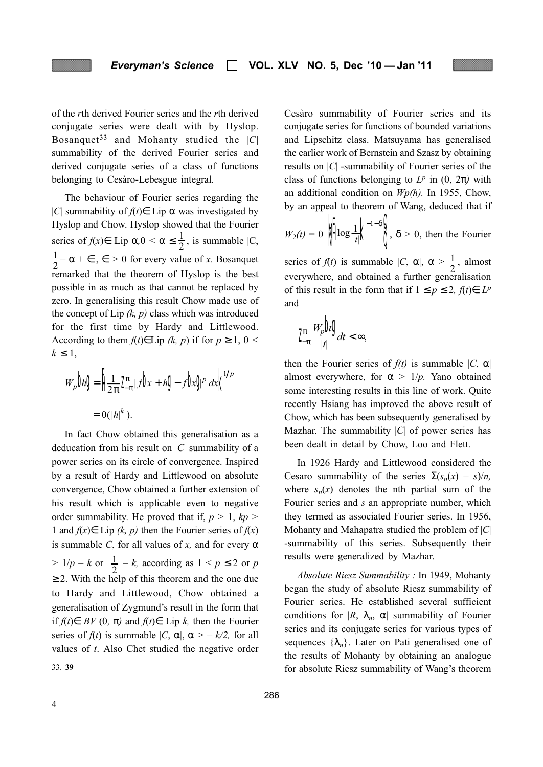of the rth derived Fourier series and the rth derived conjugate series were dealt with by Hyslop. Bosanquet<sup>33</sup> and Mohanty studied the  $|C|$ summability of the derived Fourier series and derived conjugate series of a class of functions belonging to Cesàro-Lebesgue integral.

The behaviour of Fourier series regarding the |C| summability of  $f(t) \in$  Lip  $\alpha$  was investigated by Hyslop and Chow. Hyslop showed that the Fourier series of  $f(x) \in \text{Lip } \alpha, 0 < \alpha \le \frac{1}{2}$ , is summable  $|C|$ ,  $\frac{1}{2} - \alpha + \epsilon$ ,  $\epsilon > 0$  for every value of x. Bosanquet remarked that the theorem of Hyslop is the best possible in as much as that cannot be replaced by zero. In generalising this result Chow made use of the concept of Lip  $(k, p)$  class which was introduced for the first time by Hardy and Littlewood. According to them  $f(t) \in Lip (k, p)$  if for  $p \ge 1, 0 <$  $k \leq 1$ ,

$$
W_p \mathbf{b}_n \mathbf{g} = \left[ \frac{1}{2\pi} \int_{-\pi}^{\pi} |f| \mathbf{b}_n + h \mathbf{g} - f \mathbf{b}_n \mathbf{g}^p \, dx \right]^{1/p}
$$

$$
= O(|h|^k).
$$

In fact Chow obtained this generalisation as a deducation from his result on  $|C|$  summability of a power series on its circle of convergence. Inspired by a result of Hardy and Littlewood on absolute convergence, Chow obtained a further extension of his result which is applicable even to negative order summability. He proved that if,  $p > 1$ ,  $kp >$ 1 and  $f(x) \in$  Lip  $(k, p)$  then the Fourier series of  $f(x)$ is summable C, for all values of x, and for every  $\alpha$  $> 1/p - k$  or  $\frac{1}{2} - k$ , according as  $1 < p \le 2$  or p  $\geq$  2. With the help of this theorem and the one due to Hardy and Littlewood, Chow obtained a generalisation of Zygmund's result in the form that if f(t)∈ BV (0, π) and f(t)∈ Lip k, then the Fourier series of  $f(t)$  is summable  $|C, \alpha|, \alpha > -k/2$ , for all values of t. Also Chet studied the negative order

Cesàro summability of Fourier series and its conjugate series for functions of bounded variations and Lipschitz class. Matsuyama has generalised the earlier work of Bernstein and Szasz by obtaining results on  $|C|$  -summability of Fourier series of the class of functions belonging to  $L^p$  in  $(0, 2\pi)$  with an additional condition on  $Wp(h)$ . In 1955, Chow, by an appeal to theorem of Wang, deduced that if

$$
W_2(t) = 0 \quad \text{where} \quad \frac{1}{|t|} \begin{bmatrix} -1 - \delta \\ 0 \end{bmatrix}, \delta > 0, \text{ then the Fourier}
$$

series of  $f(t)$  is summable  $|C, \alpha|, \alpha > \frac{1}{2}$ , almost everywhere, and obtained a further generalisation of this result in the form that if  $1 \le p \le 2$ ,  $f(t) \in L^p$ and

$$
L_{\pi}^{\pi} \frac{W_p \mathbf{b} \mathbf{g}}{|t|} dt < \infty,
$$

then the Fourier series of  $f(t)$  is summable  $|C, \alpha|$ almost everywhere, for  $\alpha > 1/p$ . Yano obtained some interesting results in this line of work. Quite recently Hsiang has improved the above result of Chow, which has been subsequently generalised by Mazhar. The summability  $|C|$  of power series has been dealt in detail by Chow, Loo and Flett.

In 1926 Hardy and Littlewood considered the Cesaro summability of the series  $\Sigma(s_n(x) - s)/n$ , where  $s_n(x)$  denotes the nth partial sum of the Fourier series and s an appropriate number, which they termed as associated Fourier series. In 1956, Mohanty and Mahapatra studied the problem of  $|C|$ -summability of this series. Subsequently their results were generalized by Mazhar.

Absolute Riesz Summability : In 1949, Mohanty began the study of absolute Riesz summability of Fourier series. He established several sufficient conditions for  $|R, \lambda_n, \alpha|$  summability of Fourier series and its conjugate series for various types of sequences  $\{\lambda_n\}$ . Later on Pati generalised one of the results of Mohanty by obtaining an analogue 33. 39 for absolute Riesz summability of Wang's theorem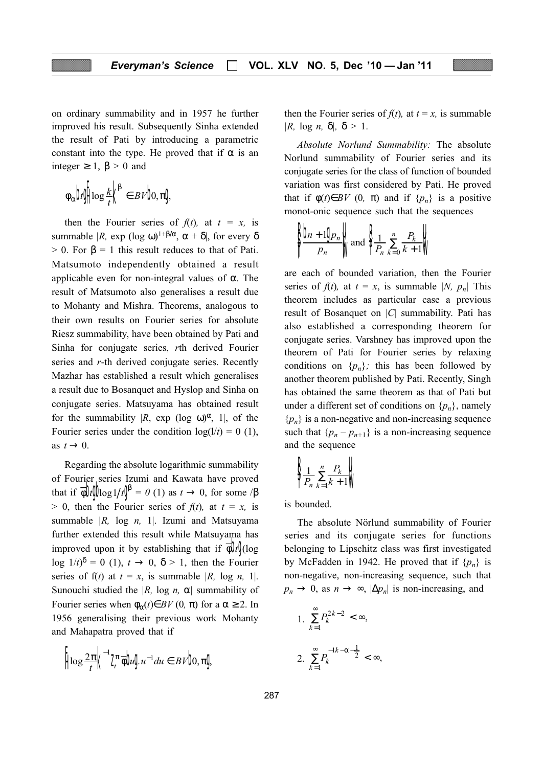on ordinary summability and in 1957 he further improved his result. Subsequently Sinha extended the result of Pati by introducing a parametric constant into the type. He proved that if  $\alpha$  is an integer  $\geq 1$ ,  $\beta > 0$  and

$$
\phi_\alpha \text{b} \oint \log \frac{k}{t} \bigg| \bigg|^\beta \in BVb, \pi \text{d}
$$

then the Fourier series of  $f(t)$ , at  $t = x$ , is summable |R, exp (log ω)<sup>1+β/α</sup>, α + δ|, for every δ  $> 0$ . For  $\beta = 1$  this result reduces to that of Pati. Matsumoto independently obtained a result applicable even for non-integral values of α. The result of Matsumoto also generalises a result due to Mohanty and Mishra. Theorems, analogous to their own results on Fourier series for absolute Riesz summability, have been obtained by Pati and Sinha for conjugate series, rth derived Fourier series and r-th derived conjugate series. Recently Mazhar has established a result which generalises a result due to Bosanquet and Hyslop and Sinha on conjugate series. Matsuyama has obtained result for the summability  $|R, \exp(\log \omega)^{\alpha}, 1|,$  of the Fourier series under the condition  $log(1/t) = 0$  (1), as  $t \rightarrow 0$ .

Regarding the absolute logarithmic summability of Fourier series Izumi and Kawata have proved that if  $\phi \phi$   $\phi$  g  $1/t$   $\phi$  = 0 (1) as  $t \to 0$ , for some  $\beta$  $> 0$ , then the Fourier series of  $f(t)$ , at  $t = x$ , is summable  $|R$ , log *n*, 1. Izumi and Matsuyama further extended this result while Matsuyama has improved upon it by establishing that if  $\phi$  (log log  $1/t)^{\delta} = 0$  (1),  $t \to 0$ ,  $\delta > 1$ , then the Fourier series of f(t) at  $t = x$ , is summable |R, log n, 1|. Sunouchi studied the  $|R|$ , log n,  $\alpha$  summability of Fourier series when  $\phi_{\alpha}(t) \in BV(0, \pi)$  for a  $\alpha \geq 2$ . In 1956 generalising their previous work Mohanty and Mahapatra proved that if

$$
\left[\log \frac{2\pi}{t}\right]^{-1} \mathcal{I}^{\pi} \overline{\phi} \mathbf{b}_t \mathbf{J} u^{-1} du \in BV \mathbf{b}, \pi \mathbf{J}
$$

then the Fourier series of  $f(t)$ , at  $t = x$ , is summable |R, log n,  $\delta$ |,  $\delta > 1$ .

Absolute Norlund Summability: The absolute Norlund summability of Fourier series and its conjugate series for the class of function of bounded variation was first considered by Pati. He proved that if  $\phi(t) \in BV$  (0,  $\pi$ ) and if  $\{p_n\}$  is a positive monot-onic sequence such that the sequences

$$
\left\{\n \begin{matrix}\n \mathbf{b}_{n+1} & \mathbf{b}_{n} \\
 \mathbf{b}_{n+1} & \mathbf{b}_{n} \\
 \mathbf{b}_{n+1} & \mathbf{b}_{n}\n \end{matrix}\n \right\}
$$

are each of bounded variation, then the Fourier series of  $f(t)$ , at  $t = x$ , is summable |N,  $p_n$ | This theorem includes as particular case a previous result of Bosanquet on  $|C|$  summability. Pati has also established a corresponding theorem for conjugate series. Varshney has improved upon the theorem of Pati for Fourier series by relaxing conditions on  $\{p_n\}$ ; this has been followed by another theorem published by Pati. Recently, Singh has obtained the same theorem as that of Pati but under a different set of conditions on  $\{p_n\}$ , namely  ${p_n}$  is a non-negative and non-increasing sequence such that  $\{p_n - p_{n+1}\}\$ is a non-increasing sequence and the sequence

$$
\left\{\frac{1}{P_n} \sum_{k=1}^n \frac{P_k}{k+1}\right\}
$$

is bounded.

The absolute Nörlund summability of Fourier series and its conjugate series for functions belonging to Lipschitz class was first investigated by McFadden in 1942. He proved that if  $\{p_n\}$  is non-negative, non-increasing sequence, such that  $p_n \to 0$ , as  $n \to \infty$ ,  $|\Delta p_n|$  is non-increasing, and

1. 
$$
\sum_{k=1}^{\infty} P_k^{2k-2} < \infty,
$$
\n2. 
$$
\sum_{k=1}^{\infty} P_k^{-1k-\alpha-\frac{1}{2}} < \infty,
$$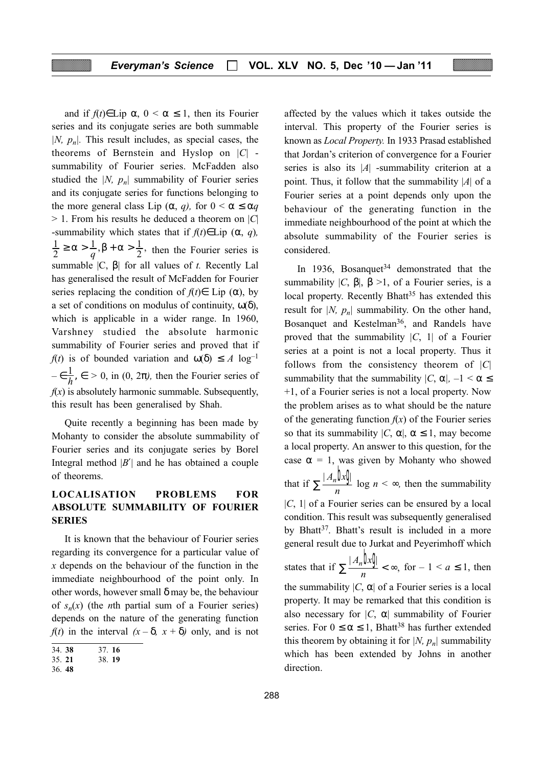and if  $f(t) \in \text{Lip } \alpha$ ,  $0 \leq \alpha \leq 1$ , then its Fourier series and its conjugate series are both summable  $|N, p_n|$ . This result includes, as special cases, the theorems of Bernstein and Hyslop on  $|C|$  summability of Fourier series. McFadden also studied the |N,  $p_n$ | summability of Fourier series and its conjugate series for functions belonging to the more general class Lip (α, q), for  $0 < \alpha \le \alpha q$  $> 1$ . From his results he deduced a theorem on |C| -summability which states that if  $f(t) \in Lip(\alpha, q)$ ,  $\overline{1}$  $\overline{\mathbf{c}}$  $\geq \alpha > \frac{1}{q}, \beta + \alpha > \frac{1}{2}$ , then the Fourier series is summable  $|C, B|$  for all values of t. Recently Lal has generalised the result of McFadden for Fourier series replacing the condition of  $f(t) \in$  Lip ( $\alpha$ ), by a set of conditions on modulus of continuity,  $\omega(\delta)$ , which is applicable in a wider range. In 1960, Varshney studied the absolute harmonic summability of Fourier series and proved that if  $f(t)$  is of bounded variation and  $\omega(\delta) \leq A \log^{-1}$  $-\epsilon \frac{1}{h}$ ,  $\epsilon > 0$ , in  $(0, 2\pi)$ , then the Fourier series of  $f(x)$  is absolutely harmonic summable. Subsequently, this result has been generalised by Shah.

Quite recently a beginning has been made by Mohanty to consider the absolute summability of Fourier series and its conjugate series by Borel Integral method  $|B'|$  and he has obtained a couple of theorems.

#### LOCALISATION PROBLEMS FOR ABSOLUTE SUMMABILITY OF FOURIER SERIES

It is known that the behaviour of Fourier series regarding its convergence for a particular value of  $x$  depends on the behaviour of the function in the immediate neighbourhood of the point only. In other words, however small  $\delta$  may be, the behaviour of  $s_n(x)$  (the *n*th partial sum of a Fourier series) depends on the nature of the generating function  $f(t)$  in the interval  $(x - \delta, x + \delta)$  only, and is not

affected by the values which it takes outside the interval. This property of the Fourier series is known as Local Property. In 1933 Prasad established that Jordan's criterion of convergence for a Fourier series is also its  $|A|$  -summability criterion at a point. Thus, it follow that the summability  $|A|$  of a Fourier series at a point depends only upon the behaviour of the generating function in the immediate neighbourhood of the point at which the absolute summability of the Fourier series is considered.

In 1936, Bosanquet<sup>34</sup> demonstrated that the summability  $|C, B|, B > 1$ , of a Fourier series, is a local property. Recently Bhatt<sup>35</sup> has extended this result for |N,  $p_n$ | summability. On the other hand, Bosanquet and Kestelman<sup>36</sup>, and Randels have proved that the summability  $|C, 1|$  of a Fourier series at a point is not a local property. Thus it follows from the consistency theorem of  $|C|$ summability that the summability  $|C, \alpha|$ ,  $-1 < \alpha \le$ +1, of a Fourier series is not a local property. Now the problem arises as to what should be the nature of the generating function  $f(x)$  of the Fourier series so that its summability  $|C, \alpha|, \alpha \leq 1$ , may become a local property. An answer to this question, for the case  $\alpha = 1$ , was given by Mohanty who showed that if  $\sum \frac{|A_n|}{n} \log n < \infty$ , then the summability  $|C, 1|$  of a Fourier series can be ensured by a local condition. This result was subsequently generalised by Bhatt<sup>37</sup>. Bhatt's result is included in a more general result due to Jurkat and Peyerimhoff which states that if  $\sum \frac{|A_n \mathbf{b} x}{n} < \infty$ , for  $-1 < a \le 1$ , then the summability  $|C, \alpha|$  of a Fourier series is a local property. It may be remarked that this condition is also necessary for  $|C, \alpha|$  summability of Fourier series. For  $0 \le \alpha \le 1$ , Bhatt<sup>38</sup> has further extended this theorem by obtaining it for |N,  $p_n$ | summability which has been extended by Johns in another direction.

<sup>34.</sup> 38 37. 16

<sup>35.</sup> 21 38. 19

<sup>36.</sup> 48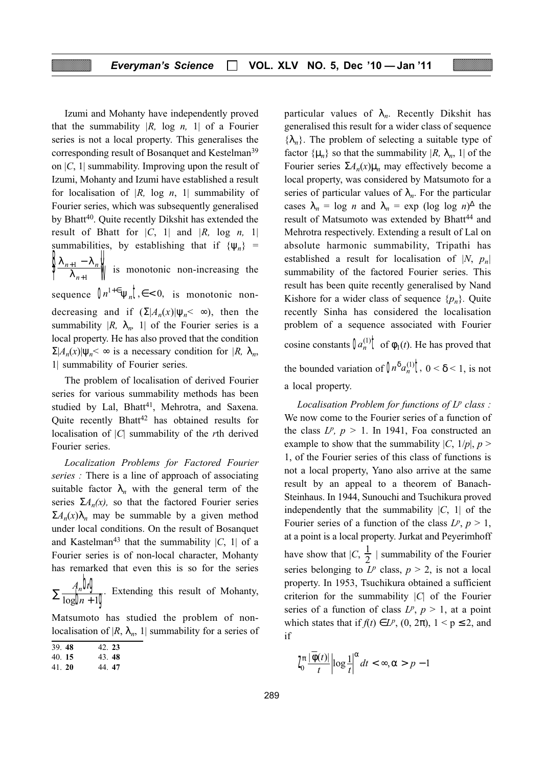Izumi and Mohanty have independently proved that the summability  $|R$ , log *n*, 1 of a Fourier series is not a local property. This generalises the corresponding result of Bosanquet and Kestelman39 on  $|C, 1|$  summability. Improving upon the result of Izumi, Mohanty and Izumi have established a result for localisation of  $|R$ , log  $n$ ,  $1|$  summability of Fourier series, which was subsequently generalised by Bhatt<sup>40</sup>. Quite recently Dikshit has extended the result of Bhatt for  $|C, 1|$  and  $|R, \log n, 1|$ summabilities, by establishing that if  $\{\psi_n\}$  =  $\lambda_{n+1} - \lambda$ λ  $n+1 - \kappa_n$  $\boldsymbol{n}$ +  $\frac{\lambda_{n+1} - \lambda_{n+1}}{\lambda_{n+1}}$ )<br>| U  $\sqrt{\frac{1-\lambda_n}{\lambda_{n+1}}}$  is monotonic non-increasing the sequence  $\int n^{1+\epsilon} \psi_n \, \xi < 0$ , is monotonic nondecreasing and if  $(\Sigma | A_n(x)| \Psi_n \leq \infty)$ , then the summability  $|R$ ,  $\lambda_n$ , 1 of the Fourier series is a local property. He has also proved that the condition  $\Sigma |A_n(x)| \Psi_n \leq \infty$  is a necessary condition for  $|R, \lambda_n$ , 1| summability of Fourier series.

The problem of localisation of derived Fourier series for various summability methods has been studied by Lal, Bhatt<sup>41</sup>, Mehrotra, and Saxena. Quite recently Bhatt $42$  has obtained results for localisation of  $|C|$  summability of the *rth* derived Fourier series.

Localization Problems for Factored Fourier series : There is a line of approach of associating suitable factor  $\lambda_n$  with the general term of the series  $\Sigma A_n(x)$ , so that the factored Fourier series  $\Sigma A_n(x)\lambda_n$  may be summable by a given method under local conditions. On the result of Bosanquet and Kastelman<sup>43</sup> that the summability  $|C, 1|$  of a Fourier series is of non-local character, Mohanty has remarked that even this is so for the series

 $A_n$ U  $\boldsymbol{n}$  $\mathbf{b}$  $\sum \frac{f_n \mathbf{w} \mathbf{y}}{\log \mathbf{b}_n + 1}$ . Extending this result of Mohanty,

Matsumoto has studied the problem of nonlocalisation of  $|R, \lambda_n, 1|$  summability for a series of

| . S<br>الأر |
|-------------|
|-------------|

40. 15 43. 48

particular values of  $\lambda_n$ . Recently Dikshit has generalised this result for a wider class of sequence  $\{\lambda_n\}$ . The problem of selecting a suitable type of factor  $\{\mu_n\}$  so that the summability  $|R$ ,  $\lambda_n$ , 1 of the Fourier series  $\Sigma A_n(x)\mu_n$  may effectively become a local property, was considered by Matsumoto for a series of particular values of  $\lambda_n$ . For the particular cases  $\lambda_n = \log n$  and  $\lambda_n = \exp (\log \log n)^{\Delta}$  the result of Matsumoto was extended by Bhatt<sup>44</sup> and Mehrotra respectively. Extending a result of Lal on absolute harmonic summability, Tripathi has established a result for localisation of |N,  $p_n$ | summability of the factored Fourier series. This result has been quite recently generalised by Nand Kishore for a wider class of sequence  $\{p_n\}$ . Quite recently Sinha has considered the localisation problem of a sequence associated with Fourier cosine constants  $\int a_n^{(1)} \mathbf{t}$  of  $\phi_1(t)$ . He has proved that the bounded variation of  $\int n^{\delta} a_n^{(1)} \cdot \int_0^{\delta} n \cdot \delta < 1$ , is not a local property.

Localisation Problem for functions of  $L^p$  class : We now come to the Fourier series of a function of the class  $L^p$ ,  $p > 1$ . In 1941, Foa constructed an example to show that the summability  $|C, 1/p|, p >$ 1, of the Fourier series of this class of functions is not a local property, Yano also arrive at the same result by an appeal to a theorem of Banach-Steinhaus. In 1944, Sunouchi and Tsuchikura proved independently that the summability  $|C, 1|$  of the Fourier series of a function of the class  $L^p$ ,  $p > 1$ , at a point is a local property. Jurkat and Peyerimhoff have show that  $|C, \frac{1}{2}|$  summability of the Fourier series belonging to  $L^p$  class,  $p > 2$ , is not a local property. In 1953, Tsuchikura obtained a sufficient criterion for the summability  $|C|$  of the Fourier series of a function of class  $L^p$ ,  $p > 1$ , at a point which states that if  $f(t) \in L^p$ ,  $(0, 2\pi)$ ,  $1 \le p \le 2$ , and if

$$
\int_0^{\pi} \frac{|\overline{\phi}(t)|}{t} \left| \log \frac{1}{t} \right|^\alpha dt < \infty, \alpha > p - 1
$$

<sup>41.</sup> 20 44. 47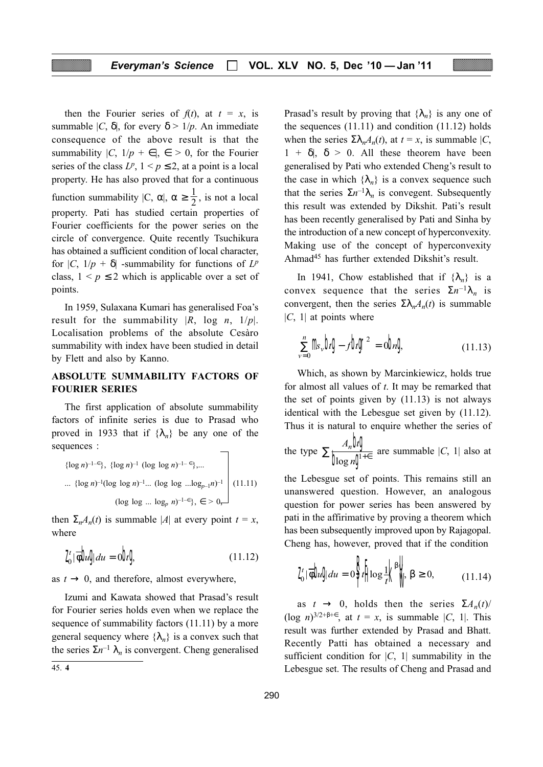then the Fourier series of  $f(t)$ , at  $t = x$ , is summable  $|C, \delta|$ , for every  $\delta > 1/p$ . An immediate consequence of the above result is that the summability  $|C, 1/p + \epsilon|, \epsilon > 0$ , for the Fourier series of the class  $L^p$ ,  $1 \le p \le 2$ , at a point is a local property. He has also proved that for a continuous function summability  $|C, \alpha|, \alpha \ge \frac{1}{2}$ , is not a local property. Pati has studied certain properties of Fourier coefficients for the power series on the circle of convergence. Quite recently Tsuchikura has obtained a sufficient condition of local character, for  $|C, 1/p + \delta|$  -summability for functions of  $L^p$ class,  $1 \le p \le 2$  which is applicable over a set of points.

In 1959, Sulaxana Kumari has generalised Foa's result for the summability  $|R$ , log n,  $1/p$ . Localisation problems of the absolute Cesàro summability with index have been studied in detail by Flett and also by Kanno.

#### ABSOLUTE SUMMABILITY FACTORS OF FOURIER SERIES

The first application of absolute summability factors of infinite series is due to Prasad who proved in 1933 that if  $\{\lambda_n\}$  be any one of the sequences :

$$
\begin{aligned}\n\{\log n\}^{-1-\epsilon}\}, \ \{\log n\}^{-1} \ (\log \log n)^{-1-\epsilon}\}, \dots \\
\dots \ \{\log n\}^{-1} (\log \log n)^{-1} \dots \ (\log \log \dots \log_{p-1} n)^{-1}\n\end{aligned}\n\right\} (11.11)
$$
\n
$$
(\log \log \dots \log_p n)^{-1-\epsilon}\}, \epsilon > 0,
$$

then  $\Sigma_n A_n(t)$  is summable |A| at every point  $t = x$ , where

$$
\mathbf{Z}'_0 | \overline{\phi} \mathbf{b} \mathbf{d} \mathbf{d} u = \mathbf{0} \mathbf{b} \mathbf{g}
$$
 (11.12)

as  $t \rightarrow 0$ , and therefore, almost everywhere,

Izumi and Kawata showed that Prasad's result for Fourier series holds even when we replace the sequence of summability factors (11.11) by a more general sequency where  $\{\lambda_n\}$  is a convex such that the series  $\Sigma n^{-1} \lambda_n$  is convergent. Cheng generalised

Prasad's result by proving that  $\{\lambda_n\}$  is any one of the sequences  $(11.11)$  and condition  $(11.12)$  holds when the series  $\Sigma \lambda_n A_n(t)$ , at  $t = x$ , is summable  $|C|$ ,  $1 + \delta$ ,  $\delta > 0$ . All these theorem have been generalised by Pati who extended Cheng's result to the case in which  $\{\lambda_n\}$  is a convex sequence such that the series  $\Sigma n^{-1}\lambda_n$  is convegent. Subsequently this result was extended by Dikshit. Pati's result has been recently generalised by Pati and Sinha by the introduction of a new concept of hyperconvexity. Making use of the concept of hyperconvexity Ahmad45 has further extended Dikshit's result.

In 1941, Chow established that if  $\{\lambda_n\}$  is a convex sequence that the series  $\Sigma n^{-1}\lambda_n$  is convergent, then the series  $\Sigma \lambda_n A_n(t)$  is summable  $|C, 1|$  at points where

$$
\sum_{\nu=0}^{n} \mathbf{m}_{\nu} \mathbf{b} \mathbf{g} - f \mathbf{b} \mathbf{g}^{2} = \mathbf{0} \mathbf{b} \mathbf{a} \mathbf{g}
$$
 (11.13)

Which, as shown by Marcinkiewicz, holds true for almost all values of  $t$ . It may be remarked that the set of points given by (11.13) is not always identical with the Lebesgue set given by (11.12). Thus it is natural to enquire whether the series of

the type  $A_n$ U  $A_n$ **b** (<br> $\int$   $\log n \int$  $\sum_{n=0}^{\infty} \frac{1}{n+e}$  are summable |C, 1| also at

the Lebesgue set of points. This remains still an unanswered question. However, an analogous question for power series has been answered by pati in the affirimative by proving a theorem which has been subsequently improved upon by Rajagopal. Cheng has, however, proved that if the condition

$$
\mathbf{Z}'_{0}|\overline{\phi} \mathbf{b} \mathbf{d} \mathbf{d} u = 0 \mathbf{F} \left[ \log \frac{1}{t} \mathbf{K}^{\beta} \right] \quad \beta \ge 0, \tag{11.14}
$$

as  $t \rightarrow 0$ , holds then the series  $\Sigma A_n(t)$ (log *n*)<sup>3/2+β+∈</sup>, at  $t = x$ , is summable |C, 1|. This result was further extended by Prasad and Bhatt. Recently Patti has obtained a necessary and sufficient condition for  $|C, 1|$  summability in the 45. 4 Lebesgue set. The results of Cheng and Prasad and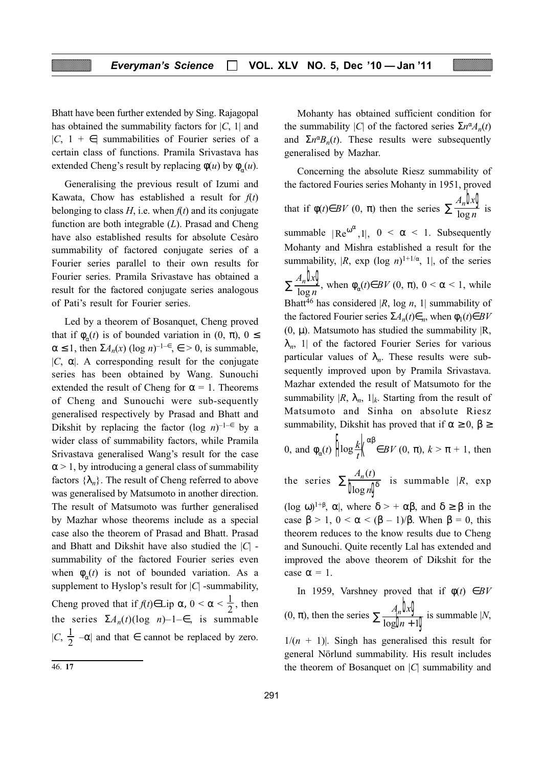Bhatt have been further extended by Sing. Rajagopal has obtained the summability factors for  $|C, 1|$  and  $|C, 1 + \epsilon|$  summabilities of Fourier series of a certain class of functions. Pramila Srivastava has extended Cheng's result by replacing  $\phi(u)$  by  $\phi_{\alpha}(u)$ .

Generalising the previous result of Izumi and Kawata, Chow has established a result for  $f(t)$ belonging to class  $H$ , i.e. when  $f(t)$  and its conjugate function are both integrable  $(L)$ . Prasad and Cheng have also established results for absolute Cesàro summability of factored conjugate series of a Fourier series parallel to their own results for Fourier series. Pramila Srivastave has obtained a result for the factored conjugate series analogous of Pati's result for Fourier series.

Led by a theorem of Bosanquet, Cheng proved that if  $\phi_{\alpha}(t)$  is of bounded variation in  $(0, \pi)$ ,  $0 \le$  $\alpha \leq 1$ , then  $\Sigma A_n(x)$  (log  $n$ )<sup>-1– $\epsilon$ </sup>,  $\epsilon > 0$ , is summable,  $|C, \alpha|$ . A corresponding result for the conjugate series has been obtained by Wang. Sunouchi extended the result of Cheng for  $\alpha = 1$ . Theorems of Cheng and Sunouchi were sub-sequently generalised respectively by Prasad and Bhatt and Dikshit by replacing the factor (log  $n$ )<sup>-1–∈</sup> by a wider class of summability factors, while Pramila Srivastava generalised Wang's result for the case  $\alpha$  > 1, by introducing a general class of summability factors  $\{\lambda_n\}$ . The result of Cheng referred to above was generalised by Matsumoto in another direction. The result of Matsumoto was further generalised by Mazhar whose theorems include as a special case also the theorem of Prasad and Bhatt. Prasad and Bhatt and Dikshit have also studied the  $|C|$  summability of the factored Fourier series even when  $\phi_{\alpha}(t)$  is not of bounded variation. As a supplement to Hyslop's result for  $|C|$  -summability, Cheng proved that if  $f(t) \in \text{Lip } \alpha, 0 < \alpha < \frac{1}{2}$ , then the series  $\Sigma A_n(t)$ (log n)–1– $\in$ , is summable  $|C, \frac{1}{2} - \alpha|$  and that  $\in$  cannot be replaced by zero.

Mohanty has obtained sufficient condition for the summability |C| of the factored series  $\sum n^{\alpha} A_n(t)$ and  $\Sigma n^{\alpha}B_n(t)$ . These results were subsequently generalised by Mazhar.

Concerning the absolute Riesz summability of the factored Fouries series Mohanty in 1951, proved that if  $\phi(t) \in BV(0, \pi)$  then the series  $A_n$ lk  $\boldsymbol{n}$  $\int_{n}$  $\sum \frac{n \omega}{\log n}$  is summable  $|Re^{\omega^{\alpha}}, 1|, 0 < \alpha < 1$ . Subsequently Mohanty and Mishra established a result for the summability,  $|R$ , exp  $(\log n)^{1+1/\alpha}$ , 1, of the series  $A_n$ lk  $\boldsymbol{n}$  $\mathbf{h}$  $\sum_{n=1}^{\infty} \frac{\mu_n \mu}{\log n}$ , when  $\phi_\alpha(t) \in BV(0, \pi)$ ,  $0 < \alpha < 1$ , while Bhatt<sup>46</sup> has considered |R, log n, 1| summability of the factored Fourier series  $\Sigma A_n(t) \in n$ , when  $\phi_1(t) \in BV$  $(0, \mu)$ . Matsumoto has studied the summability  $|R$ ,  $\lambda_n$ , 1| of the factored Fourier Series for various particular values of  $\lambda_n$ . These results were subsequently improved upon by Pramila Srivastava. Mazhar extended the result of Matsumoto for the summability  $|R$ ,  $\lambda_n$ ,  $1|_k$ . Starting from the result of Matsumoto and Sinha on absolute Riesz summability, Dikshit has proved that if  $\alpha \geq 0$ ,  $\beta \geq$  $\frac{1}{2}$ 

0, and 
$$
\phi_{\alpha}(t)
$$
  $\left\| \log \frac{k}{t} \right\|^{2\beta} \in BV(0, \pi), k > \pi + 1$ , then

the series  $A_n(t)$  $\boldsymbol{n}$  $_n(t)$  $\sum \frac{P_n(v)}{\log n}$  is summable  $|R$ , exp

(log  $\omega$ )<sup>1+β</sup>,  $\alpha$ , where  $\delta$  > +  $\alpha\beta$ , and  $\delta \geq \beta$  in the case  $\beta > 1$ ,  $0 < \alpha < (\beta - 1)/\beta$ . When  $\beta = 0$ , this theorem reduces to the know results due to Cheng and Sunouchi. Quite recently Lal has extended and improved the above theorem of Dikshit for the case  $\alpha = 1$ .

In 1959, Varshney proved that if  $\phi(t) \in BV$  $(0, \pi)$ , then the series  $\sum \frac{A_n \mathbf{b}_n}{\mathbf{b}_n}$  $\boldsymbol{n}$  $\mathbf{h}$  $\sum \frac{\sum_{n=1}^{n} x_i y_i}{\log b_i + 10}$  is summable |N,

 $1/(n + 1)$ . Singh has generalised this result for general Nörlund summability. His result includes 46. 17 the theorem of Bosanquet on |C| summability and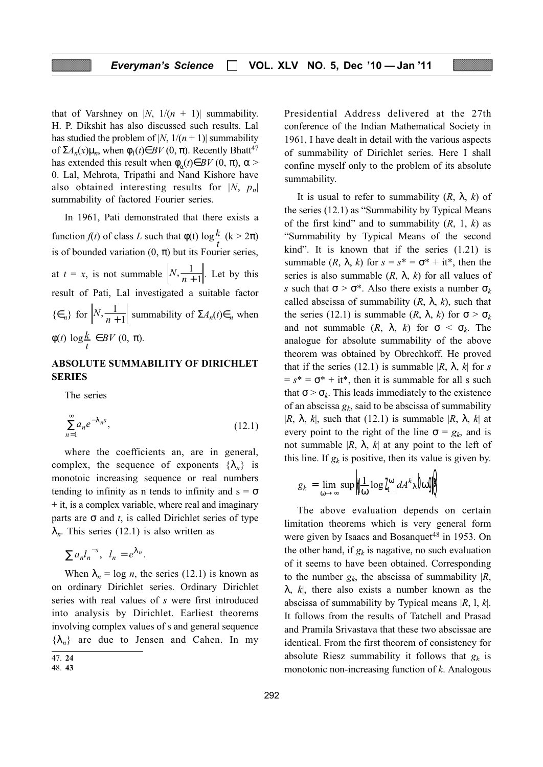that of Varshney on |N,  $1/(n + 1)$ | summability. H. P. Dikshit has also discussed such results. Lal has studied the problem of |N,  $1/(n + 1)$ | summability of  $\Sigma A_n(x)\mu_n$ , when  $\phi_1(t) \in BV(0, \pi)$ . Recently Bhatt<sup>47</sup> has extended this result when  $\phi_n(t) \in BV(0, \pi)$ ,  $\alpha$  > 0. Lal, Mehrota, Tripathi and Nand Kishore have also obtained interesting results for  $|N, p_n|$ summability of factored Fourier series.

In 1961, Pati demonstrated that there exists a function  $f(t)$  of class L such that  $\phi(t) \log \frac{k}{t}$  (k > 2 $\pi$ )  $\boldsymbol{t}$ is of bounded variation  $(0, \pi)$  but its Fourier series, at  $t = x$ , is not summable  $\left| N, \frac{1}{n+1} \right|$ . Let by this result of Pati, Lal investigated a suitable factor  $\{\epsilon_n\}$  for  $\left|N, \frac{1}{n+1}\right|$  summability of  $\Sigma A_n(t) \epsilon_n$  when  $\phi(t)$  log  $\frac{k}{t}$  $\boldsymbol{t}$  $\in BV(0, \pi).$ 

#### ABSOLUTE SUMMABILITY OF DIRICHLET SERIES

The series

$$
\sum_{n=1}^{\infty} a_n e^{-\lambda_n s},\tag{12.1}
$$

where the coefficients an, are in general, complex, the sequence of exponents  $\{\lambda_n\}$  is monotoic increasing sequence or real numbers tending to infinity as n tends to infinity and  $s = \sigma$  $+$  it, is a complex variable, where real and imaginary parts are  $\sigma$  and t, is called Dirichlet series of type  $\lambda_n$ . This series (12.1) is also written as

$$
\sum a_n l_n^{-s}, \ \ l_n = e^{\lambda_n}.
$$

When  $\lambda_n = \log n$ , the series (12.1) is known as on ordinary Dirichlet series. Ordinary Dirichlet series with real values of s were first introduced into analysis by Dirichlet. Earliest theorems involving complex values of s and general sequence  $\{\lambda_n\}$  are due to Jensen and Cahen. In my Presidential Address delivered at the 27th conference of the Indian Mathematical Society in 1961, I have dealt in detail with the various aspects of summability of Dirichlet series. Here I shall confine myself only to the problem of its absolute summability.

It is usual to refer to summability  $(R, \lambda, k)$  of the series (12.1) as "Summability by Typical Means of the first kind" and to summability  $(R, 1, k)$  as "Summability by Typical Means of the second kind". It is known that if the series (1.21) is summable  $(R, \lambda, k)$  for  $s = s^* = \sigma^* + it^*$ , then the series is also summable  $(R, \lambda, k)$  for all values of s such that  $\sigma > \sigma^*$ . Also there exists a number  $\sigma_k$ called abscissa of summability  $(R, \lambda, k)$ , such that the series (12.1) is summable  $(R, \lambda, k)$  for  $\sigma > \sigma_k$ and not summable  $(R, \lambda, k)$  for  $\sigma < \sigma_k$ . The analogue for absolute summability of the above theorem was obtained by Obrechkoff. He proved that if the series (12.1) is summable  $|R, \lambda, k|$  for s  $= s^* = \sigma^* + i t^*$ , then it is summable for all s such that  $\sigma > \sigma_k$ . This leads immediately to the existence of an abscissa  $g_k$ , said to be abscissa of summability |R,  $\lambda$ , k|, such that (12.1) is summable |R,  $\lambda$ , k| at every point to the right of the line  $\sigma = g_k$ , and is not summable  $|R, \lambda, k|$  at any point to the left of this line. If  $g_k$  is positive, then its value is given by.

$$
g_k = \lim_{\omega \to \infty} \sup \left| \prod_{\omega} \log I_i^{\omega} \right| dA^k \lambda \log I_i
$$

The above evaluation depends on certain limitation theorems which is very general form were given by Isaacs and Bosanquet<sup>48</sup> in 1953. On the other hand, if  $g_k$  is nagative, no such evaluation of it seems to have been obtained. Corresponding to the number  $g_k$ , the abscissa of summability  $|R$ ,  $\lambda$ ,  $k$ , there also exists a number known as the abscissa of summability by Typical means  $|R, 1, k|$ . It follows from the results of Tatchell and Prasad and Pramila Srivastava that these two abscissae are identical. From the first theorem of consistency for absolute Riesz summability it follows that  $g_k$  is monotonic non-increasing function of  $k$ . Analogous

<sup>47.</sup> 24

<sup>48.</sup> 43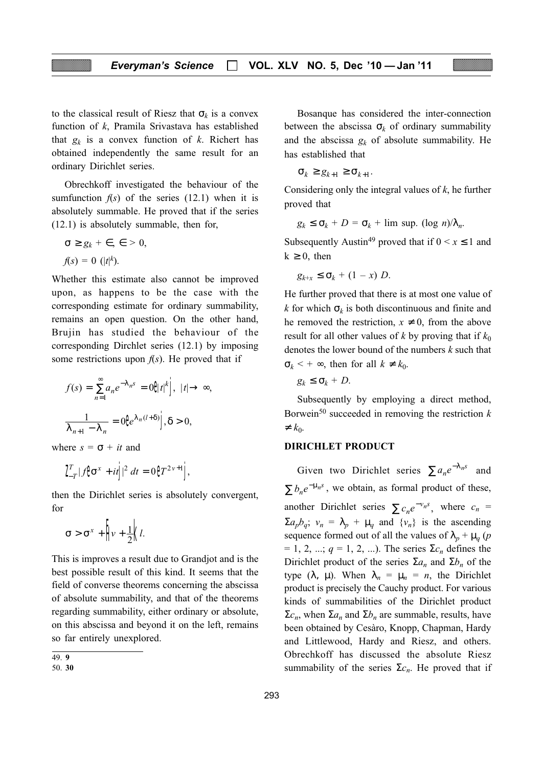to the classical result of Riesz that  $\sigma_k$  is a convex function of k, Pramila Srivastava has established that  $g_k$  is a convex function of k. Richert has obtained independently the same result for an ordinary Dirichlet series.

Obrechkoff investigated the behaviour of the sumfunction  $f(s)$  of the series (12.1) when it is absolutely summable. He proved that if the series (12.1) is absolutely summable, then for,

$$
\sigma \ge g_k + \epsilon, \epsilon > 0,
$$
  

$$
f(s) = 0 \ (|t|^k).
$$

Whether this estimate also cannot be improved upon, as happens to be the case with the corresponding estimate for ordinary summability, remains an open question. On the other hand, Brujin has studied the behaviour of the corresponding Dirchlet series (12.1) by imposing some restrictions upon  $f(s)$ . He proved that if

$$
f(s) = \sum_{n=1}^{\infty} a_n e^{-\lambda_n s} = 0 \mathbf{\theta} t^k \mathbf{\dot{J}}, \ |t| \to \infty,
$$

$$
\frac{1}{\lambda_{n+1} - \lambda_n} = 0 \mathbf{\theta} e^{\lambda_n (l+\delta)} \mathbf{\dot{J}}, \delta > 0,
$$

where  $s = \sigma + it$  and

$$
\int_{-T}^{T} |f\mathbf{\hat{G}}^{x} + it\mathbf{j}|^{2} dt = 0 \mathbf{\hat{G}}^{T^{2\nu+1}}\mathbf{j},
$$

then the Dirichlet series is absolutely convergent, for

$$
\sigma > \sigma^x + \left| \psi + \frac{1}{2} \right| l.
$$

This is improves a result due to Grandjot and is the best possible result of this kind. It seems that the field of converse theorems concerning the abscissa of absolute summability, and that of the theorems regarding summability, either ordinary or absolute, on this abscissa and beyond it on the left, remains so far entirely unexplored.

Bosanque has considered the inter-connection between the abscissa  $\sigma_k$  of ordinary summability and the abscissa  $g_k$  of absolute summability. He has established that

$$
\sigma_k \ge g_{k+1} \ge \sigma_{k+1}.
$$

Considering only the integral values of  $k$ , he further proved that

$$
g_k \le \sigma_k + D = \sigma_k + \limsup_{k \to \infty} (\log n)/\lambda_n
$$

Subsequently Austin<sup>49</sup> proved that if  $0 \le x \le 1$  and  $k \geq 0$ , then

$$
g_{k+x} \leq \sigma_k + (1-x) D.
$$

He further proved that there is at most one value of k for which  $\sigma_k$  is both discontinuous and finite and he removed the restriction,  $x \neq 0$ , from the above result for all other values of k by proving that if  $k_0$ denotes the lower bound of the numbers  $k$  such that  $\sigma_k$  < +  $\infty$ , then for all  $k \neq k_0$ .

 $g_k \leq \sigma_k + D$ .

Subsequently by employing a direct method, Borwein<sup>50</sup> succeeded in removing the restriction  $k$  $\neq k_0$ .

#### DIRICHLET PRODUCT

Given two Dirichlet series  $\sum a_n e^{-\lambda_n s}$  and  $\sum b_n e^{-\mu_n s}$ , we obtain, as formal product of these, another Dirichlet series  $\sum c_n e^{-\nu_n s}$ , where  $c_n =$  $\Sigma a_p b_q$ ;  $v_n = \lambda_p + \mu_q$  and  $\{v_n\}$  is the ascending sequence formed out of all the values of  $\lambda_p + \mu_q$  (p  $= 1, 2, ...; q = 1, 2, ...$ ). The series  $\Sigma c_n$  defines the Dirichlet product of the series  $\Sigma a_n$  and  $\Sigma b_n$  of the type ( $\lambda$ ,  $\mu$ ). When  $\lambda_n = \mu_n = n$ , the Dirichlet product is precisely the Cauchy product. For various kinds of summabilities of the Dirichlet product  $\Sigma c_n$ , when  $\Sigma a_n$  and  $\Sigma b_n$  are summable, results, have been obtained by Cesàro, Knopp, Chapman, Hardy and Littlewood, Hardy and Riesz, and others. Obrechkoff has discussed the absolute Riesz summability of the series  $\Sigma c_n$ . He proved that if

<sup>49.</sup> 9

<sup>50.</sup> 30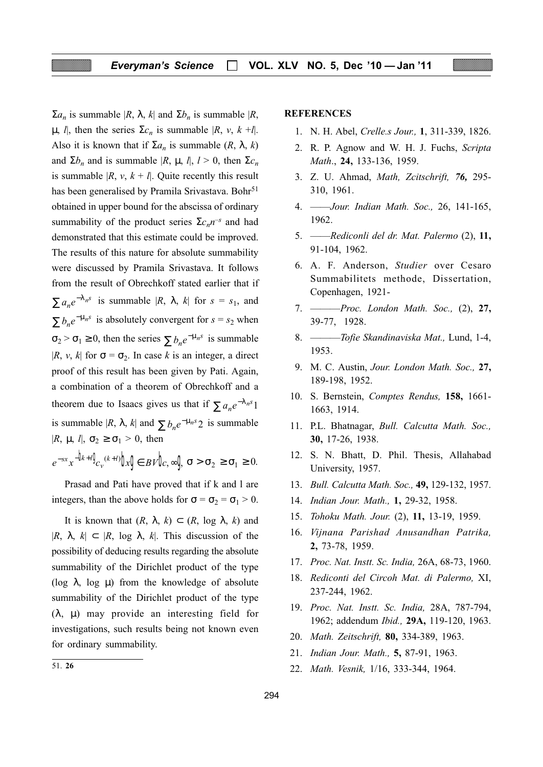$\Sigma a_n$  is summable  $|R, \lambda, k|$  and  $\Sigma b_n$  is summable  $|R,$ μ, l, then the series  $\Sigma c_n$  is summable |R, v, k +l|. Also it is known that if  $\Sigma a_n$  is summable  $(R, \lambda, k)$ and  $\Sigma b_n$  and is summable  $|R, \mu, l|, l > 0$ , then  $\Sigma c_n$ is summable  $|R, v, k + l|$ . Quite recently this result has been generalised by Pramila Srivastava. Bohr<sup>51</sup> obtained in upper bound for the abscissa of ordinary summability of the product series  $\Sigma c_n n^{-s}$  and had demonstrated that this estimate could be improved. The results of this nature for absolute summability were discussed by Pramila Srivastava. It follows from the result of Obrechkoff stated earlier that if  $\sum a_n e^{-\lambda_n s}$  is summable  $|R, \lambda, k|$  for  $s = s_1$ , and  $\sum b_n e^{-\mu_n s}$  is absolutely convergent for  $s = s_2$  when  $\sigma_2 > \sigma_1 \ge 0$ , then the series  $\sum b_n e^{-\mu_n s}$  is summable |R, v, k| for  $\sigma = \sigma_2$ . In case k is an integer, a direct proof of this result has been given by Pati. Again, a combination of a theorem of Obrechkoff and a theorem due to Isaacs gives us that if  $\sum a_n e^{-\lambda_n s} 1$ is summable  $|R, \lambda, k|$  and  $\sum b_n e^{-\mu_n s} 2$  is summable  $|R, \mu, l|, \sigma_2 \geq \sigma_1 > 0$ , then

 $e^{-sx}x^{-\frac{1}{2}(k+l)}\ell_{v}(k+l)}\log f\in BV$ , $\infty$  $\sigma > \sigma_2 \geq \sigma_1 \geq 0$ .

Prasad and Pati have proved that if k and l are integers, than the above holds for  $\sigma = \sigma_2 = \sigma_1 > 0$ .

It is known that  $(R, \lambda, k) \subset (R, \log \lambda, k)$  and  $|R, \lambda, k| \subset |R, \log \lambda, k|$ . This discussion of the possibility of deducing results regarding the absolute summability of the Dirichlet product of the type (log  $\lambda$ , log  $\mu$ ) from the knowledge of absolute summability of the Dirichlet product of the type (λ, µ) may provide an interesting field for investigations, such results being not known even for ordinary summability.

#### **REFERENCES**

- 1. N. H. Abel, Crelle.s Jour., 1, 311-339, 1826.
- 2. R. P. Agnow and W. H. J. Fuchs, Scripta Math., 24, 133-136, 1959.
- 3. Z. U. Ahmad, Math, Zcitschrift, 76, 295- 310, 1961.
- 4. ——Jour. Indian Math. Soc., 26, 141-165, 1962.
- 5. ——Rediconli del dr. Mat. Palermo (2), 11, 91-104, 1962.
- 6. A. F. Anderson, Studier over Cesaro Summabilitets methode, Dissertation, Copenhagen, 1921-
- 7. ———Proc. London Math. Soc., (2), 27, 39-77, 1928.
- 8. ———Tofie Skandinaviska Mat., Lund, 1-4, 1953.
- 9. M. C. Austin, Jour. London Math. Soc., 27, 189-198, 1952.
- 10. S. Bernstein, Comptes Rendus, 158, 1661- 1663, 1914.
- 11. P.L. Bhatnagar, Bull. Calcutta Math. Soc., 30, 17-26, 1938.
- 12. S. N. Bhatt, D. Phil. Thesis, Allahabad University, 1957.
- 13. Bull. Calcutta Math. Soc., 49, 129-132, 1957.
- 14. Indian Jour. Math., 1, 29-32, 1958.
- 15. Tohoku Math. Jour. (2), 11, 13-19, 1959.
- 16. Vijnana Parishad Anusandhan Patrika, 2, 73-78, 1959.
- 17. Proc. Nat. Instt. Sc. India, 26A, 68-73, 1960.
- 18. Rediconti del Circoh Mat. di Palermo, XI, 237-244, 1962.
- 19. Proc. Nat. Instt. Sc. India, 28A, 787-794, 1962; addendum Ibid., 29A, 119-120, 1963.
- 20. Math. Zeitschrift, 80, 334-389, 1963.
- 21. Indian Jour. Math., 5, 87-91, 1963.
- 22. Math. Vesnik, 1/16, 333-344, 1964. 51. <sup>26</sup>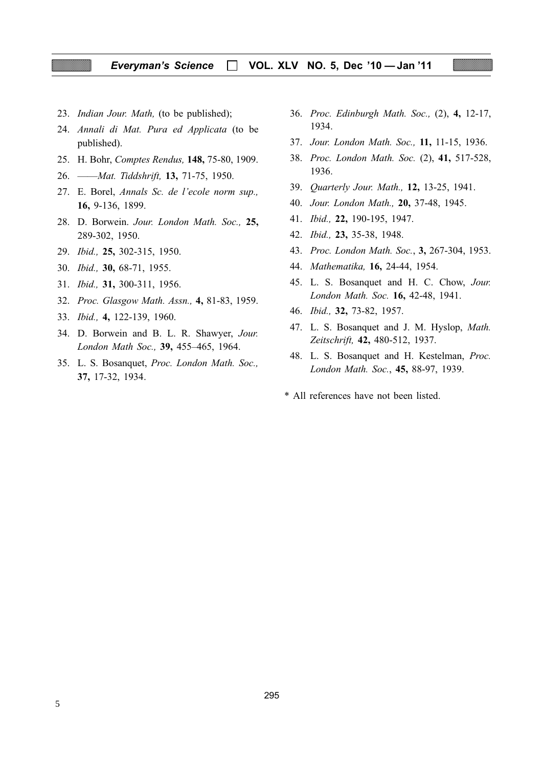#### Everyman's Science | VOL. XLV NO. 5, Dec '10 - Jan '11

- 23. Indian Jour. Math, (to be published);
- 24. Annali di Mat. Pura ed Applicata (to be published).
- 25. H. Bohr, Comptes Rendus, 148, 75-80, 1909.
- 26. ——Mat. Tiddshrift, 13, 71-75, 1950.
- 27. E. Borel, Annals Sc. de l'ecole norm sup., 16, 9-136, 1899.
- 28. D. Borwein. Jour. London Math. Soc., 25, 289-302, 1950.
- 29. Ibid., 25, 302-315, 1950.
- 30. Ibid., 30, 68-71, 1955.
- 31. Ibid., 31, 300-311, 1956.
- 32. Proc. Glasgow Math. Assn., 4, 81-83, 1959.
- 33. Ibid., 4, 122-139, 1960.
- 34. D. Borwein and B. L. R. Shawyer, Jour. London Math Soc., 39, 455–465, 1964.
- 35. L. S. Bosanquet, Proc. London Math. Soc., 37, 17-32, 1934.
- 36. Proc. Edinburgh Math. Soc., (2), 4, 12-17, 1934.
- 37. Jour. London Math. Soc., 11, 11-15, 1936.
- 38. Proc. London Math. Soc. (2), 41, 517-528, 1936.
- 39. Quarterly Jour. Math., 12, 13-25, 1941.
- 40. Jour. London Math., 20, 37-48, 1945.
- 41. Ibid., 22, 190-195, 1947.
- 42. Ibid., 23, 35-38, 1948.
- 43. Proc. London Math. Soc., 3, 267-304, 1953.
- 44. Mathematika, 16, 24-44, 1954.
- 45. L. S. Bosanquet and H. C. Chow, Jour. London Math. Soc. 16, 42-48, 1941.
- 46. Ibid., 32, 73-82, 1957.
- 47. L. S. Bosanquet and J. M. Hyslop, Math. Zeitschrift, 42, 480-512, 1937.
- 48. L. S. Bosanquet and H. Kestelman, Proc. London Math. Soc., 45, 88-97, 1939.
- \* All references have not been listed.

5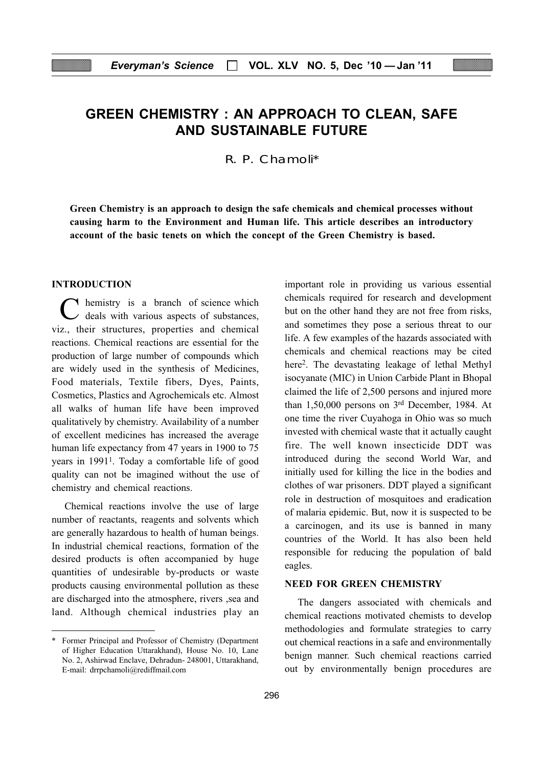## GREEN CHEMISTRY : AN APPROACH TO CLEAN, SAFE AND SUSTAINABLE FUTURE

R. P. Chamoli\*

Green Chemistry is an approach to design the safe chemicals and chemical processes without causing harm to the Environment and Human life. This article describes an introductory account of the basic tenets on which the concept of the Green Chemistry is based.

#### INTRODUCTION

C hemistry is a branch of science which deals with various aspects of substances, viz., their structures, properties and chemical reactions. Chemical reactions are essential for the production of large number of compounds which are widely used in the synthesis of Medicines, Food materials, Textile fibers, Dyes, Paints, Cosmetics, Plastics and Agrochemicals etc. Almost all walks of human life have been improved qualitatively by chemistry. Availability of a number of excellent medicines has increased the average human life expectancy from 47 years in 1900 to 75 years in 19911. Today a comfortable life of good quality can not be imagined without the use of chemistry and chemical reactions.

Chemical reactions involve the use of large number of reactants, reagents and solvents which are generally hazardous to health of human beings. In industrial chemical reactions, formation of the desired products is often accompanied by huge quantities of undesirable by-products or waste products causing environmental pollution as these are discharged into the atmosphere, rivers ,sea and land. Although chemical industries play an important role in providing us various essential chemicals required for research and development but on the other hand they are not free from risks, and sometimes they pose a serious threat to our life. A few examples of the hazards associated with chemicals and chemical reactions may be cited here<sup>2</sup>. The devastating leakage of lethal Methyl isocyanate (MIC) in Union Carbide Plant in Bhopal claimed the life of 2,500 persons and injured more than 1,50,000 persons on 3rd December, 1984. At one time the river Cuyahoga in Ohio was so much invested with chemical waste that it actually caught fire. The well known insecticide DDT was introduced during the second World War, and initially used for killing the lice in the bodies and clothes of war prisoners. DDT played a significant role in destruction of mosquitoes and eradication of malaria epidemic. But, now it is suspected to be a carcinogen, and its use is banned in many countries of the World. It has also been held responsible for reducing the population of bald eagles.

#### NEED FOR GREEN CHEMISTRY

The dangers associated with chemicals and chemical reactions motivated chemists to develop methodologies and formulate strategies to carry out chemical reactions in a safe and environmentally benign manner. Such chemical reactions carried out by environmentally benign procedures are

<sup>\*</sup> Former Principal and Professor of Chemistry (Department of Higher Education Uttarakhand), House No. 10, Lane No. 2, Ashirwad Enclave, Dehradun- 248001, Uttarakhand, E-mail: drrpchamoli@rediffmail.com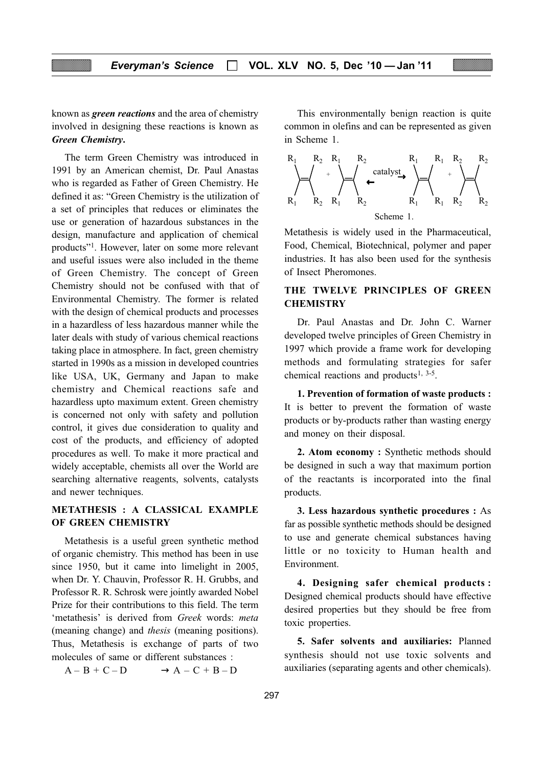known as green reactions and the area of chemistry involved in designing these reactions is known as Green Chemistry.

The term Green Chemistry was introduced in 1991 by an American chemist, Dr. Paul Anastas who is regarded as Father of Green Chemistry. He defined it as: "Green Chemistry is the utilization of a set of principles that reduces or eliminates the use or generation of hazardous substances in the design, manufacture and application of chemical products"1. However, later on some more relevant and useful issues were also included in the theme of Green Chemistry. The concept of Green Chemistry should not be confused with that of Environmental Chemistry. The former is related with the design of chemical products and processes in a hazardless of less hazardous manner while the later deals with study of various chemical reactions taking place in atmosphere. In fact, green chemistry started in 1990s as a mission in developed countries like USA, UK, Germany and Japan to make chemistry and Chemical reactions safe and hazardless upto maximum extent. Green chemistry is concerned not only with safety and pollution control, it gives due consideration to quality and cost of the products, and efficiency of adopted procedures as well. To make it more practical and widely acceptable, chemists all over the World are searching alternative reagents, solvents, catalysts and newer techniques.

#### METATHESIS : A CLASSICAL EXAMPLE OF GREEN CHEMISTRY

Metathesis is a useful green synthetic method of organic chemistry. This method has been in use since 1950, but it came into limelight in 2005, when Dr. Y. Chauvin, Professor R. H. Grubbs, and Professor R. R. Schrosk were jointly awarded Nobel Prize for their contributions to this field. The term 'metathesis' is derived from Greek words: meta (meaning change) and thesis (meaning positions). Thus, Metathesis is exchange of parts of two molecules of same or different substances :

 $A - B + C - D \longrightarrow A - C + B - D$ 

This environmentally benign reaction is quite common in olefins and can be represented as given in Scheme 1.



Metathesis is widely used in the Pharmaceutical, Food, Chemical, Biotechnical, polymer and paper industries. It has also been used for the synthesis of Insect Pheromones.

# THE TWELVE PRINCIPLES OF GREEN **CHEMISTRY**

Dr. Paul Anastas and Dr. John C. Warner developed twelve principles of Green Chemistry in 1997 which provide a frame work for developing methods and formulating strategies for safer chemical reactions and products<sup>1, 3-5</sup>.

1. Prevention of formation of waste products : It is better to prevent the formation of waste products or by-products rather than wasting energy and money on their disposal.

2. Atom economy : Synthetic methods should be designed in such a way that maximum portion of the reactants is incorporated into the final products.

3. Less hazardous synthetic procedures : As far as possible synthetic methods should be designed to use and generate chemical substances having little or no toxicity to Human health and Environment.

4. Designing safer chemical products : Designed chemical products should have effective desired properties but they should be free from toxic properties.

5. Safer solvents and auxiliaries: Planned synthesis should not use toxic solvents and auxiliaries (separating agents and other chemicals).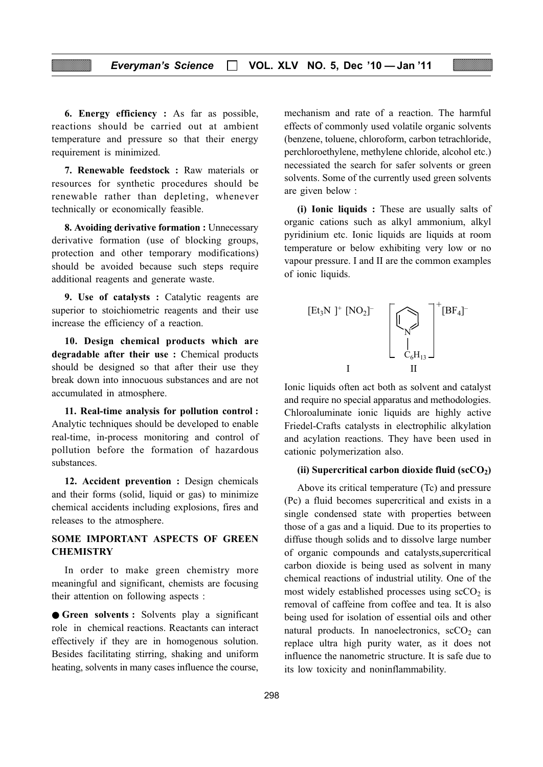6. Energy efficiency : As far as possible, reactions should be carried out at ambient temperature and pressure so that their energy requirement is minimized.

7. Renewable feedstock : Raw materials or resources for synthetic procedures should be renewable rather than depleting, whenever technically or economically feasible.

8. Avoiding derivative formation : Unnecessary derivative formation (use of blocking groups, protection and other temporary modifications) should be avoided because such steps require additional reagents and generate waste.

9. Use of catalysts : Catalytic reagents are superior to stoichiometric reagents and their use increase the efficiency of a reaction.

10. Design chemical products which are degradable after their use : Chemical products should be designed so that after their use they break down into innocuous substances and are not accumulated in atmosphere.

11. Real-time analysis for pollution control : Analytic techniques should be developed to enable real-time, in-process monitoring and control of pollution before the formation of hazardous substances.

12. Accident prevention : Design chemicals and their forms (solid, liquid or gas) to minimize chemical accidents including explosions, fires and releases to the atmosphere.

# SOME IMPORTANT ASPECTS OF GREEN **CHEMISTRY**

In order to make green chemistry more meaningful and significant, chemists are focusing their attention on following aspects :

● Green solvents : Solvents play a significant role in chemical reactions. Reactants can interact effectively if they are in homogenous solution. Besides facilitating stirring, shaking and uniform heating, solvents in many cases influence the course,

mechanism and rate of a reaction. The harmful effects of commonly used volatile organic solvents (benzene, toluene, chloroform, carbon tetrachloride, perchloroethylene, methylene chloride, alcohol etc.) necessiated the search for safer solvents or green solvents. Some of the currently used green solvents are given below :

(i) Ionic liquids : These are usually salts of organic cations such as alkyl ammonium, alkyl pyridinium etc. Ionic liquids are liquids at room temperature or below exhibiting very low or no vapour pressure. I and II are the common examples of ionic liquids.



Ionic liquids often act both as solvent and catalyst and require no special apparatus and methodologies. Chloroaluminate ionic liquids are highly active Friedel-Crafts catalysts in electrophilic alkylation and acylation reactions. They have been used in cationic polymerization also.

#### (ii) Supercritical carbon dioxide fluid  $({\rm scCO_2})$

Above its critical temperature (Tc) and pressure (Pc) a fluid becomes supercritical and exists in a single condensed state with properties between those of a gas and a liquid. Due to its properties to diffuse though solids and to dissolve large number of organic compounds and catalysts,supercritical carbon dioxide is being used as solvent in many chemical reactions of industrial utility. One of the most widely established processes using  $\sec O_2$  is removal of caffeine from coffee and tea. It is also being used for isolation of essential oils and other natural products. In nanoelectronics,  $\sec O_2$  can replace ultra high purity water, as it does not influence the nanometric structure. It is safe due to its low toxicity and noninflammability.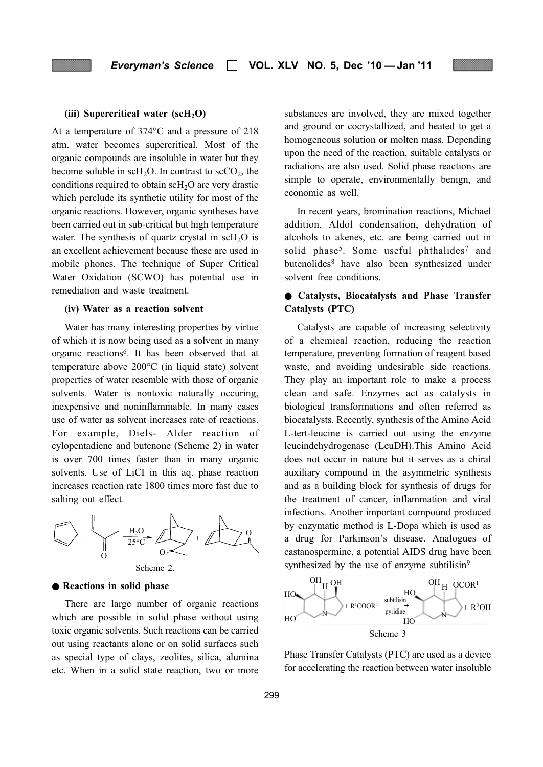# (iii) Supercritical water  $(scH<sub>2</sub>O)$

At a temperature of 374°C and a pressure of 218 atm. water becomes supercritical. Most of the organic compounds are insoluble in water but they become soluble in  $\text{scH}_2\text{O}$ . In contrast to  $\text{scCO}_2$ , the conditions required to obtain  $\text{scH}_2\text{O}$  are very drastic which perclude its synthetic utility for most of the organic reactions. However, organic syntheses have been carried out in sub-critical but high temperature water. The synthesis of quartz crystal in  $\text{scH}_2\text{O}$  is an excellent achievement because these are used in mobile phones. The technique of Super Critical Water Oxidation (SCWO) has potential use in remediation and waste treatment.

#### (iv) Water as a reaction solvent

Water has many interesting properties by virtue of which it is now being used as a solvent in many organic reactions6. It has been observed that at temperature above 200°C (in liquid state) solvent properties of water resemble with those of organic solvents. Water is nontoxic naturally occuring, inexpensive and noninflammable. In many cases use of water as solvent increases rate of reactions. For example, Diels- Alder reaction of cylopentadiene and butenone (Scheme 2) in water is over 700 times faster than in many organic solvents. Use of LiCI in this aq. phase reaction increases reaction rate 1800 times more fast due to salting out effect.



#### ● Reactions in solid phase

There are large number of organic reactions which are possible in solid phase without using toxic organic solvents. Such reactions can be carried out using reactants alone or on solid surfaces such as special type of clays, zeolites, silica, alumina etc. When in a solid state reaction, two or more substances are involved, they are mixed together and ground or cocrystallized, and heated to get a homogeneous solution or molten mass. Depending upon the need of the reaction, suitable catalysts or radiations are also used. Solid phase reactions are simple to operate, environmentally benign, and economic as well.

In recent years, bromination reactions, Michael addition, Aldol condensation, dehydration of alcohols to akenes, etc. are being carried out in solid phase<sup>5</sup>. Some useful phthalides<sup>7</sup> and butenolides8 have also been synthesized under solvent free conditions.

# ● Catalysts, Biocatalysts and Phase Transfer Catalysts (PTC)

Catalysts are capable of increasing selectivity of a chemical reaction, reducing the reaction temperature, preventing formation of reagent based waste, and avoiding undesirable side reactions. They play an important role to make a process clean and safe. Enzymes act as catalysts in biological transformations and often referred as biocatalysts. Recently, synthesis of the Amino Acid L-tert-leucine is carried out using the enzyme leucindehydrogenase (LeuDH).This Amino Acid does not occur in nature but it serves as a chiral auxiliary compound in the asymmetric synthesis and as a building block for synthesis of drugs for the treatment of cancer, inflammation and viral infections. Another important compound produced by enzymatic method is L-Dopa which is used as a drug for Parkinson's disease. Analogues of castanospermine, a potential AIDS drug have been synthesized by the use of enzyme subtilisin<sup>9</sup>



Phase Transfer Catalysts (PTC) are used as a device for accelerating the reaction between water insoluble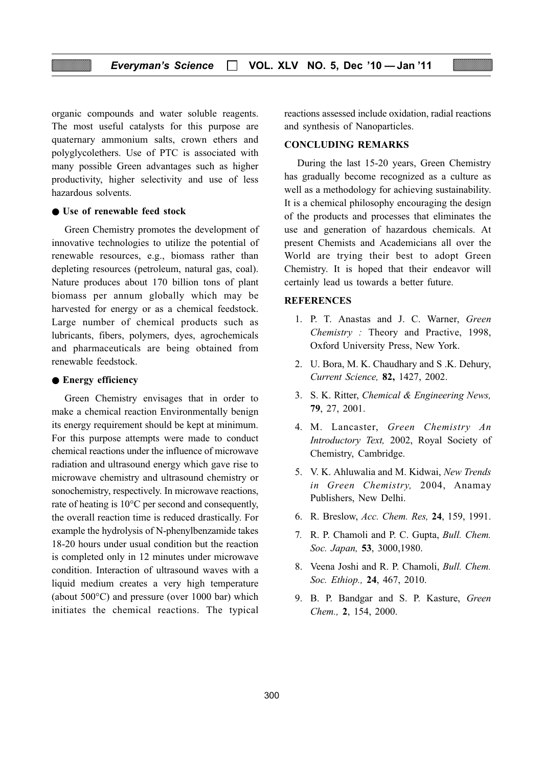organic compounds and water soluble reagents. The most useful catalysts for this purpose are quaternary ammonium salts, crown ethers and polyglycolethers. Use of PTC is associated with many possible Green advantages such as higher productivity, higher selectivity and use of less hazardous solvents.

#### ● Use of renewable feed stock

Green Chemistry promotes the development of innovative technologies to utilize the potential of renewable resources, e.g., biomass rather than depleting resources (petroleum, natural gas, coal). Nature produces about 170 billion tons of plant biomass per annum globally which may be harvested for energy or as a chemical feedstock. Large number of chemical products such as lubricants, fibers, polymers, dyes, agrochemicals and pharmaceuticals are being obtained from renewable feedstock.

#### ● Energy efficiency

Green Chemistry envisages that in order to make a chemical reaction Environmentally benign its energy requirement should be kept at minimum. For this purpose attempts were made to conduct chemical reactions under the influence of microwave radiation and ultrasound energy which gave rise to microwave chemistry and ultrasound chemistry or sonochemistry, respectively. In microwave reactions, rate of heating is 10°C per second and consequently, the overall reaction time is reduced drastically. For example the hydrolysis of N-phenylbenzamide takes 18-20 hours under usual condition but the reaction is completed only in 12 minutes under microwave condition. Interaction of ultrasound waves with a liquid medium creates a very high temperature (about 500°C) and pressure (over 1000 bar) which initiates the chemical reactions. The typical

reactions assessed include oxidation, radial reactions and synthesis of Nanoparticles.

#### CONCLUDING REMARKS

During the last 15-20 years, Green Chemistry has gradually become recognized as a culture as well as a methodology for achieving sustainability. It is a chemical philosophy encouraging the design of the products and processes that eliminates the use and generation of hazardous chemicals. At present Chemists and Academicians all over the World are trying their best to adopt Green Chemistry. It is hoped that their endeavor will certainly lead us towards a better future.

#### **REFERENCES**

- 1. P. T. Anastas and J. C. Warner, Green Chemistry : Theory and Practive, 1998, Oxford University Press, New York.
- 2. U. Bora, M. K. Chaudhary and S .K. Dehury, Current Science, 82, 1427, 2002.
- 3. S. K. Ritter, Chemical & Engineering News, 79, 27, 2001.
- 4. M. Lancaster, Green Chemistry An Introductory Text, 2002, Royal Society of Chemistry, Cambridge.
- 5. V. K. Ahluwalia and M. Kidwai, New Trends in Green Chemistry, 2004, Anamay Publishers, New Delhi.
- 6. R. Breslow, Acc. Chem. Res, 24, 159, 1991.
- 7. R. P. Chamoli and P. C. Gupta, Bull. Chem. Soc. Japan, 53, 3000,1980.
- 8. Veena Joshi and R. P. Chamoli, Bull. Chem. Soc. Ethiop., 24, 467, 2010.
- 9. B. P. Bandgar and S. P. Kasture, Green Chem., 2, 154, 2000.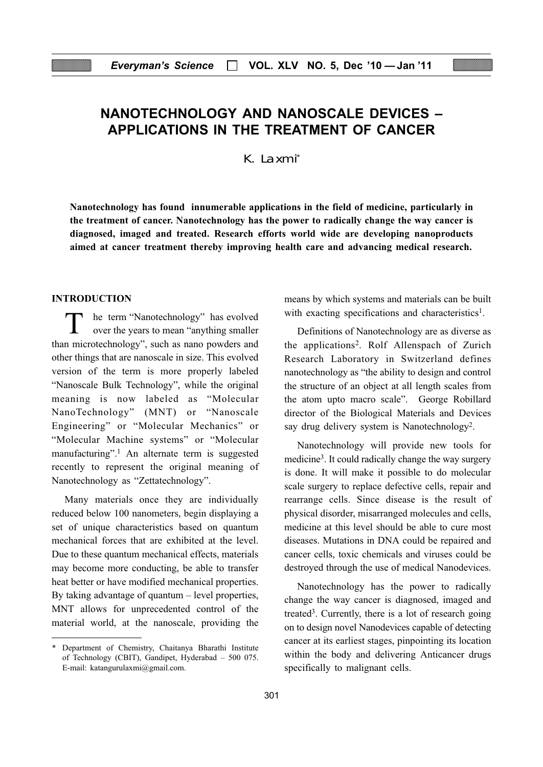# NANOTECHNOLOGY AND NANOSCALE DEVICES – APPLICATIONS IN THE TREATMENT OF CANCER

K. Laxmi\*

Nanotechnology has found innumerable applications in the field of medicine, particularly in the treatment of cancer. Nanotechnology has the power to radically change the way cancer is diagnosed, imaged and treated. Research efforts world wide are developing nanoproducts aimed at cancer treatment thereby improving health care and advancing medical research.

#### INTRODUCTION

he term "Nanotechnology" has evolved over the years to mean "anything smaller than microtechnology", such as nano powders and other things that are nanoscale in size. This evolved version of the term is more properly labeled "Nanoscale Bulk Technology", while the original meaning is now labeled as "Molecular NanoTechnology" (MNT) or "Nanoscale Engineering" or "Molecular Mechanics" or "Molecular Machine systems" or "Molecular manufacturing".1 An alternate term is suggested recently to represent the original meaning of Nanotechnology as "Zettatechnology".

Many materials once they are individually reduced below 100 nanometers, begin displaying a set of unique characteristics based on quantum mechanical forces that are exhibited at the level. Due to these quantum mechanical effects, materials may become more conducting, be able to transfer heat better or have modified mechanical properties. By taking advantage of quantum – level properties, MNT allows for unprecedented control of the material world, at the nanoscale, providing the

means by which systems and materials can be built with exacting specifications and characteristics<sup>1</sup>.

Definitions of Nanotechnology are as diverse as the applications2. Rolf Allenspach of Zurich Research Laboratory in Switzerland defines nanotechnology as "the ability to design and control the structure of an object at all length scales from the atom upto macro scale". George Robillard director of the Biological Materials and Devices say drug delivery system is Nanotechnology<sup>2</sup>.

Nanotechnology will provide new tools for medicine<sup>3</sup>. It could radically change the way surgery is done. It will make it possible to do molecular scale surgery to replace defective cells, repair and rearrange cells. Since disease is the result of physical disorder, misarranged molecules and cells, medicine at this level should be able to cure most diseases. Mutations in DNA could be repaired and cancer cells, toxic chemicals and viruses could be destroyed through the use of medical Nanodevices.

Nanotechnology has the power to radically change the way cancer is diagnosed, imaged and treated<sup>3</sup>. Currently, there is a lot of research going on to design novel Nanodevices capable of detecting cancer at its earliest stages, pinpointing its location within the body and delivering Anticancer drugs specifically to malignant cells.

<sup>\*</sup> Department of Chemistry, Chaitanya Bharathi Institute of Technology (CBIT), Gandipet, Hyderabad – 500 075. E-mail: katangurulaxmi@gmail.com.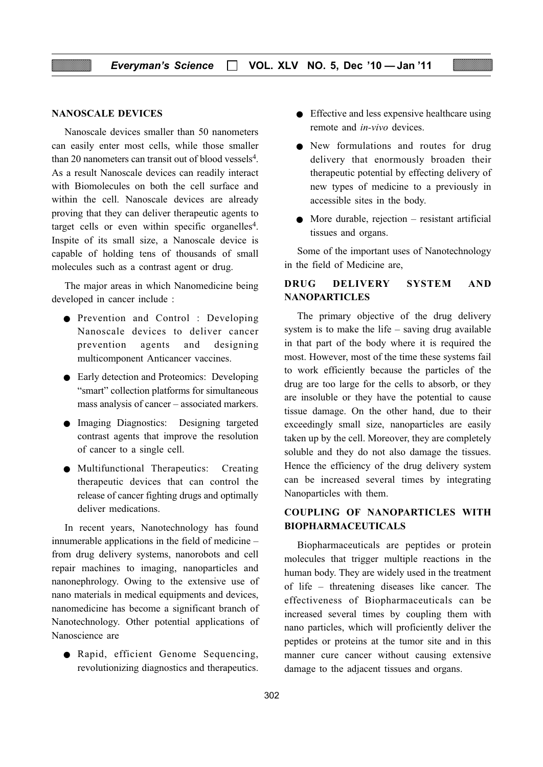#### NANOSCALE DEVICES

Nanoscale devices smaller than 50 nanometers can easily enter most cells, while those smaller than 20 nanometers can transit out of blood vessels<sup>4</sup>. As a result Nanoscale devices can readily interact with Biomolecules on both the cell surface and within the cell. Nanoscale devices are already proving that they can deliver therapeutic agents to target cells or even within specific organelles<sup>4</sup>. Inspite of its small size, a Nanoscale device is capable of holding tens of thousands of small molecules such as a contrast agent or drug.

The major areas in which Nanomedicine being developed in cancer include :

- Prevention and Control : Developing Nanoscale devices to deliver cancer prevention agents and designing multicomponent Anticancer vaccines.
- Early detection and Proteomics: Developing "smart" collection platforms for simultaneous mass analysis of cancer – associated markers.
- Imaging Diagnostics: Designing targeted contrast agents that improve the resolution of cancer to a single cell.
- Multifunctional Therapeutics: Creating therapeutic devices that can control the release of cancer fighting drugs and optimally deliver medications.

In recent years, Nanotechnology has found innumerable applications in the field of medicine – from drug delivery systems, nanorobots and cell repair machines to imaging, nanoparticles and nanonephrology. Owing to the extensive use of nano materials in medical equipments and devices, nanomedicine has become a significant branch of Nanotechnology. Other potential applications of Nanoscience are

● Rapid, efficient Genome Sequencing, revolutionizing diagnostics and therapeutics.

- Effective and less expensive healthcare using remote and in-vivo devices.
- New formulations and routes for drug delivery that enormously broaden their therapeutic potential by effecting delivery of new types of medicine to a previously in accessible sites in the body.
- $\bullet$  More durable, rejection resistant artificial tissues and organs.

Some of the important uses of Nanotechnology in the field of Medicine are,

# DRUG DELIVERY SYSTEM AND NANOPARTICLES

The primary objective of the drug delivery system is to make the life – saving drug available in that part of the body where it is required the most. However, most of the time these systems fail to work efficiently because the particles of the drug are too large for the cells to absorb, or they are insoluble or they have the potential to cause tissue damage. On the other hand, due to their exceedingly small size, nanoparticles are easily taken up by the cell. Moreover, they are completely soluble and they do not also damage the tissues. Hence the efficiency of the drug delivery system can be increased several times by integrating Nanoparticles with them.

# COUPLING OF NANOPARTICLES WITH BIOPHARMACEUTICALS

Biopharmaceuticals are peptides or protein molecules that trigger multiple reactions in the human body. They are widely used in the treatment of life – threatening diseases like cancer. The effectiveness of Biopharmaceuticals can be increased several times by coupling them with nano particles, which will proficiently deliver the peptides or proteins at the tumor site and in this manner cure cancer without causing extensive damage to the adjacent tissues and organs.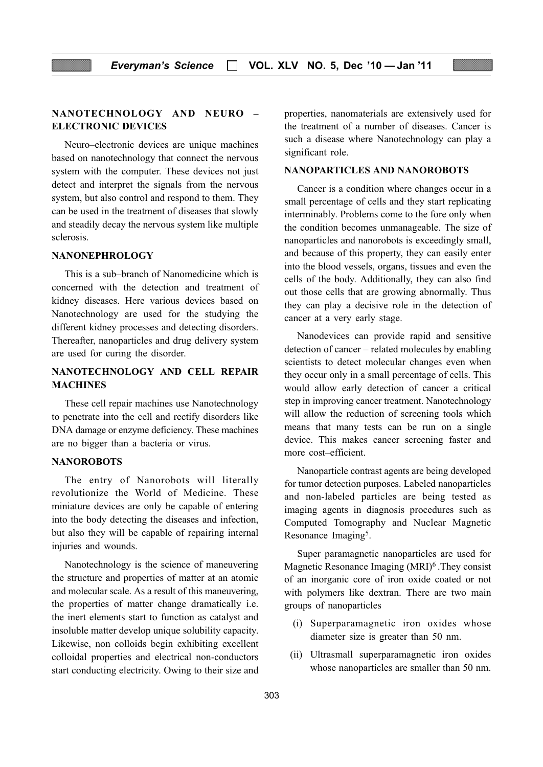## NANOTECHNOLOGY AND NEURO – ELECTRONIC DEVICES

Neuro–electronic devices are unique machines based on nanotechnology that connect the nervous system with the computer. These devices not just detect and interpret the signals from the nervous system, but also control and respond to them. They can be used in the treatment of diseases that slowly and steadily decay the nervous system like multiple sclerosis.

#### NANONEPHROLOGY

This is a sub–branch of Nanomedicine which is concerned with the detection and treatment of kidney diseases. Here various devices based on Nanotechnology are used for the studying the different kidney processes and detecting disorders. Thereafter, nanoparticles and drug delivery system are used for curing the disorder.

# NANOTECHNOLOGY AND CELL REPAIR **MACHINES**

These cell repair machines use Nanotechnology to penetrate into the cell and rectify disorders like DNA damage or enzyme deficiency. These machines are no bigger than a bacteria or virus.

#### **NANOROBOTS**

The entry of Nanorobots will literally revolutionize the World of Medicine. These miniature devices are only be capable of entering into the body detecting the diseases and infection, but also they will be capable of repairing internal injuries and wounds.

Nanotechnology is the science of maneuvering the structure and properties of matter at an atomic and molecular scale. As a result of this maneuvering, the properties of matter change dramatically i.e. the inert elements start to function as catalyst and insoluble matter develop unique solubility capacity. Likewise, non colloids begin exhibiting excellent colloidal properties and electrical non-conductors start conducting electricity. Owing to their size and

properties, nanomaterials are extensively used for the treatment of a number of diseases. Cancer is such a disease where Nanotechnology can play a significant role.

#### NANOPARTICLES AND NANOROBOTS

Cancer is a condition where changes occur in a small percentage of cells and they start replicating interminably. Problems come to the fore only when the condition becomes unmanageable. The size of nanoparticles and nanorobots is exceedingly small, and because of this property, they can easily enter into the blood vessels, organs, tissues and even the cells of the body. Additionally, they can also find out those cells that are growing abnormally. Thus they can play a decisive role in the detection of cancer at a very early stage.

Nanodevices can provide rapid and sensitive detection of cancer – related molecules by enabling scientists to detect molecular changes even when they occur only in a small percentage of cells. This would allow early detection of cancer a critical step in improving cancer treatment. Nanotechnology will allow the reduction of screening tools which means that many tests can be run on a single device. This makes cancer screening faster and more cost–efficient.

Nanoparticle contrast agents are being developed for tumor detection purposes. Labeled nanoparticles and non-labeled particles are being tested as imaging agents in diagnosis procedures such as Computed Tomography and Nuclear Magnetic Resonance Imaging5.

Super paramagnetic nanoparticles are used for Magnetic Resonance Imaging (MRI)6 .They consist of an inorganic core of iron oxide coated or not with polymers like dextran. There are two main groups of nanoparticles

- (i) Superparamagnetic iron oxides whose diameter size is greater than 50 nm.
- (ii) Ultrasmall superparamagnetic iron oxides whose nanoparticles are smaller than 50 nm.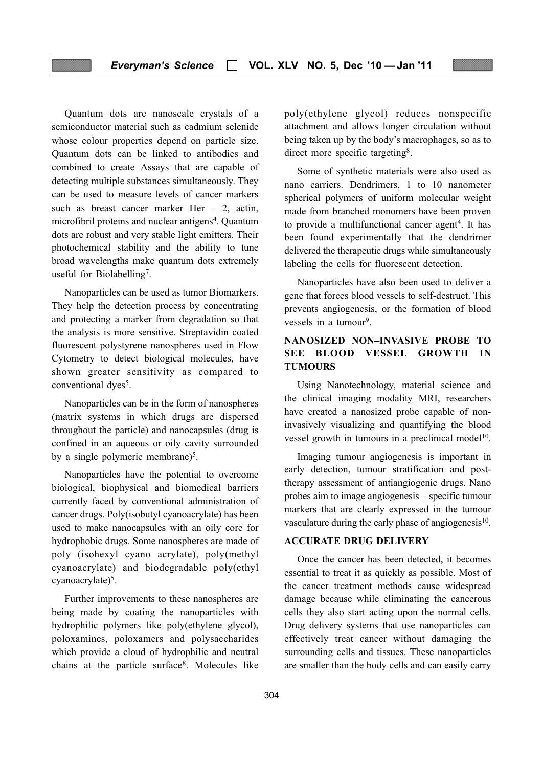## Everyman's Science  $\Box$  VOL. XLV NO. 5, Dec '10 - Jan '11

Quantum dots are nanoscale crystals of a semiconductor material such as cadmium selenide whose colour properties depend on particle size. Quantum dots can be linked to antibodies and combined to create Assays that are capable of detecting multiple substances simultaneously. They can be used to measure levels of cancer markers such as breast cancer marker Her  $-2$ , actin, microfibril proteins and nuclear antigens<sup>4</sup>. Quantum dots are robust and very stable light emitters. Their photochemical stability and the ability to tune broad wavelengths make quantum dots extremely useful for Biolabelling7.

Nanoparticles can be used as tumor Biomarkers. They help the detection process by concentrating and protecting a marker from degradation so that the analysis is more sensitive. Streptavidin coated fluorescent polystyrene nanospheres used in Flow Cytometry to detect biological molecules, have shown greater sensitivity as compared to conventional dyes<sup>5</sup>.

Nanoparticles can be in the form of nanospheres (matrix systems in which drugs are dispersed throughout the particle) and nanocapsules (drug is confined in an aqueous or oily cavity surrounded by a single polymeric membrane)<sup>5</sup>.

Nanoparticles have the potential to overcome biological, biophysical and biomedical barriers currently faced by conventional administration of cancer drugs. Poly(isobutyl cyanoacrylate) has been used to make nanocapsules with an oily core for hydrophobic drugs. Some nanospheres are made of poly (isohexyl cyano acrylate), poly(methyl cyanoacrylate) and biodegradable poly(ethyl cyanoacrylate)<sup>5</sup>.

Further improvements to these nanospheres are being made by coating the nanoparticles with hydrophilic polymers like poly(ethylene glycol), poloxamines, poloxamers and polysaccharides which provide a cloud of hydrophilic and neutral chains at the particle surface8. Molecules like poly(ethylene glycol) reduces nonspecific attachment and allows longer circulation without being taken up by the body's macrophages, so as to direct more specific targeting<sup>8</sup>.

Some of synthetic materials were also used as nano carriers. Dendrimers, 1 to 10 nanometer spherical polymers of uniform molecular weight made from branched monomers have been proven to provide a multifunctional cancer agent<sup>4</sup>. It has been found experimentally that the dendrimer delivered the therapeutic drugs while simultaneously labeling the cells for fluorescent detection.

Nanoparticles have also been used to deliver a gene that forces blood vessels to self-destruct. This prevents angiogenesis, or the formation of blood vessels in a tumour<sup>9</sup>.

# NANOSIZED NON–INVASIVE PROBE TO SEE BLOOD VESSEL GROWTH IN **TUMOURS**

Using Nanotechnology, material science and the clinical imaging modality MRI, researchers have created a nanosized probe capable of noninvasively visualizing and quantifying the blood vessel growth in tumours in a preclinical model $10$ .

Imaging tumour angiogenesis is important in early detection, tumour stratification and posttherapy assessment of antiangiogenic drugs. Nano probes aim to image angiogenesis – specific tumour markers that are clearly expressed in the tumour vasculature during the early phase of angiogenesis $10$ .

# ACCURATE DRUG DELIVERY

Once the cancer has been detected, it becomes essential to treat it as quickly as possible. Most of the cancer treatment methods cause widespread damage because while eliminating the cancerous cells they also start acting upon the normal cells. Drug delivery systems that use nanoparticles can effectively treat cancer without damaging the surrounding cells and tissues. These nanoparticles are smaller than the body cells and can easily carry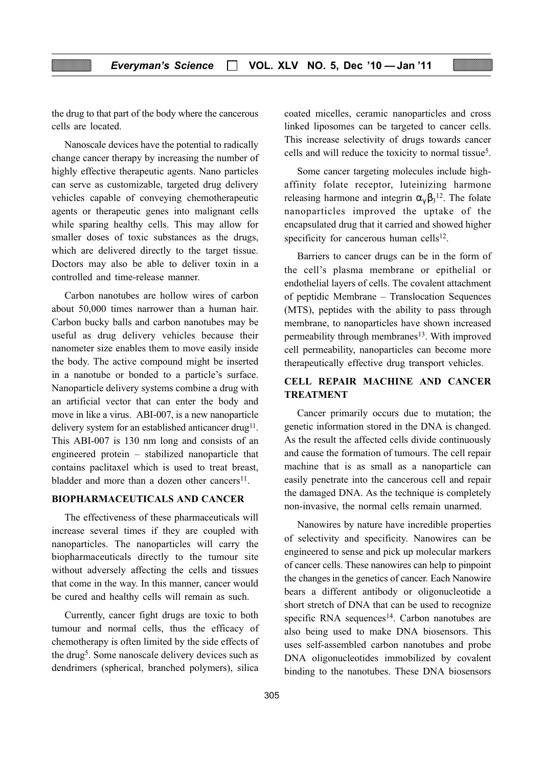the drug to that part of the body where the cancerous cells are located.

Nanoscale devices have the potential to radically change cancer therapy by increasing the number of highly effective therapeutic agents. Nano particles can serve as customizable, targeted drug delivery vehicles capable of conveying chemotherapeutic agents or therapeutic genes into malignant cells while sparing healthy cells. This may allow for smaller doses of toxic substances as the drugs, which are delivered directly to the target tissue. Doctors may also be able to deliver toxin in a controlled and time-release manner.

Carbon nanotubes are hollow wires of carbon about 50,000 times narrower than a human hair. Carbon bucky balls and carbon nanotubes may be useful as drug delivery vehicles because their nanometer size enables them to move easily inside the body. The active compound might be inserted in a nanotube or bonded to a particle's surface. Nanoparticle delivery systems combine a drug with an artificial vector that can enter the body and move in like a virus. ABI-007, is a new nanoparticle delivery system for an established anticancer drug<sup>11</sup>. This ABI-007 is 130 nm long and consists of an engineered protein – stabilized nanoparticle that contains paclitaxel which is used to treat breast, bladder and more than a dozen other cancers<sup>11</sup>.

## BIOPHARMACEUTICALS AND CANCER

The effectiveness of these pharmaceuticals will increase several times if they are coupled with nanoparticles. The nanoparticles will carry the biopharmaceuticals directly to the tumour site without adversely affecting the cells and tissues that come in the way. In this manner, cancer would be cured and healthy cells will remain as such.

Currently, cancer fight drugs are toxic to both tumour and normal cells, thus the efficacy of chemotherapy is often limited by the side effects of the drug5. Some nanoscale delivery devices such as dendrimers (spherical, branched polymers), silica

coated micelles, ceramic nanoparticles and cross linked liposomes can be targeted to cancer cells. This increase selectivity of drugs towards cancer cells and will reduce the toxicity to normal tissue5.

Some cancer targeting molecules include highaffinity folate receptor, luteinizing harmone releasing harmone and integrin  $\alpha_{\gamma} \beta_3$ <sup>12</sup>. The folate nanoparticles improved the uptake of the encapsulated drug that it carried and showed higher specificity for cancerous human cells $12$ .

Barriers to cancer drugs can be in the form of the cell's plasma membrane or epithelial or endothelial layers of cells. The covalent attachment of peptidic Membrane – Translocation Sequences (MTS), peptides with the ability to pass through membrane, to nanoparticles have shown increased permeability through membranes<sup>13</sup>. With improved cell permeability, nanoparticles can become more therapeutically effective drug transport vehicles.

# CELL REPAIR MACHINE AND CANCER TREATMENT

Cancer primarily occurs due to mutation; the genetic information stored in the DNA is changed. As the result the affected cells divide continuously and cause the formation of tumours. The cell repair machine that is as small as a nanoparticle can easily penetrate into the cancerous cell and repair the damaged DNA. As the technique is completely non-invasive, the normal cells remain unarmed.

Nanowires by nature have incredible properties of selectivity and specificity. Nanowires can be engineered to sense and pick up molecular markers of cancer cells. These nanowires can help to pinpoint the changes in the genetics of cancer. Each Nanowire bears a different antibody or oligonucleotide a short stretch of DNA that can be used to recognize specific RNA sequences<sup>14</sup>. Carbon nanotubes are also being used to make DNA biosensors. This uses self-assembled carbon nanotubes and probe DNA oligonucleotides immobilized by covalent binding to the nanotubes. These DNA biosensors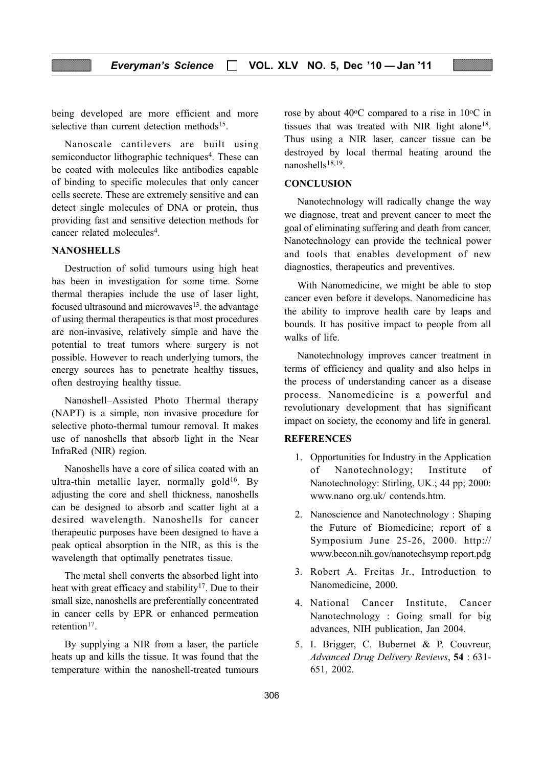being developed are more efficient and more selective than current detection methods<sup>15</sup>.

Nanoscale cantilevers are built using semiconductor lithographic techniques<sup>4</sup>. These can be coated with molecules like antibodies capable of binding to specific molecules that only cancer cells secrete. These are extremely sensitive and can detect single molecules of DNA or protein, thus providing fast and sensitive detection methods for cancer related molecules4.

## **NANOSHELLS**

Destruction of solid tumours using high heat has been in investigation for some time. Some thermal therapies include the use of laser light, focused ultrasound and microwaves<sup>13</sup>, the advantage of using thermal therapeutics is that most procedures are non-invasive, relatively simple and have the potential to treat tumors where surgery is not possible. However to reach underlying tumors, the energy sources has to penetrate healthy tissues, often destroying healthy tissue.

Nanoshell–Assisted Photo Thermal therapy (NAPT) is a simple, non invasive procedure for selective photo-thermal tumour removal. It makes use of nanoshells that absorb light in the Near InfraRed (NIR) region.

Nanoshells have a core of silica coated with an ultra-thin metallic layer, normally gold<sup>16</sup>. By adjusting the core and shell thickness, nanoshells can be designed to absorb and scatter light at a desired wavelength. Nanoshells for cancer therapeutic purposes have been designed to have a peak optical absorption in the NIR, as this is the wavelength that optimally penetrates tissue.

The metal shell converts the absorbed light into heat with great efficacy and stability<sup>17</sup>. Due to their small size, nanoshells are preferentially concentrated in cancer cells by EPR or enhanced permeation retention<sup>17</sup>.

By supplying a NIR from a laser, the particle heats up and kills the tissue. It was found that the temperature within the nanoshell-treated tumours rose by about  $40^{\circ}$ C compared to a rise in  $10^{\circ}$ C in tissues that was treated with NIR light alone<sup>18</sup>. Thus using a NIR laser, cancer tissue can be destroyed by local thermal heating around the nanoshells $18,19$ 

# **CONCLUSION**

Nanotechnology will radically change the way we diagnose, treat and prevent cancer to meet the goal of eliminating suffering and death from cancer. Nanotechnology can provide the technical power and tools that enables development of new diagnostics, therapeutics and preventives.

With Nanomedicine, we might be able to stop cancer even before it develops. Nanomedicine has the ability to improve health care by leaps and bounds. It has positive impact to people from all walks of life.

Nanotechnology improves cancer treatment in terms of efficiency and quality and also helps in the process of understanding cancer as a disease process. Nanomedicine is a powerful and revolutionary development that has significant impact on society, the economy and life in general.

#### **REFERENCES**

- 1. Opportunities for Industry in the Application of Nanotechnology; Institute of Nanotechnology: Stirling, UK.; 44 pp; 2000: www.nano org.uk/ contends.htm.
- 2. Nanoscience and Nanotechnology : Shaping the Future of Biomedicine; report of a Symposium June 25-26, 2000. http:// www.becon.nih.gov/nanotechsymp report.pdg
- 3. Robert A. Freitas Jr., Introduction to Nanomedicine, 2000.
- 4. National Cancer Institute, Cancer Nanotechnology : Going small for big advances, NIH publication, Jan 2004.
- 5. I. Brigger, C. Bubernet & P. Couvreur, Advanced Drug Delivery Reviews, 54 : 631- 651, 2002.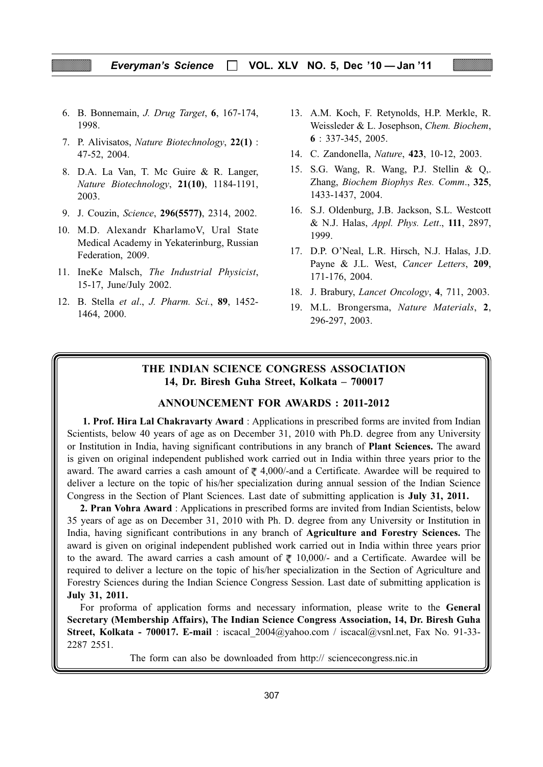#### Everyman's Science  $\Box$  VOL. XLV NO. 5, Dec '10 - Jan '11

6. B. Bonnemain, J. Drug Target, 6, 167-174, 1998.

.

- 7. P. Alivisatos, Nature Biotechnology, 22(1) : 47-52, 2004.
- 8. D.A. La Van, T. Mc Guire & R. Langer, Nature Biotechnology, 21(10), 1184-1191, 2003.
- 9. J. Couzin, Science, 296(5577), 2314, 2002.
- 10. M.D. Alexandr KharlamoV, Ural State Medical Academy in Yekaterinburg, Russian Federation, 2009.
- 11. IneKe Malsch, The Industrial Physicist, 15-17, June/July 2002.
- 12. B. Stella et al., J. Pharm. Sci., 89, 1452- 1464, 2000.
- 13. A.M. Koch, F. Retynolds, H.P. Merkle, R. Weissleder & L. Josephson, Chem. Biochem, 6 : 337-345, 2005.
- 14. C. Zandonella, Nature, 423, 10-12, 2003.
- 15. S.G. Wang, R. Wang, P.J. Stellin & Q,. Zhang, Biochem Biophys Res. Comm., 325, 1433-1437, 2004.
- 16. S.J. Oldenburg, J.B. Jackson, S.L. Westcott & N.J. Halas, Appl. Phys. Lett., 111, 2897, 1999.
- 17. D.P. O'Neal, L.R. Hirsch, N.J. Halas, J.D. Payne & J.L. West, Cancer Letters, 209, 171-176, 2004.
- 18. J. Brabury, Lancet Oncology, 4, 711, 2003.
- 19. M.L. Brongersma, Nature Materials, 2, 296-297, 2003.

# THE INDIAN SCIENCE CONGRESS ASSOCIATION 14, Dr. Biresh Guha Street, Kolkata – 700017

#### ANNOUNCEMENT FOR AWARDS : 2011-2012

1. Prof. Hira Lal Chakravarty Award: Applications in prescribed forms are invited from Indian Scientists, below 40 years of age as on December 31, 2010 with Ph.D. degree from any University or Institution in India, having significant contributions in any branch of Plant Sciences. The award is given on original independent published work carried out in India within three years prior to the award. The award carries a cash amount of  $\ell$  4,000/-and a Certificate. Awardee will be required to deliver a lecture on the topic of his/her specialization during annual session of the Indian Science Congress in the Section of Plant Sciences. Last date of submitting application is July 31, 2011.

2. Pran Vohra Award : Applications in prescribed forms are invited from Indian Scientists, below 35 years of age as on December 31, 2010 with Ph. D. degree from any University or Institution in India, having significant contributions in any branch of Agriculture and Forestry Sciences. The award is given on original independent published work carried out in India within three years prior to the award. The award carries a cash amount of  $\overline{\xi}$  10,000/- and a Certificate. Awardee will be required to deliver a lecture on the topic of his/her specialization in the Section of Agriculture and Forestry Sciences during the Indian Science Congress Session. Last date of submitting application is July 31, 2011.

For proforma of application forms and necessary information, please write to the General Secretary (Membership Affairs), The Indian Science Congress Association, 14, Dr. Biresh Guha Street, Kolkata - 700017. E-mail : iscacal  $2004@yahoo.com$  / iscacal@vsnl.net, Fax No. 91-33-2287 2551.

The form can also be downloaded from http:// sciencecongress.nic.in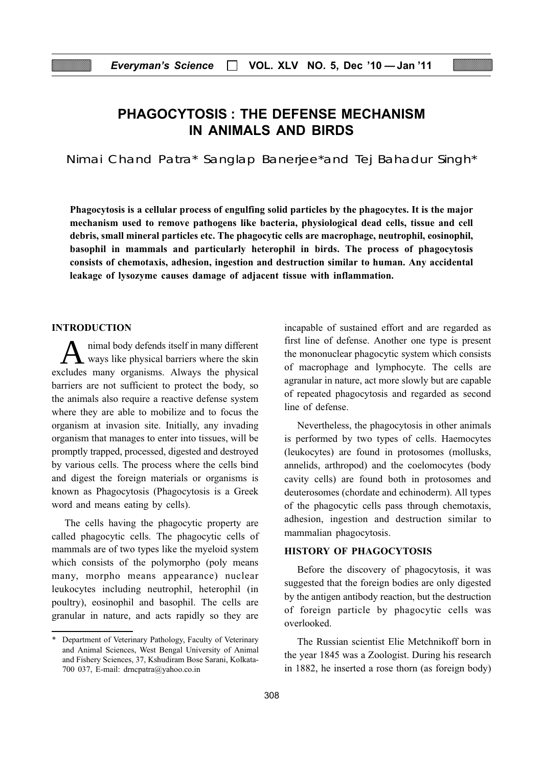# PHAGOCYTOSIS : THE DEFENSE MECHANISM IN ANIMALS AND BIRDS

Nimai Chand Patra\* Sanglap Banerjee\*and Tej Bahadur Singh\*

Phagocytosis is a cellular process of engulfing solid particles by the phagocytes. It is the major mechanism used to remove pathogens like bacteria, physiological dead cells, tissue and cell debris, small mineral particles etc. The phagocytic cells are macrophage, neutrophil, eosinophil, basophil in mammals and particularly heterophil in birds. The process of phagocytosis consists of chemotaxis, adhesion, ingestion and destruction similar to human. Any accidental leakage of lysozyme causes damage of adjacent tissue with inflammation.

#### INTRODUCTION

A nimal body defends itself in many different<br>ways like physical barriers where the skin excludes many organisms. Always the physical barriers are not sufficient to protect the body, so the animals also require a reactive defense system where they are able to mobilize and to focus the organism at invasion site. Initially, any invading organism that manages to enter into tissues, will be promptly trapped, processed, digested and destroyed by various cells. The process where the cells bind and digest the foreign materials or organisms is known as Phagocytosis (Phagocytosis is a Greek word and means eating by cells).

The cells having the phagocytic property are called phagocytic cells. The phagocytic cells of mammals are of two types like the myeloid system which consists of the polymorpho (poly means many, morpho means appearance) nuclear leukocytes including neutrophil, heterophil (in poultry), eosinophil and basophil. The cells are granular in nature, and acts rapidly so they are

incapable of sustained effort and are regarded as first line of defense. Another one type is present the mononuclear phagocytic system which consists of macrophage and lymphocyte. The cells are agranular in nature, act more slowly but are capable of repeated phagocytosis and regarded as second line of defense.

Nevertheless, the phagocytosis in other animals is performed by two types of cells. Haemocytes (leukocytes) are found in protosomes (mollusks, annelids, arthropod) and the coelomocytes (body cavity cells) are found both in protosomes and deuterosomes (chordate and echinoderm). All types of the phagocytic cells pass through chemotaxis, adhesion, ingestion and destruction similar to mammalian phagocytosis.

#### HISTORY OF PHAGOCYTOSIS

Before the discovery of phagocytosis, it was suggested that the foreign bodies are only digested by the antigen antibody reaction, but the destruction of foreign particle by phagocytic cells was overlooked.

The Russian scientist Elie Metchnikoff born in the year 1845 was a Zoologist. During his research in 1882, he inserted a rose thorn (as foreign body)

<sup>\*</sup> Department of Veterinary Pathology, Faculty of Veterinary and Animal Sciences, West Bengal University of Animal and Fishery Sciences, 37, Kshudiram Bose Sarani, Kolkata-700 037, E-mail: drncpatra@yahoo.co.in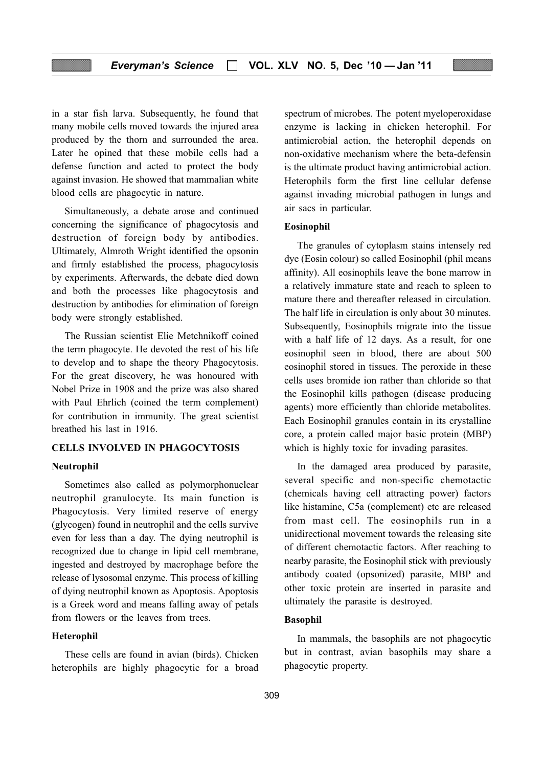in a star fish larva. Subsequently, he found that many mobile cells moved towards the injured area produced by the thorn and surrounded the area. Later he opined that these mobile cells had a defense function and acted to protect the body against invasion. He showed that mammalian white blood cells are phagocytic in nature.

Simultaneously, a debate arose and continued concerning the significance of phagocytosis and destruction of foreign body by antibodies. Ultimately, Almroth Wright identified the opsonin and firmly established the process, phagocytosis by experiments. Afterwards, the debate died down and both the processes like phagocytosis and destruction by antibodies for elimination of foreign body were strongly established.

The Russian scientist Elie Metchnikoff coined the term phagocyte. He devoted the rest of his life to develop and to shape the theory Phagocytosis. For the great discovery, he was honoured with Nobel Prize in 1908 and the prize was also shared with Paul Ehrlich (coined the term complement) for contribution in immunity. The great scientist breathed his last in 1916.

## CELLS INVOLVED IN PHAGOCYTOSIS

#### Neutrophil

Sometimes also called as polymorphonuclear neutrophil granulocyte. Its main function is Phagocytosis. Very limited reserve of energy (glycogen) found in neutrophil and the cells survive even for less than a day. The dying neutrophil is recognized due to change in lipid cell membrane, ingested and destroyed by macrophage before the release of lysosomal enzyme. This process of killing of dying neutrophil known as Apoptosis. Apoptosis is a Greek word and means falling away of petals from flowers or the leaves from trees.

#### Heterophil

These cells are found in avian (birds). Chicken heterophils are highly phagocytic for a broad spectrum of microbes. The potent myeloperoxidase enzyme is lacking in chicken heterophil. For antimicrobial action, the heterophil depends on non-oxidative mechanism where the beta-defensin is the ultimate product having antimicrobial action. Heterophils form the first line cellular defense against invading microbial pathogen in lungs and air sacs in particular.

#### Eosinophil

The granules of cytoplasm stains intensely red dye (Eosin colour) so called Eosinophil (phil means affinity). All eosinophils leave the bone marrow in a relatively immature state and reach to spleen to mature there and thereafter released in circulation. The half life in circulation is only about 30 minutes. Subsequently, Eosinophils migrate into the tissue with a half life of 12 days. As a result, for one eosinophil seen in blood, there are about 500 eosinophil stored in tissues. The peroxide in these cells uses bromide ion rather than chloride so that the Eosinophil kills pathogen (disease producing agents) more efficiently than chloride metabolites. Each Eosinophil granules contain in its crystalline core, a protein called major basic protein (MBP) which is highly toxic for invading parasites.

In the damaged area produced by parasite, several specific and non-specific chemotactic (chemicals having cell attracting power) factors like histamine, C5a (complement) etc are released from mast cell. The eosinophils run in a unidirectional movement towards the releasing site of different chemotactic factors. After reaching to nearby parasite, the Eosinophil stick with previously antibody coated (opsonized) parasite, MBP and other toxic protein are inserted in parasite and ultimately the parasite is destroyed.

#### Basophil

In mammals, the basophils are not phagocytic but in contrast, avian basophils may share a phagocytic property.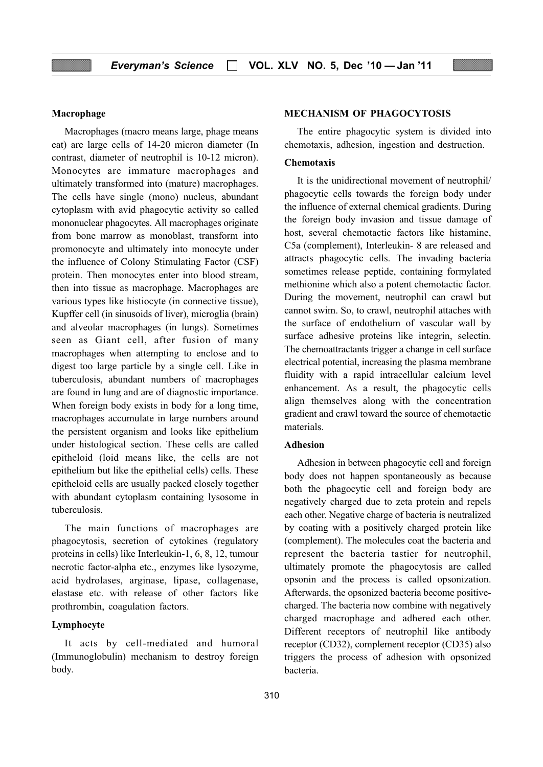#### Macrophage

Macrophages (macro means large, phage means eat) are large cells of 14-20 micron diameter (In contrast, diameter of neutrophil is 10-12 micron). Monocytes are immature macrophages and ultimately transformed into (mature) macrophages. The cells have single (mono) nucleus, abundant cytoplasm with avid phagocytic activity so called mononuclear phagocytes. All macrophages originate from bone marrow as monoblast, transform into promonocyte and ultimately into monocyte under the influence of Colony Stimulating Factor (CSF) protein. Then monocytes enter into blood stream, then into tissue as macrophage. Macrophages are various types like histiocyte (in connective tissue), Kupffer cell (in sinusoids of liver), microglia (brain) and alveolar macrophages (in lungs). Sometimes seen as Giant cell, after fusion of many macrophages when attempting to enclose and to digest too large particle by a single cell. Like in tuberculosis, abundant numbers of macrophages are found in lung and are of diagnostic importance. When foreign body exists in body for a long time, macrophages accumulate in large numbers around the persistent organism and looks like epithelium under histological section. These cells are called epitheloid (loid means like, the cells are not epithelium but like the epithelial cells) cells. These epitheloid cells are usually packed closely together with abundant cytoplasm containing lysosome in tuberculosis.

The main functions of macrophages are phagocytosis, secretion of cytokines (regulatory proteins in cells) like Interleukin-1, 6, 8, 12, tumour necrotic factor-alpha etc., enzymes like lysozyme, acid hydrolases, arginase, lipase, collagenase, elastase etc. with release of other factors like prothrombin, coagulation factors.

#### Lymphocyte

It acts by cell-mediated and humoral (Immunoglobulin) mechanism to destroy foreign body.

#### MECHANISM OF PHAGOCYTOSIS

The entire phagocytic system is divided into chemotaxis, adhesion, ingestion and destruction.

#### Chemotaxis

It is the unidirectional movement of neutrophil/ phagocytic cells towards the foreign body under the influence of external chemical gradients. During the foreign body invasion and tissue damage of host, several chemotactic factors like histamine, C5a (complement), Interleukin- 8 are released and attracts phagocytic cells. The invading bacteria sometimes release peptide, containing formylated methionine which also a potent chemotactic factor. During the movement, neutrophil can crawl but cannot swim. So, to crawl, neutrophil attaches with the surface of endothelium of vascular wall by surface adhesive proteins like integrin, selectin. The chemoattractants trigger a change in cell surface electrical potential, increasing the plasma membrane fluidity with a rapid intracellular calcium level enhancement. As a result, the phagocytic cells align themselves along with the concentration gradient and crawl toward the source of chemotactic materials.

#### Adhesion

Adhesion in between phagocytic cell and foreign body does not happen spontaneously as because both the phagocytic cell and foreign body are negatively charged due to zeta protein and repels each other. Negative charge of bacteria is neutralized by coating with a positively charged protein like (complement). The molecules coat the bacteria and represent the bacteria tastier for neutrophil, ultimately promote the phagocytosis are called opsonin and the process is called opsonization. Afterwards, the opsonized bacteria become positivecharged. The bacteria now combine with negatively charged macrophage and adhered each other. Different receptors of neutrophil like antibody receptor (CD32), complement receptor (CD35) also triggers the process of adhesion with opsonized bacteria.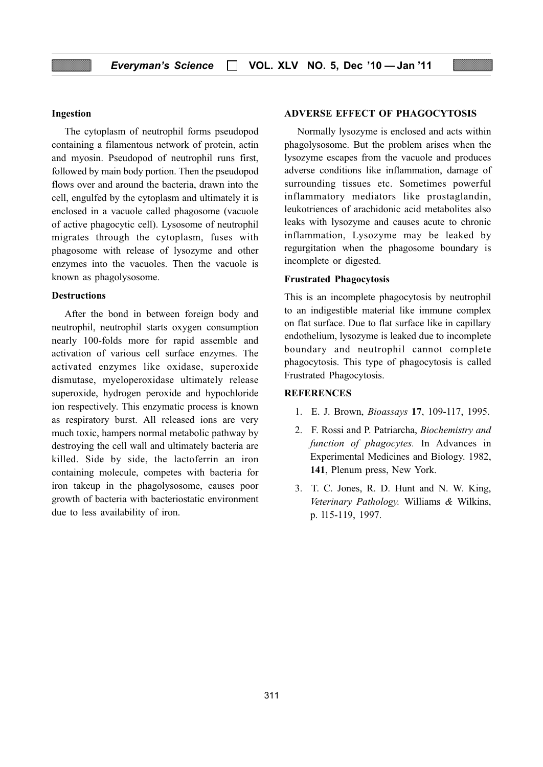### Ingestion

The cytoplasm of neutrophil forms pseudopod containing a filamentous network of protein, actin and myosin. Pseudopod of neutrophil runs first, followed by main body portion. Then the pseudopod flows over and around the bacteria, drawn into the cell, engulfed by the cytoplasm and ultimately it is enclosed in a vacuole called phagosome (vacuole of active phagocytic cell). Lysosome of neutrophil migrates through the cytoplasm, fuses with phagosome with release of lysozyme and other enzymes into the vacuoles. Then the vacuole is known as phagolysosome.

#### **Destructions**

After the bond in between foreign body and neutrophil, neutrophil starts oxygen consumption nearly 100-folds more for rapid assemble and activation of various cell surface enzymes. The activated enzymes like oxidase, superoxide dismutase, myeloperoxidase ultimately release superoxide, hydrogen peroxide and hypochloride ion respectively. This enzymatic process is known as respiratory burst. All released ions are very much toxic, hampers normal metabolic pathway by destroying the cell wall and ultimately bacteria are killed. Side by side, the lactoferrin an iron containing molecule, competes with bacteria for iron takeup in the phagolysosome, causes poor growth of bacteria with bacteriostatic environment due to less availability of iron.

#### ADVERSE EFFECT OF PHAGOCYTOSIS

Normally lysozyme is enclosed and acts within phagolysosome. But the problem arises when the lysozyme escapes from the vacuole and produces adverse conditions like inflammation, damage of surrounding tissues etc. Sometimes powerful inflammatory mediators like prostaglandin, leukotriences of arachidonic acid metabolites also leaks with lysozyme and causes acute to chronic inflammation, Lysozyme may be leaked by regurgitation when the phagosome boundary is incomplete or digested.

#### Frustrated Phagocytosis

This is an incomplete phagocytosis by neutrophil to an indigestible material like immune complex on flat surface. Due to flat surface like in capillary endothelium, lysozyme is leaked due to incomplete boundary and neutrophil cannot complete phagocytosis. This type of phagocytosis is called Frustrated Phagocytosis.

#### **REFERENCES**

- 1. E. J. Brown, Bioassays 17, 109-117, 1995.
- 2. F. Rossi and P. Patriarcha, Biochemistry and function of phagocytes. In Advances in Experimental Medicines and Biology. 1982, 141, Plenum press, New York.
- 3. T. C. Jones, R. D. Hunt and N. W. King, Veterinary Pathology. Williams & Wilkins, p. l15-119, 1997.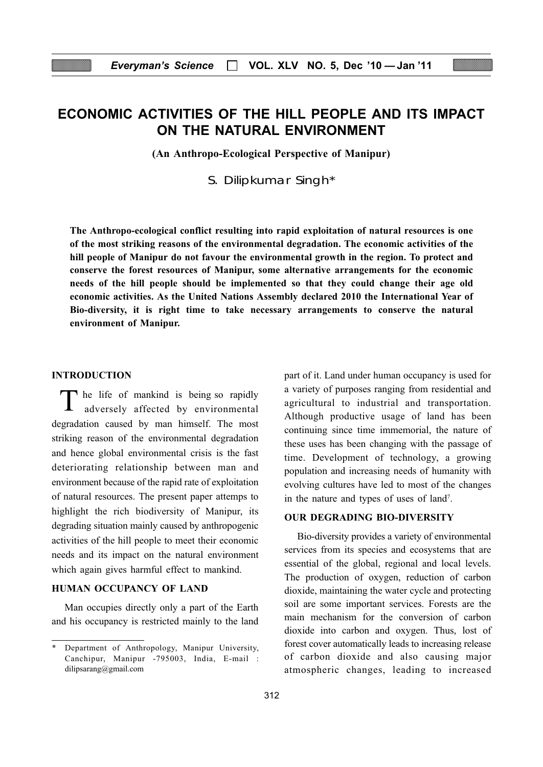# ECONOMIC ACTIVITIES OF THE HILL PEOPLE AND ITS IMPACT ON THE NATURAL ENVIRONMENT

(An Anthropo-Ecological Perspective of Manipur)

S. Dilipkumar Singh\*

The Anthropo-ecological conflict resulting into rapid exploitation of natural resources is one of the most striking reasons of the environmental degradation. The economic activities of the hill people of Manipur do not favour the environmental growth in the region. To protect and conserve the forest resources of Manipur, some alternative arrangements for the economic needs of the hill people should be implemented so that they could change their age old economic activities. As the United Nations Assembly declared 2010 the International Year of Bio-diversity, it is right time to take necessary arrangements to conserve the natural environment of Manipur.

#### INTRODUCTION

The life of mankind is being so rapidly adversely affected by environmental degradation caused by man himself. The most striking reason of the environmental degradation and hence global environmental crisis is the fast deteriorating relationship between man and environment because of the rapid rate of exploitation of natural resources. The present paper attemps to highlight the rich biodiversity of Manipur, its degrading situation mainly caused by anthropogenic activities of the hill people to meet their economic needs and its impact on the natural environment which again gives harmful effect to mankind.

## HUMAN OCCUPANCY OF LAND

Man occupies directly only a part of the Earth and his occupancy is restricted mainly to the land part of it. Land under human occupancy is used for a variety of purposes ranging from residential and agricultural to industrial and transportation. Although productive usage of land has been continuing since time immemorial, the nature of these uses has been changing with the passage of time. Development of technology, a growing population and increasing needs of humanity with evolving cultures have led to most of the changes in the nature and types of uses of land<sup>7</sup>.

#### OUR DEGRADING BIO-DIVERSITY

Bio-diversity provides a variety of environmental services from its species and ecosystems that are essential of the global, regional and local levels. The production of oxygen, reduction of carbon dioxide, maintaining the water cycle and protecting soil are some important services. Forests are the main mechanism for the conversion of carbon dioxide into carbon and oxygen. Thus, lost of forest cover automatically leads to increasing release of carbon dioxide and also causing major atmospheric changes, leading to increased

Department of Anthropology, Manipur University, Canchipur, Manipur -795003, India, E-mail : dilipsarang@gmail.com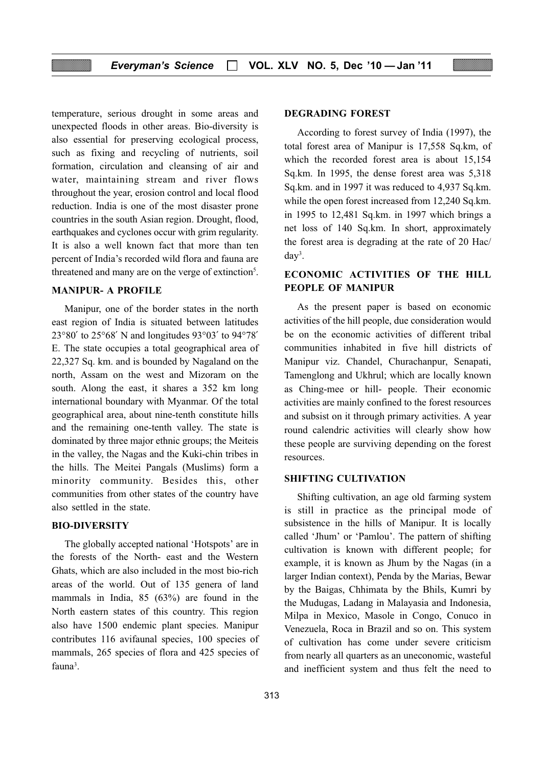temperature, serious drought in some areas and unexpected floods in other areas. Bio-diversity is also essential for preserving ecological process, such as fixing and recycling of nutrients, soil formation, circulation and cleansing of air and water, maintaining stream and river flows throughout the year, erosion control and local flood reduction. India is one of the most disaster prone countries in the south Asian region. Drought, flood, earthquakes and cyclones occur with grim regularity. It is also a well known fact that more than ten percent of India's recorded wild flora and fauna are threatened and many are on the verge of extinction<sup>5</sup>.

#### MANIPUR- A PROFILE

Manipur, one of the border states in the north east region of India is situated between latitudes 23°80′ to 25°68′ N and longitudes 93°03′ to 94°78′ E. The state occupies a total geographical area of 22,327 Sq. km. and is bounded by Nagaland on the north, Assam on the west and Mizoram on the south. Along the east, it shares a 352 km long international boundary with Myanmar. Of the total geographical area, about nine-tenth constitute hills and the remaining one-tenth valley. The state is dominated by three major ethnic groups; the Meiteis in the valley, the Nagas and the Kuki-chin tribes in the hills. The Meitei Pangals (Muslims) form a minority community. Besides this, other communities from other states of the country have also settled in the state.

#### BIO-DIVERSITY

The globally accepted national 'Hotspots' are in the forests of the North- east and the Western Ghats, which are also included in the most bio-rich areas of the world. Out of 135 genera of land mammals in India, 85 (63%) are found in the North eastern states of this country. This region also have 1500 endemic plant species. Manipur contributes 116 avifaunal species, 100 species of mammals, 265 species of flora and 425 species of fauna<sup>3</sup>.

#### DEGRADING FOREST

According to forest survey of India (1997), the total forest area of Manipur is 17,558 Sq.km, of which the recorded forest area is about 15,154 Sq.km. In 1995, the dense forest area was 5,318 Sq.km. and in 1997 it was reduced to 4,937 Sq.km. while the open forest increased from 12,240 Sq.km. in 1995 to 12,481 Sq.km. in 1997 which brings a net loss of 140 Sq.km. In short, approximately the forest area is degrading at the rate of 20 Hac/ day3 .

# ECONOMIC ACTIVITIES OF THE HILL PEOPLE OF MANIPUR

As the present paper is based on economic activities of the hill people, due consideration would be on the economic activities of different tribal communities inhabited in five hill districts of Manipur viz. Chandel, Churachanpur, Senapati, Tamenglong and Ukhrul; which are locally known as Ching-mee or hill- people. Their economic activities are mainly confined to the forest resources and subsist on it through primary activities. A year round calendric activities will clearly show how these people are surviving depending on the forest resources.

#### SHIFTING CULTIVATION

Shifting cultivation, an age old farming system is still in practice as the principal mode of subsistence in the hills of Manipur. It is locally called 'Jhum' or 'Pamlou'. The pattern of shifting cultivation is known with different people; for example, it is known as Jhum by the Nagas (in a larger Indian context), Penda by the Marias, Bewar by the Baigas, Chhimata by the Bhils, Kumri by the Mudugas, Ladang in Malayasia and Indonesia, Milpa in Mexico, Masole in Congo, Conuco in Venezuela, Roca in Brazil and so on. This system of cultivation has come under severe criticism from nearly all quarters as an uneconomic, wasteful and inefficient system and thus felt the need to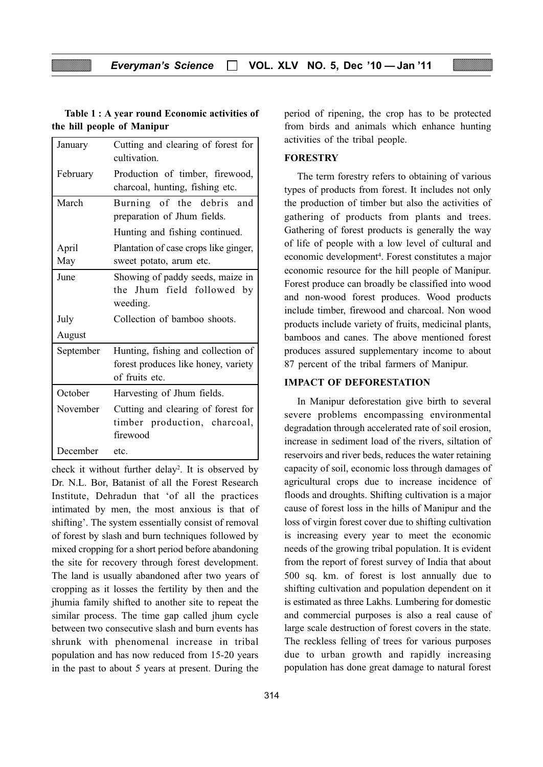## Table 1 : A year round Economic activities of the hill people of Manipur

| January   | Cutting and clearing of forest for<br>cultivation. |  |  |  |  |  |  |
|-----------|----------------------------------------------------|--|--|--|--|--|--|
| February  | Production of timber, firewood,                    |  |  |  |  |  |  |
|           | charcoal, hunting, fishing etc.                    |  |  |  |  |  |  |
| March     | Burning of the debris and                          |  |  |  |  |  |  |
|           | preparation of Jhum fields.                        |  |  |  |  |  |  |
|           | Hunting and fishing continued.                     |  |  |  |  |  |  |
| April     | Plantation of case crops like ginger,              |  |  |  |  |  |  |
| May       | sweet potato, arum etc.                            |  |  |  |  |  |  |
| June      | Showing of paddy seeds, maize in                   |  |  |  |  |  |  |
|           | the Jhum field followed by                         |  |  |  |  |  |  |
|           | weeding.                                           |  |  |  |  |  |  |
| July      | Collection of bamboo shoots.                       |  |  |  |  |  |  |
| August    |                                                    |  |  |  |  |  |  |
| September | Hunting, fishing and collection of                 |  |  |  |  |  |  |
|           | forest produces like honey, variety                |  |  |  |  |  |  |
|           | of fruits etc.                                     |  |  |  |  |  |  |
| October   | Harvesting of Jhum fields.                         |  |  |  |  |  |  |
| November  | Cutting and clearing of forest for                 |  |  |  |  |  |  |
|           | timber production, charcoal,                       |  |  |  |  |  |  |
|           | firewood                                           |  |  |  |  |  |  |
| December  | etc.                                               |  |  |  |  |  |  |

check it without further delay<sup>2</sup>. It is observed by Dr. N.L. Bor, Batanist of all the Forest Research Institute, Dehradun that 'of all the practices intimated by men, the most anxious is that of shifting'. The system essentially consist of removal of forest by slash and burn techniques followed by mixed cropping for a short period before abandoning the site for recovery through forest development. The land is usually abandoned after two years of cropping as it losses the fertility by then and the jhumia family shifted to another site to repeat the similar process. The time gap called jhum cycle between two consecutive slash and burn events has shrunk with phenomenal increase in tribal population and has now reduced from 15-20 years in the past to about 5 years at present. During the

period of ripening, the crop has to be protected from birds and animals which enhance hunting activities of the tribal people.

#### **FORESTRY**

The term forestry refers to obtaining of various types of products from forest. It includes not only the production of timber but also the activities of gathering of products from plants and trees. Gathering of forest products is generally the way of life of people with a low level of cultural and economic development<sup>4</sup>. Forest constitutes a major economic resource for the hill people of Manipur. Forest produce can broadly be classified into wood and non-wood forest produces. Wood products include timber, firewood and charcoal. Non wood products include variety of fruits, medicinal plants, bamboos and canes. The above mentioned forest produces assured supplementary income to about 87 percent of the tribal farmers of Manipur.

#### IMPACT OF DEFORESTATION

In Manipur deforestation give birth to several severe problems encompassing environmental degradation through accelerated rate of soil erosion, increase in sediment load of the rivers, siltation of reservoirs and river beds, reduces the water retaining capacity of soil, economic loss through damages of agricultural crops due to increase incidence of floods and droughts. Shifting cultivation is a major cause of forest loss in the hills of Manipur and the loss of virgin forest cover due to shifting cultivation is increasing every year to meet the economic needs of the growing tribal population. It is evident from the report of forest survey of India that about 500 sq. km. of forest is lost annually due to shifting cultivation and population dependent on it is estimated as three Lakhs. Lumbering for domestic and commercial purposes is also a real cause of large scale destruction of forest covers in the state. The reckless felling of trees for various purposes due to urban growth and rapidly increasing population has done great damage to natural forest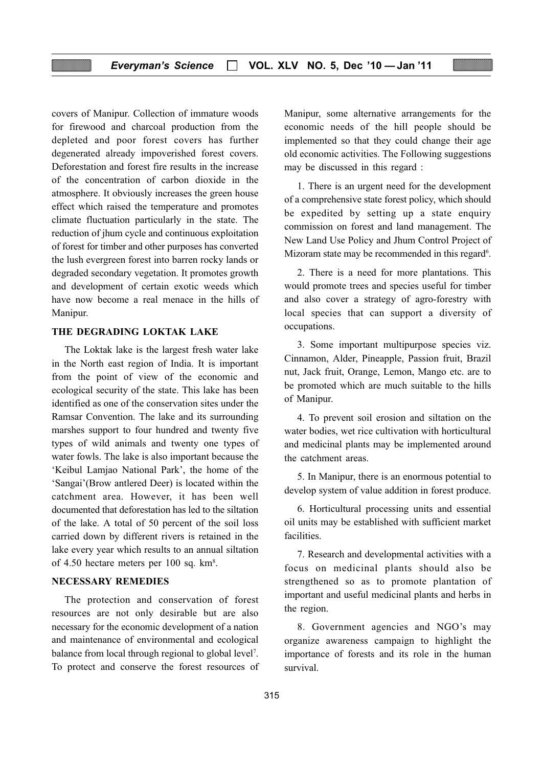covers of Manipur. Collection of immature woods for firewood and charcoal production from the depleted and poor forest covers has further degenerated already impoverished forest covers. Deforestation and forest fire results in the increase of the concentration of carbon dioxide in the atmosphere. It obviously increases the green house effect which raised the temperature and promotes climate fluctuation particularly in the state. The reduction of jhum cycle and continuous exploitation of forest for timber and other purposes has converted the lush evergreen forest into barren rocky lands or degraded secondary vegetation. It promotes growth and development of certain exotic weeds which have now become a real menace in the hills of Manipur.

#### THE DEGRADING LOKTAK LAKE

The Loktak lake is the largest fresh water lake in the North east region of India. It is important from the point of view of the economic and ecological security of the state. This lake has been identified as one of the conservation sites under the Ramsar Convention. The lake and its surrounding marshes support to four hundred and twenty five types of wild animals and twenty one types of water fowls. The lake is also important because the 'Keibul Lamjao National Park', the home of the 'Sangai'(Brow antlered Deer) is located within the catchment area. However, it has been well documented that deforestation has led to the siltation of the lake. A total of 50 percent of the soil loss carried down by different rivers is retained in the lake every year which results to an annual siltation of 4.50 hectare meters per 100 sq. km<sup>8</sup>.

#### NECESSARY REMEDIES

The protection and conservation of forest resources are not only desirable but are also necessary for the economic development of a nation and maintenance of environmental and ecological balance from local through regional to global level<sup>7</sup>. To protect and conserve the forest resources of Manipur, some alternative arrangements for the economic needs of the hill people should be implemented so that they could change their age old economic activities. The Following suggestions may be discussed in this regard :

1. There is an urgent need for the development of a comprehensive state forest policy, which should be expedited by setting up a state enquiry commission on forest and land management. The New Land Use Policy and Jhum Control Project of Mizoram state may be recommended in this regard<sup>6</sup>.

2. There is a need for more plantations. This would promote trees and species useful for timber and also cover a strategy of agro-forestry with local species that can support a diversity of occupations.

3. Some important multipurpose species viz. Cinnamon, Alder, Pineapple, Passion fruit, Brazil nut, Jack fruit, Orange, Lemon, Mango etc. are to be promoted which are much suitable to the hills of Manipur.

4. To prevent soil erosion and siltation on the water bodies, wet rice cultivation with horticultural and medicinal plants may be implemented around the catchment areas.

5. In Manipur, there is an enormous potential to develop system of value addition in forest produce.

6. Horticultural processing units and essential oil units may be established with sufficient market facilities.

7. Research and developmental activities with a focus on medicinal plants should also be strengthened so as to promote plantation of important and useful medicinal plants and herbs in the region.

8. Government agencies and NGO's may organize awareness campaign to highlight the importance of forests and its role in the human survival.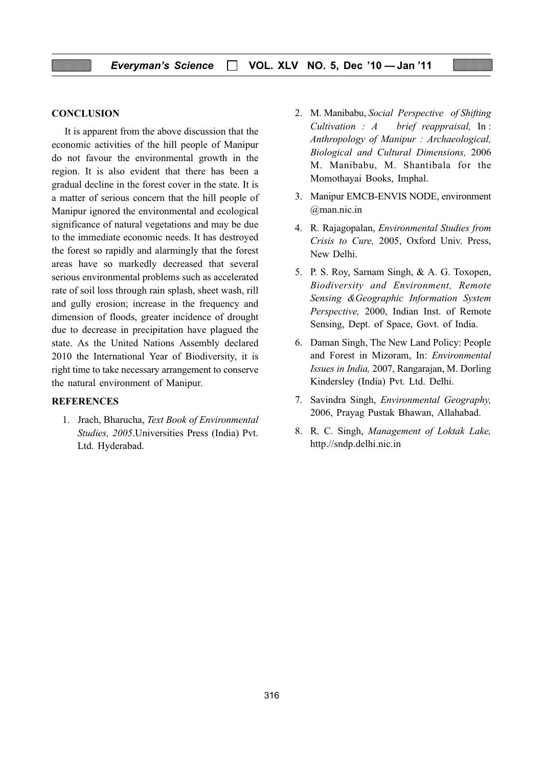#### **CONCLUSION**

It is apparent from the above discussion that the economic activities of the hill people of Manipur do not favour the environmental growth in the region. It is also evident that there has been a gradual decline in the forest cover in the state. It is a matter of serious concern that the hill people of Manipur ignored the environmental and ecological significance of natural vegetations and may be due to the immediate economic needs. It has destroyed the forest so rapidly and alarmingly that the forest areas have so markedly decreased that several serious environmental problems such as accelerated rate of soil loss through rain splash, sheet wash, rill and gully erosion; increase in the frequency and dimension of floods, greater incidence of drought due to decrease in precipitation have plagued the state. As the United Nations Assembly declared 2010 the International Year of Biodiversity, it is right time to take necessary arrangement to conserve the natural environment of Manipur.

#### **REFERENCES**

1. Jrach, Bharucha, Text Book of Environmental Studies, 2005.Universities Press (India) Pvt. Ltd. Hyderabad.

- 2. M. Manibabu, Social Perspective of Shifting Cultivation : A brief reappraisal, In : Anthropology of Manipur : Archaeological, Biological and Cultural Dimensions, 2006 M. Manibabu, M. Shantibala for the Momothayai Books, Imphal.
- 3. Manipur EMCB-ENVIS NODE, environment @man.nic.in
- 4. R. Rajagopalan, Environmental Studies from Crisis to Cure, 2005, Oxford Univ. Press, New Delhi.
- 5. P. S. Roy, Sarnam Singh, & A. G. Toxopen, Biodiversity and Environment, Remote Sensing &Geographic Information System Perspective, 2000, Indian Inst. of Remote Sensing, Dept. of Space, Govt. of India.
- 6. Daman Singh, The New Land Policy: People and Forest in Mizoram, In: Environmental Issues in India, 2007, Rangarajan, M. Dorling Kindersley (India) Pvt. Ltd. Delhi.
- 7. Savindra Singh, Environmental Geography, 2006, Prayag Pustak Bhawan, Allahabad.
- 8. R. C. Singh, Management of Loktak Lake, http.//sndp.delhi.nic.in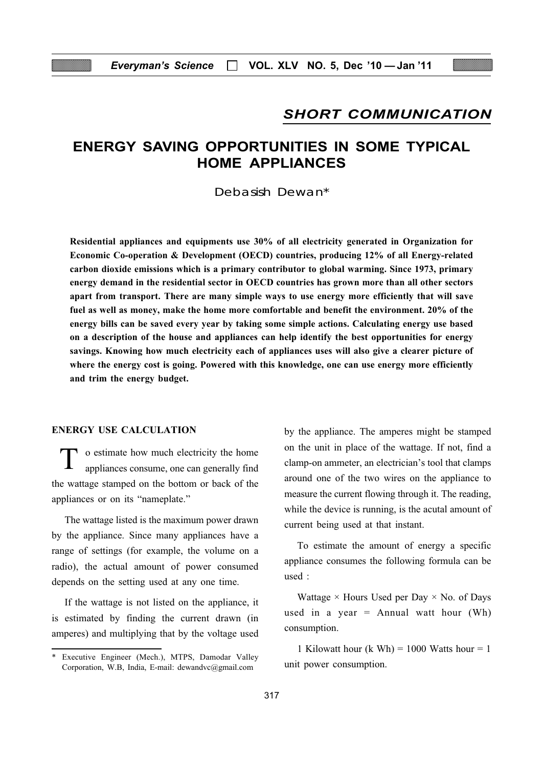# SHORT COMMUNICATION

# ENERGY SAVING OPPORTUNITIES IN SOME TYPICAL HOME APPLIANCES

Debasish Dewan\*

Residential appliances and equipments use 30% of all electricity generated in Organization for Economic Co-operation & Development (OECD) countries, producing 12% of all Energy-related carbon dioxide emissions which is a primary contributor to global warming. Since 1973, primary energy demand in the residential sector in OECD countries has grown more than all other sectors apart from transport. There are many simple ways to use energy more efficiently that will save fuel as well as money, make the home more comfortable and benefit the environment. 20% of the energy bills can be saved every year by taking some simple actions. Calculating energy use based on a description of the house and appliances can help identify the best opportunities for energy savings. Knowing how much electricity each of appliances uses will also give a clearer picture of where the energy cost is going. Powered with this knowledge, one can use energy more efficiently and trim the energy budget.

## ENERGY USE CALCULATION

o estimate how much electricity the home appliances consume, one can generally find the wattage stamped on the bottom or back of the appliances or on its "nameplate."

The wattage listed is the maximum power drawn by the appliance. Since many appliances have a range of settings (for example, the volume on a radio), the actual amount of power consumed depends on the setting used at any one time.

If the wattage is not listed on the appliance, it is estimated by finding the current drawn (in amperes) and multiplying that by the voltage used

by the appliance. The amperes might be stamped on the unit in place of the wattage. If not, find a clamp-on ammeter, an electrician's tool that clamps around one of the two wires on the appliance to measure the current flowing through it. The reading, while the device is running, is the acutal amount of current being used at that instant.

To estimate the amount of energy a specific appliance consumes the following formula can be used :

Wattage  $\times$  Hours Used per Day  $\times$  No. of Days used in a year  $=$  Annual watt hour (Wh) consumption.

1 Kilowatt hour (k Wh) = 1000 Watts hour = 1

unit power consumption. \* Executive Engineer (Mech.), MTPS, Damodar Valley Corporation, W.B, India, E-mail: dewandvc@gmail.com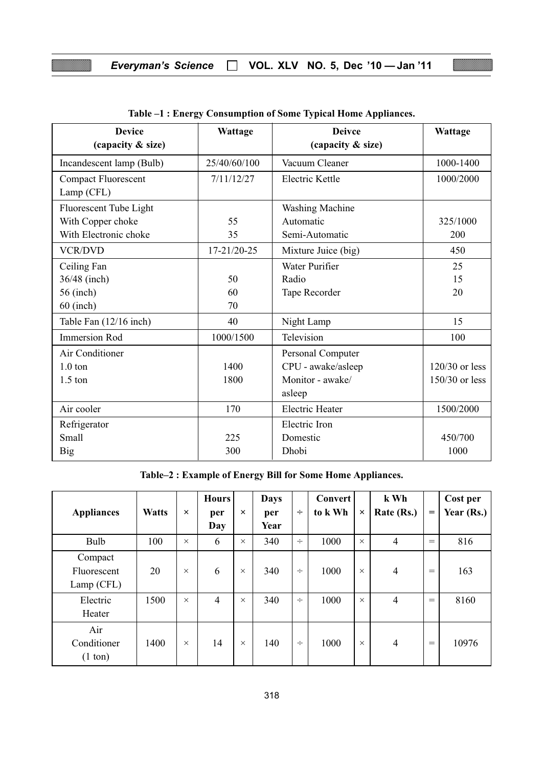# Everyman's Science □ VOL. XLV NO. 5, Dec '10 - Jan '11

| <b>Device</b><br>(capacity & size)       | Wattage      | <b>Deivce</b><br>(capacity & size) | Wattage          |
|------------------------------------------|--------------|------------------------------------|------------------|
| Incandescent lamp (Bulb)                 | 25/40/60/100 | Vacuum Cleaner                     | 1000-1400        |
| <b>Compact Fluorescent</b><br>Lamp (CFL) | 7/11/12/27   | Electric Kettle                    | 1000/2000        |
| Fluorescent Tube Light                   |              | <b>Washing Machine</b>             |                  |
| With Copper choke                        | 55           | Automatic                          | 325/1000         |
| With Electronic choke                    | 35           | Semi-Automatic                     | 200              |
| <b>VCR/DVD</b>                           | 17-21/20-25  | Mixture Juice (big)                | 450              |
| Ceiling Fan                              |              | Water Purifier                     | 25               |
| 36/48 (inch)                             | 50           | Radio                              | 15               |
| 56 (inch)                                | 60           | Tape Recorder                      | 20               |
| $60$ (inch)                              | 70           |                                    |                  |
| Table Fan (12/16 inch)                   | 40           | Night Lamp                         | 15               |
| <b>Immersion Rod</b>                     | 1000/1500    | Television                         | 100              |
| Air Conditioner                          |              | Personal Computer                  |                  |
| $1.0$ ton                                | 1400         | CPU - awake/asleep                 | $120/30$ or less |
| $1.5$ ton                                | 1800         | Monitor - awake/                   | $150/30$ or less |
|                                          |              | asleep                             |                  |
| Air cooler                               | 170          | <b>Electric Heater</b>             | 1500/2000        |
| Refrigerator                             |              | Electric Iron                      |                  |
| Small                                    | 225          | Domestic                           | 450/700          |
| <b>Big</b>                               | 300          | Dhobi                              | 1000             |

Table–2 : Example of Energy Bill for Some Home Appliances.

| <b>Appliances</b>                       | <b>Watts</b> | $\times$ | <b>Hours</b><br>per<br>Day | $\times$ | <b>Days</b><br>per<br>Year | ÷      | <b>Convert</b><br>to k Wh | $\times$ | k Wh<br>Rate (Rs.) | $=$ | Cost per<br>Year (Rs.) |
|-----------------------------------------|--------------|----------|----------------------------|----------|----------------------------|--------|---------------------------|----------|--------------------|-----|------------------------|
| Bulb                                    | 100          | $\times$ | 6                          | $\times$ | 340                        | $\div$ | 1000                      | $\times$ | $\overline{4}$     | $=$ | 816                    |
| Compact<br>Fluorescent<br>Lamp (CFL)    | 20           | $\times$ | 6                          | $\times$ | 340                        | $\div$ | 1000                      | $\times$ | $\overline{4}$     | $=$ | 163                    |
| Electric<br>Heater                      | 1500         | $\times$ | $\overline{4}$             | $\times$ | 340                        | ÷      | 1000                      | $\times$ | $\overline{4}$     | $=$ | 8160                   |
| Air<br>Conditioner<br>$(1 \text{ ton})$ | 1400         | $\times$ | 14                         | $\times$ | 140                        | $\div$ | 1000                      | $\times$ | $\overline{4}$     | $=$ | 10976                  |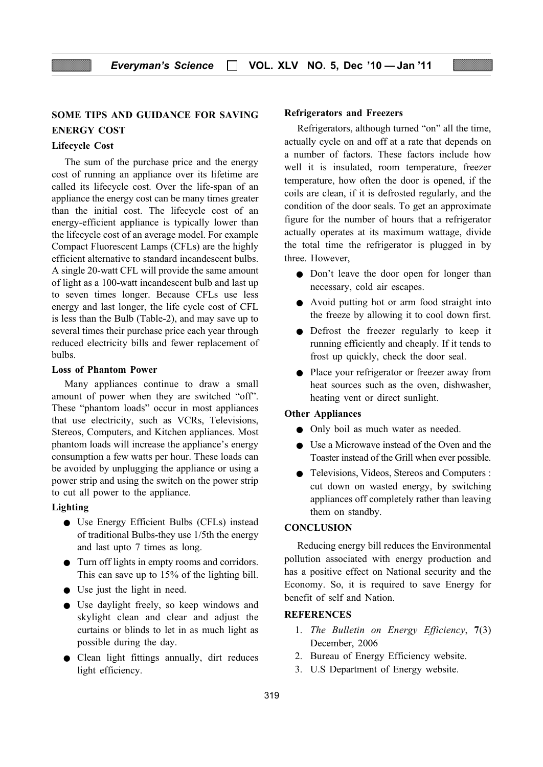# SOME TIPS AND GUIDANCE FOR SAVING ENERGY COST

#### Lifecycle Cost

The sum of the purchase price and the energy cost of running an appliance over its lifetime are called its lifecycle cost. Over the life-span of an appliance the energy cost can be many times greater than the initial cost. The lifecycle cost of an energy-efficient appliance is typically lower than the lifecycle cost of an average model. For example Compact Fluorescent Lamps (CFLs) are the highly efficient alternative to standard incandescent bulbs. A single 20-watt CFL will provide the same amount of light as a 100-watt incandescent bulb and last up to seven times longer. Because CFLs use less energy and last longer, the life cycle cost of CFL is less than the Bulb (Table-2), and may save up to several times their purchase price each year through reduced electricity bills and fewer replacement of bulbs.

#### Loss of Phantom Power

Many appliances continue to draw a small amount of power when they are switched "off". These "phantom loads" occur in most appliances that use electricity, such as VCRs, Televisions, Stereos, Computers, and Kitchen appliances. Most phantom loads will increase the appliance's energy consumption a few watts per hour. These loads can be avoided by unplugging the appliance or using a power strip and using the switch on the power strip to cut all power to the appliance.

#### Lighting

- Use Energy Efficient Bulbs (CFLs) instead of traditional Bulbs-they use 1/5th the energy and last upto 7 times as long.
- Turn off lights in empty rooms and corridors. This can save up to 15% of the lighting bill.
- Use just the light in need.
- Use daylight freely, so keep windows and skylight clean and clear and adjust the curtains or blinds to let in as much light as possible during the day.
- Clean light fittings annually, dirt reduces light efficiency.

#### Refrigerators and Freezers

Refrigerators, although turned "on" all the time, actually cycle on and off at a rate that depends on a number of factors. These factors include how well it is insulated, room temperature, freezer temperature, how often the door is opened, if the coils are clean, if it is defrosted regularly, and the condition of the door seals. To get an approximate figure for the number of hours that a refrigerator actually operates at its maximum wattage, divide the total time the refrigerator is plugged in by three. However,

- Don't leave the door open for longer than necessary, cold air escapes.
- Avoid putting hot or arm food straight into the freeze by allowing it to cool down first.
- Defrost the freezer regularly to keep it running efficiently and cheaply. If it tends to frost up quickly, check the door seal.
- Place your refrigerator or freezer away from heat sources such as the oven, dishwasher, heating vent or direct sunlight.

#### Other Appliances

- Only boil as much water as needed.
- Use a Microwave instead of the Oven and the Toaster instead of the Grill when ever possible.
- Televisions, Videos, Stereos and Computers : cut down on wasted energy, by switching appliances off completely rather than leaving them on standby.

#### **CONCLUSION**

Reducing energy bill reduces the Environmental pollution associated with energy production and has a positive effect on National security and the Economy. So, it is required to save Energy for benefit of self and Nation.

## **REFERENCES**

- 1. The Bulletin on Energy Efficiency, 7(3) December, 2006
- 2. Bureau of Energy Efficiency website.
- 3. U.S Department of Energy website.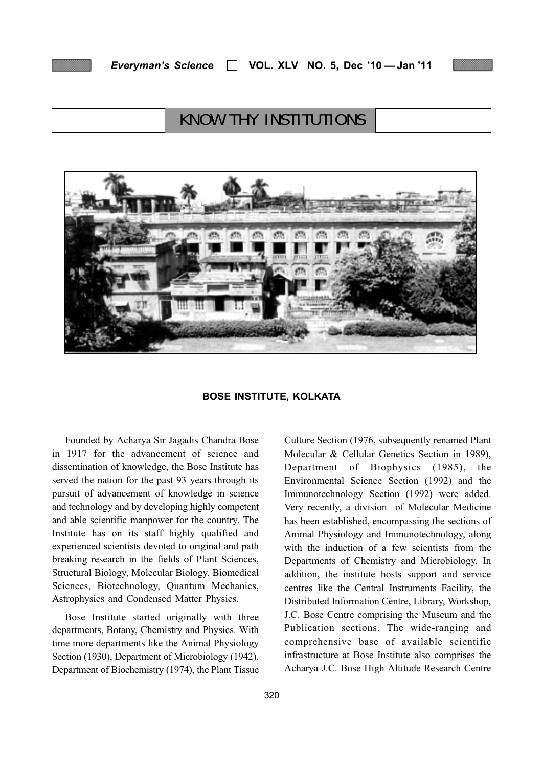# KNOW THY INSTITUTIONS



#### BOSE INSTITUTE, KOLKATA

Founded by Acharya Sir Jagadis Chandra Bose in 1917 for the advancement of science and dissemination of knowledge, the Bose Institute has served the nation for the past 93 years through its pursuit of advancement of knowledge in science and technology and by developing highly competent and able scientific manpower for the country. The Institute has on its staff highly qualified and experienced scientists devoted to original and path breaking research in the fields of Plant Sciences, Structural Biology, Molecular Biology, Biomedical Sciences, Biotechnology, Quantum Mechanics, Astrophysics and Condensed Matter Physics.

Bose Institute started originally with three departments, Botany, Chemistry and Physics. With time more departments like the Animal Physiology Section (1930), Department of Microbiology (1942), Department of Biochemistry (1974), the Plant Tissue Environmental Science Section (1992) and the Immunotechnology Section (1992) were added. Very recently, a division of Molecular Medicine has been established, encompassing the sections of Animal Physiology and Immunotechnology, along with the induction of a few scientists from the Departments of Chemistry and Microbiology. In addition, the institute hosts support and service centres like the Central Instruments Facility, the Distributed Information Centre, Library, Workshop, J.C. Bose Centre comprising the Museum and the Publication sections. The wide-ranging and comprehensive base of available scientific infrastructure at Bose Institute also comprises the Acharya J.C. Bose High Altitude Research Centre

Culture Section (1976, subsequently renamed Plant Molecular & Cellular Genetics Section in 1989), Department of Biophysics (1985), the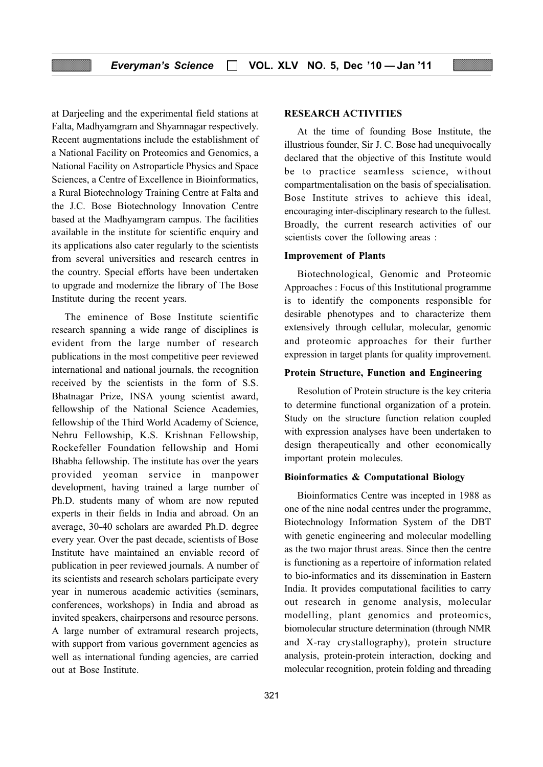at Darjeeling and the experimental field stations at Falta, Madhyamgram and Shyamnagar respectively. Recent augmentations include the establishment of a National Facility on Proteomics and Genomics, a National Facility on Astroparticle Physics and Space Sciences, a Centre of Excellence in Bioinformatics, a Rural Biotechnology Training Centre at Falta and the J.C. Bose Biotechnology Innovation Centre based at the Madhyamgram campus. The facilities available in the institute for scientific enquiry and its applications also cater regularly to the scientists from several universities and research centres in the country. Special efforts have been undertaken to upgrade and modernize the library of The Bose Institute during the recent years.

The eminence of Bose Institute scientific research spanning a wide range of disciplines is evident from the large number of research publications in the most competitive peer reviewed international and national journals, the recognition received by the scientists in the form of S.S. Bhatnagar Prize, INSA young scientist award, fellowship of the National Science Academies, fellowship of the Third World Academy of Science, Nehru Fellowship, K.S. Krishnan Fellowship, Rockefeller Foundation fellowship and Homi Bhabha fellowship. The institute has over the years provided yeoman service in manpower development, having trained a large number of Ph.D. students many of whom are now reputed experts in their fields in India and abroad. On an average, 30-40 scholars are awarded Ph.D. degree every year. Over the past decade, scientists of Bose Institute have maintained an enviable record of publication in peer reviewed journals. A number of its scientists and research scholars participate every year in numerous academic activities (seminars, conferences, workshops) in India and abroad as invited speakers, chairpersons and resource persons. A large number of extramural research projects, with support from various government agencies as well as international funding agencies, are carried out at Bose Institute.

#### RESEARCH ACTIVITIES

At the time of founding Bose Institute, the illustrious founder, Sir J. C. Bose had unequivocally declared that the objective of this Institute would be to practice seamless science, without compartmentalisation on the basis of specialisation. Bose Institute strives to achieve this ideal, encouraging inter-disciplinary research to the fullest. Broadly, the current research activities of our scientists cover the following areas :

#### Improvement of Plants

Biotechnological, Genomic and Proteomic Approaches : Focus of this Institutional programme is to identify the components responsible for desirable phenotypes and to characterize them extensively through cellular, molecular, genomic and proteomic approaches for their further expression in target plants for quality improvement.

#### Protein Structure, Function and Engineering

Resolution of Protein structure is the key criteria to determine functional organization of a protein. Study on the structure function relation coupled with expression analyses have been undertaken to design therapeutically and other economically important protein molecules.

#### Bioinformatics & Computational Biology

Bioinformatics Centre was incepted in 1988 as one of the nine nodal centres under the programme, Biotechnology Information System of the DBT with genetic engineering and molecular modelling as the two major thrust areas. Since then the centre is functioning as a repertoire of information related to bio-informatics and its dissemination in Eastern India. It provides computational facilities to carry out research in genome analysis, molecular modelling, plant genomics and proteomics, biomolecular structure determination (through NMR and X-ray crystallography), protein structure analysis, protein-protein interaction, docking and molecular recognition, protein folding and threading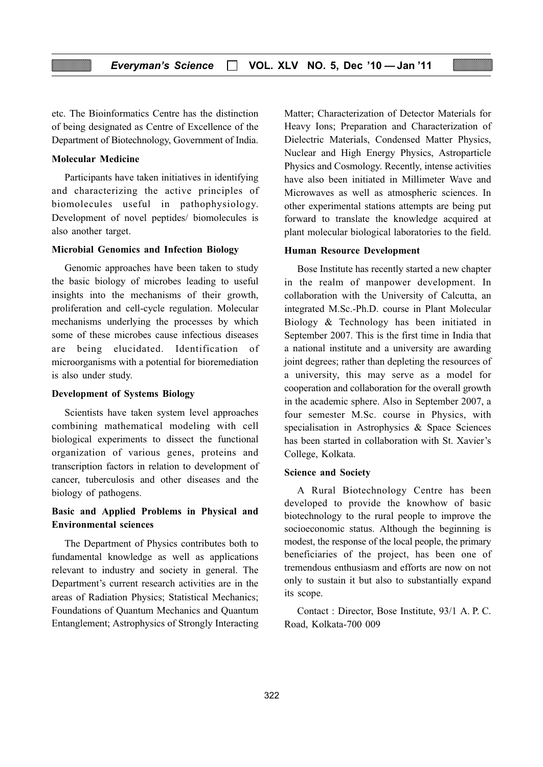etc. The Bioinformatics Centre has the distinction of being designated as Centre of Excellence of the Department of Biotechnology, Government of India.

#### Molecular Medicine

Participants have taken initiatives in identifying and characterizing the active principles of biomolecules useful in pathophysiology. Development of novel peptides/ biomolecules is also another target.

#### Microbial Genomics and Infection Biology

Genomic approaches have been taken to study the basic biology of microbes leading to useful insights into the mechanisms of their growth, proliferation and cell-cycle regulation. Molecular mechanisms underlying the processes by which some of these microbes cause infectious diseases are being elucidated. Identification of microorganisms with a potential for bioremediation is also under study.

#### Development of Systems Biology

Scientists have taken system level approaches combining mathematical modeling with cell biological experiments to dissect the functional organization of various genes, proteins and transcription factors in relation to development of cancer, tuberculosis and other diseases and the biology of pathogens.

## Basic and Applied Problems in Physical and Environmental sciences

The Department of Physics contributes both to fundamental knowledge as well as applications relevant to industry and society in general. The Department's current research activities are in the areas of Radiation Physics; Statistical Mechanics; Foundations of Quantum Mechanics and Quantum Entanglement; Astrophysics of Strongly Interacting Matter; Characterization of Detector Materials for Heavy Ions; Preparation and Characterization of Dielectric Materials, Condensed Matter Physics, Nuclear and High Energy Physics, Astroparticle Physics and Cosmology. Recently, intense activities have also been initiated in Millimeter Wave and Microwaves as well as atmospheric sciences. In other experimental stations attempts are being put forward to translate the knowledge acquired at plant molecular biological laboratories to the field.

#### Human Resource Development

Bose Institute has recently started a new chapter in the realm of manpower development. In collaboration with the University of Calcutta, an integrated M.Sc.-Ph.D. course in Plant Molecular Biology & Technology has been initiated in September 2007. This is the first time in India that a national institute and a university are awarding joint degrees; rather than depleting the resources of a university, this may serve as a model for cooperation and collaboration for the overall growth in the academic sphere. Also in September 2007, a four semester M.Sc. course in Physics, with specialisation in Astrophysics & Space Sciences has been started in collaboration with St. Xavier's College, Kolkata.

#### Science and Society

A Rural Biotechnology Centre has been developed to provide the knowhow of basic biotechnology to the rural people to improve the socioeconomic status. Although the beginning is modest, the response of the local people, the primary beneficiaries of the project, has been one of tremendous enthusiasm and efforts are now on not only to sustain it but also to substantially expand its scope.

Contact : Director, Bose Institute, 93/1 A. P. C. Road, Kolkata-700 009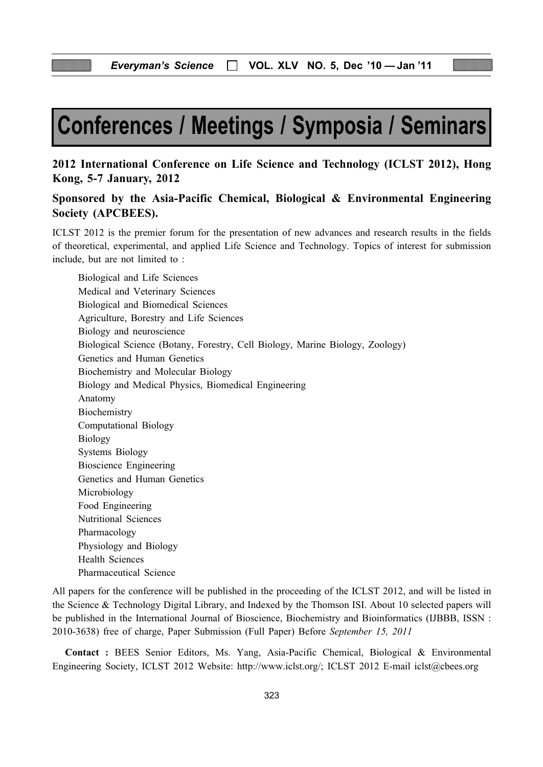# Conferences / Meetings / Symposia / Seminars

# 2012 International Conference on Life Science and Technology (ICLST 2012), Hong Kong, 5-7 January, 2012

# Sponsored by the Asia-Pacific Chemical, Biological & Environmental Engineering Society (APCBEES).

ICLST 2012 is the premier forum for the presentation of new advances and research results in the fields of theoretical, experimental, and applied Life Science and Technology. Topics of interest for submission include, but are not limited to :

Biological and Life Sciences Medical and Veterinary Sciences Biological and Biomedical Sciences Agriculture, Borestry and Life Sciences Biology and neuroscience Biological Science (Botany, Forestry, Cell Biology, Marine Biology, Zoology) Genetics and Human Genetics Biochemistry and Molecular Biology Biology and Medical Physics, Biomedical Engineering Anatomy Biochemistry Computational Biology Biology Systems Biology Bioscience Engineering Genetics and Human Genetics Microbiology Food Engineering Nutritional Sciences Pharmacology Physiology and Biology Health Sciences Pharmaceutical Science

All papers for the conference will be published in the proceeding of the ICLST 2012, and will be listed in the Science & Technology Digital Library, and Indexed by the Thomson ISI. About 10 selected papers will be published in the International Journal of Bioscience, Biochemistry and Bioinformatics (IJBBB, ISSN : 2010-3638) free of charge, Paper Submission (Full Paper) Before September 15, 2011

Contact : BEES Senior Editors, Ms. Yang, Asia-Pacific Chemical, Biological & Environmental Engineering Society, ICLST 2012 Website: http://www.iclst.org/; ICLST 2012 E-mail iclst@cbees.org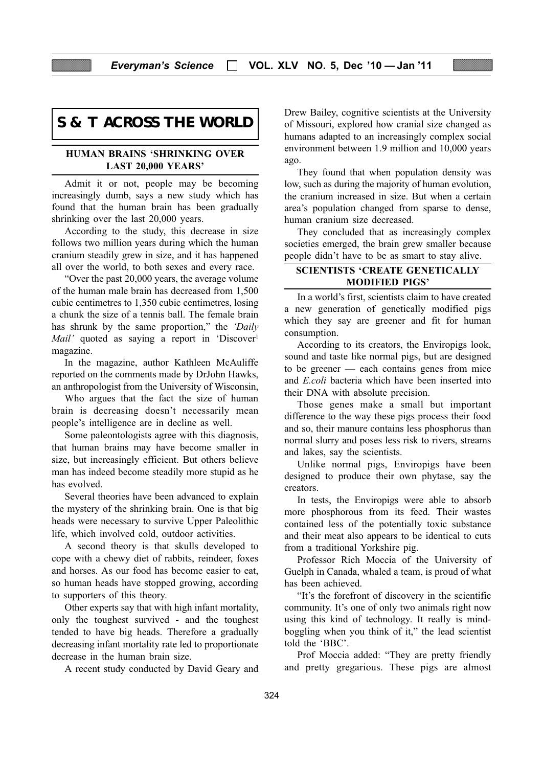# **S & T ACROSS THE WORLD**

#### HUMAN BRAINS 'SHRINKING OVER LAST 20,000 YEARS'

Admit it or not, people may be becoming increasingly dumb, says a new study which has found that the human brain has been gradually shrinking over the last 20,000 years.

According to the study, this decrease in size follows two million years during which the human cranium steadily grew in size, and it has happened all over the world, to both sexes and every race.

"Over the past 20,000 years, the average volume of the human male brain has decreased from 1,500 cubic centimetres to 1,350 cubic centimetres, losing a chunk the size of a tennis ball. The female brain has shrunk by the same proportion," the 'Daily Mail' quoted as saying a report in 'Discover<sup>1</sup> magazine.

In the magazine, author Kathleen McAuliffe reported on the comments made by DrJohn Hawks, an anthropologist from the University of Wisconsin,

Who argues that the fact the size of human brain is decreasing doesn't necessarily mean people's intelligence are in decline as well.

Some paleontologists agree with this diagnosis, that human brains may have become smaller in size, but increasingly efficient. But others believe man has indeed become steadily more stupid as he has evolved.

Several theories have been advanced to explain the mystery of the shrinking brain. One is that big heads were necessary to survive Upper Paleolithic life, which involved cold, outdoor activities.

A second theory is that skulls developed to cope with a chewy diet of rabbits, reindeer, foxes and horses. As our food has become easier to eat, so human heads have stopped growing, according to supporters of this theory.

Other experts say that with high infant mortality, only the toughest survived - and the toughest tended to have big heads. Therefore a gradually decreasing infant mortality rate led to proportionate decrease in the human brain size.

A recent study conducted by David Geary and

Drew Bailey, cognitive scientists at the University of Missouri, explored how cranial size changed as humans adapted to an increasingly complex social environment between 1.9 million and 10,000 years ago.

They found that when population density was low, such as during the majority of human evolution, the cranium increased in size. But when a certain area's population changed from sparse to dense, human cranium size decreased.

They concluded that as increasingly complex societies emerged, the brain grew smaller because people didn't have to be as smart to stay alive.

## SCIENTISTS 'CREATE GENETICALLY MODIFIED PIGS'

In a world's first, scientists claim to have created a new generation of genetically modified pigs which they say are greener and fit for human consumption.

According to its creators, the Enviropigs look, sound and taste like normal pigs, but are designed to be greener — each contains genes from mice and E.coli bacteria which have been inserted into their DNA with absolute precision.

Those genes make a small but important difference to the way these pigs process their food and so, their manure contains less phosphorus than normal slurry and poses less risk to rivers, streams and lakes, say the scientists.

Unlike normal pigs, Enviropigs have been designed to produce their own phytase, say the creators.

In tests, the Enviropigs were able to absorb more phosphorous from its feed. Their wastes contained less of the potentially toxic substance and their meat also appears to be identical to cuts from a traditional Yorkshire pig.

Professor Rich Moccia of the University of Guelph in Canada, whaled a team, is proud of what has been achieved.

"It's the forefront of discovery in the scientific community. It's one of only two animals right now using this kind of technology. It really is mindboggling when you think of it," the lead scientist told the 'BBC'.

Prof Moccia added: "They are pretty friendly and pretty gregarious. These pigs are almost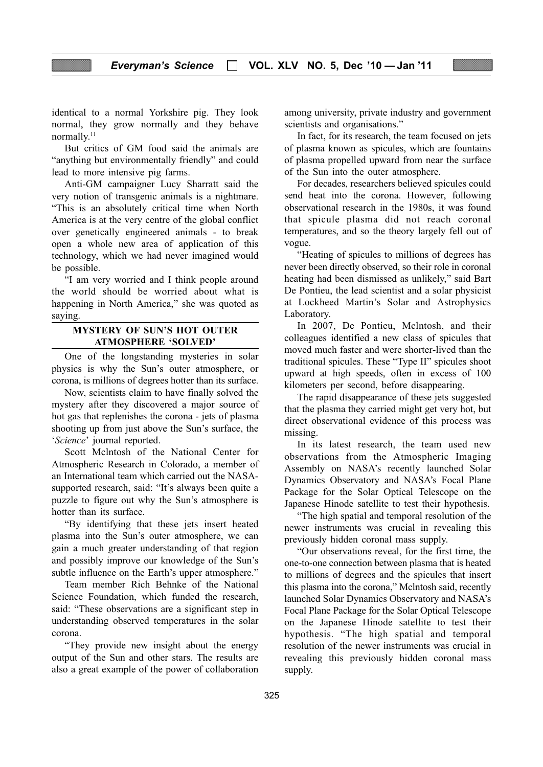identical to a normal Yorkshire pig. They look normal, they grow normally and they behave normally.11

But critics of GM food said the animals are "anything but environmentally friendly" and could lead to more intensive pig farms.

Anti-GM campaigner Lucy Sharratt said the very notion of transgenic animals is a nightmare. "This is an absolutely critical time when North America is at the very centre of the global conflict over genetically engineered animals - to break open a whole new area of application of this technology, which we had never imagined would be possible.

"I am very worried and I think people around the world should be worried about what is happening in North America," she was quoted as saying.

#### MYSTERY OF SUN'S HOT OUTER ATMOSPHERE 'SOLVED'

One of the longstanding mysteries in solar physics is why the Sun's outer atmosphere, or corona, is millions of degrees hotter than its surface.

Now, scientists claim to have finally solved the mystery after they discovered a major source of hot gas that replenishes the corona - jets of plasma shooting up from just above the Sun's surface, the 'Science' journal reported.

Scott Mclntosh of the National Center for Atmospheric Research in Colorado, a member of an International team which carried out the NASAsupported research, said: "It's always been quite a puzzle to figure out why the Sun's atmosphere is hotter than its surface.

"By identifying that these jets insert heated plasma into the Sun's outer atmosphere, we can gain a much greater understanding of that region and possibly improve our knowledge of the Sun's subtle influence on the Earth's upper atmosphere."

Team member Rich Behnke of the National Science Foundation, which funded the research, said: "These observations are a significant step in understanding observed temperatures in the solar corona.

"They provide new insight about the energy output of the Sun and other stars. The results are also a great example of the power of collaboration

among university, private industry and government scientists and organisations."

In fact, for its research, the team focused on jets of plasma known as spicules, which are fountains of plasma propelled upward from near the surface of the Sun into the outer atmosphere.

For decades, researchers believed spicules could send heat into the corona. However, following observational research in the 1980s, it was found that spicule plasma did not reach coronal temperatures, and so the theory largely fell out of vogue.

"Heating of spicules to millions of degrees has never been directly observed, so their role in coronal heating had been dismissed as unlikely," said Bart De Pontieu, the lead scientist and a solar physicist at Lockheed Martin's Solar and Astrophysics Laboratory.

In 2007, De Pontieu, Mclntosh, and their colleagues identified a new class of spicules that moved much faster and were shorter-lived than the traditional spicules. These "Type II" spicules shoot upward at high speeds, often in excess of 100 kilometers per second, before disappearing.

The rapid disappearance of these jets suggested that the plasma they carried might get very hot, but direct observational evidence of this process was missing.

In its latest research, the team used new observations from the Atmospheric Imaging Assembly on NASA's recently launched Solar Dynamics Observatory and NASA's Focal Plane Package for the Solar Optical Telescope on the Japanese Hinode satellite to test their hypothesis.

"The high spatial and temporal resolution of the newer instruments was crucial in revealing this previously hidden coronal mass supply.

"Our observations reveal, for the first time, the one-to-one connection between plasma that is heated to millions of degrees and the spicules that insert this plasma into the corona," Mclntosh said, recently launched Solar Dynamics Observatory and NASA's Focal Plane Package for the Solar Optical Telescope on the Japanese Hinode satellite to test their hypothesis. "The high spatial and temporal resolution of the newer instruments was crucial in revealing this previously hidden coronal mass supply.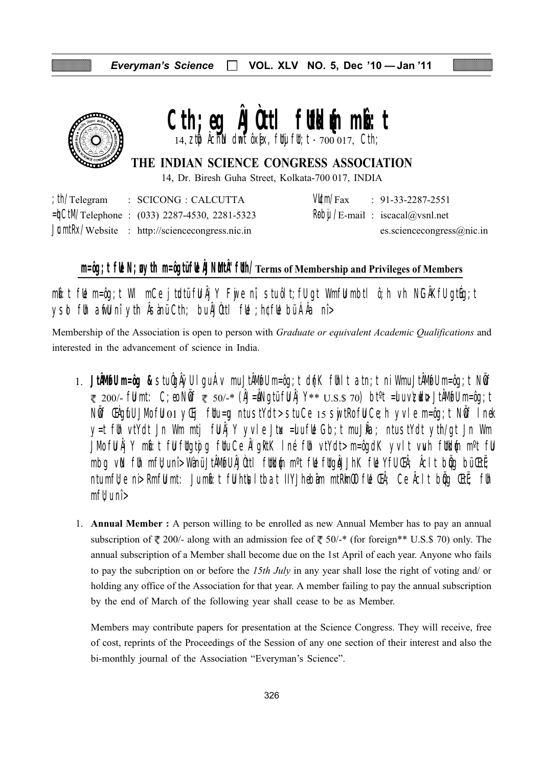

# $Cth$ ; eq  $\tilde{A}$  J Ott I fund the minor that

THE INDIAN SCIENCE CONGRESS ASSOCIATION

14, Dr. Biresh Guha Street, Kolkata-700 017, INDIA

| ; $\ln$ /Telegram | : SCICONG : CALCUTTA                                      |
|-------------------|-----------------------------------------------------------|
|                   | $=\frac{1}{2}$ CtM/Telephone : (033) 2287-4530, 2281-5323 |
|                   | <b>JumtRx/Website</b> : http://sciencecongress.nic.in     |

 $V\mathcal{L}m/Fax$  $: 91-33-2287-2551$  $R\theta$ bi /E-mail: iscacal@vsnl.net es.sciencecongress $@$ nic.in

# $m = \log t$  fle N; gyth  $m = \log t$  and  $\log t$  flukthand  $\log t$  referses the Membership and Privileges of Members

mb:t ful m=ôq;t WI mCe jtudtü ful Âj Y Fuje nî, stu ôl t; fu qt Wmful mbtl ô;h vh NGÂKfu qtuq;t **vsd fih aifil ni yth Åsànü Cth; bu ÅJÙttl file ; h¢fle bü ÁÅa ni>** 

Membership of the Association is open to person with Graduate or equivalent Academic Qualifications and interested in the advancement of science in India.

- 1. JtÂMGU m=ôg & stu ÔgÂÿU I qu Áv mu JtÂMGU m=ôg;t d{nK fUnIt atn;t ni Wmu JtÂMGU m=ôg;t NÖf  $\approx$  200/- fü mt: C; eo NÖf  $\approx$  50/- $*$  (ÂJ=ÂNgtü fü Âj Y $**$  U.S.\$ 70) bt<sup>o</sup>t =u u vizuda JtÂMofu m=ôg; t NÖf CHQrfU JMo fU 01 yCij fUu=q ntu stYdt> stu Ce 15 svjtRo fU Ce; h yvle m=ôq; t NÖf Inek y=t flh vtYdt Jn Wm mtj fljÅj Y yvle Jtx =lufle Gb;t muJla; ntustYdt yth/qt Jn Wm JMofUÄjY mbit fU fltgtojg fltuCeÄlgRtK Iné flh vtYdt>m=ôgdK yvIt vwh fltld{n m°t fU mbq vN fh mfl;uni>WanüJtAMflJAUttl flukum m°t flk fluqaJJhK flk YfU (EA; Acit bog bü(EtE; ntumfle ni Rmflumt: Jumb: t fluhthsItbat IIYJhebam mtRhn00 flu Ch; Ce AcIt big Ctte; flh  $m$ f $t$ , u nî $>$
- 1. **Annual Member**: A person willing to be enrolled as new Annual Member has to pay an annual subscription of  $\sqrt[m]{ }$  200/- along with an admission fee of  $\sqrt[m]{ }$  50/-\* (for foreign\*\* U.S.\$ 70) only. The annual subscription of a Member shall become due on the 1st April of each year. Anyone who fails to pay the subcription on or before the 15th July in any year shall lose the right of voting and/ or holding any office of the Association for that year. A member failing to pay the annual subscription by the end of March of the following year shall cease to be as Member.

Members may contribute papers for presentation at the Science Congress. They will receive, free of cost, reprints of the Proceedings of the Session of any one section of their interest and also the bi-monthly journal of the Association "Everyman's Science".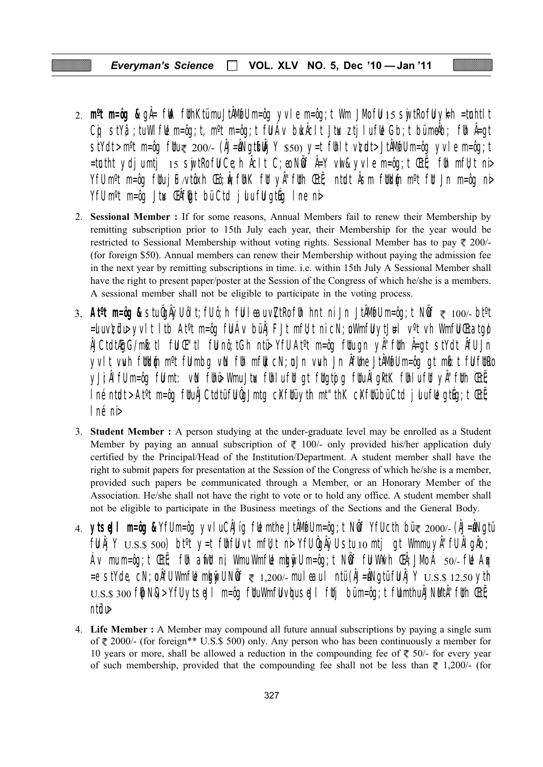VOL. XLV NO. 5, Dec '10 - Jan '11 **Everyman's Science** П

- 2.  $m^o$ t m=ôg & q $\hat{A}$ = ftA flthKtümuJt $\hat{A}$ MofUm=ôg yvle m=ôg;t Wm JMofU 15 sujtRofUykh =tmhtIt Cg stYâ ; tu Wifle m=ôq; t, m<sup>o</sup>t m=ôq; t fü Áv buk Åcit Jtux ztjiu fle Gb; t bümeÅb; flh Å=qt stYdt>m<sup>o</sup>t m=ôg füu₹ 200⁄- (ÂJ=ÂNgt**ifiÀj** Y \$50) y=t fihlt vþadt> JtÂMfulm=ôg yvle m=ôg;t triangleright that the med, the med, the fit that the suite of the the fit the fit is suite that the term in t YfU m°t m=ôg fUu j lF∧vtôxh Œô;Ŵ; fUnK fU yÂ''fUth ŒtË; ntodt Âsm fUdd{n m°t fU Jn m=ôg ni> YfU m<sup>o</sup>t m=ôg Jtw. Chfligt bü Ctd julu ful gtug Ine ni
- 2. Sessional Member: If for some reasons, Annual Members fail to renew their Membership by remitting subscription prior to 15th July each year, their Membership for the year would be restricted to Sessional Membership without voting rights. Sessional Member has to pay  $\sqrt{\sqrt{2}}$  200/-(for foreign \$50). Annual members can renew their Membership without paying the admission fee in the next year by remitting subscriptions in time, i.e. within 15th July A Sessional Member shall have the right to present paper/poster at the Session of the Congress of which he/she is a members. A sessional member shall not be eligible to participate in the voting process.
- 3. At<sup>o</sup>t m=ôg & stuÔgÅÿU ôlt; fU ô; h fU leau v∑tRo fUh hnt ni Jn JtÂMofU m=ôg; t NÔf ₹ 100/- bt<sup>o</sup>t =duvkölp yvlt ltb At<sup>o</sup>t m=ôg fü Áv büÅj FJt mfltt ni cN; uWmfü ytj#l v<sup>o</sup>t vh Wmfü Ctatgø ÂJCtdtÆgG/mb:tl fü Œ "tl fü nô;tGh ntü Yfü At°t m=ôg fülu gn y "füth Â=gt stYdt Âfü Jn yvlt vwh füldin m<sup>o</sup>t fülmba viN füh mfük cN;oJn vwh Jn Åfühe JtÅMofülm=ôq at mbi:t fülfürle yji; Âl fü m=ôg fü mt: vN fihö Wmu Jtx fihlufit gt fitgtoj g fitu Âl gitk fihlufit yÂ''fith Œtë; I né nt**al**t > At<sup>o</sup>t m=ôg fluAJCtdtüflJQJmtg cXfltüyth mt"thK cXfltübüCtd juluflk gt&g;t CtC; 1 né ni>
- 3. Student Member : A person studying at the under-graduate level may be enrolled as a Student Member by paying an annual subscription of  $\overline{\xi}$  100/- only provided his/her application duly certified by the Principal/Head of the Institution/Department. A student member shall have the right to submit papers for presentation at the Session of the Congress of which he/she is a member, provided such papers be communicated through a Member, or an Honorary Member of the Association. He/she shall not have the right to vote or to hold any office. A student member shall not be eligible to participate in the Business meetings of the Sections and the General Body.
- 4. **ytseJI m=ôg &** YfUm=ôg yvIuCÅJíg fik mthe JtÅMoTUm=ôg; t NÖf YfUcth bür 2000/- (ÅJ=ÅNgtü fü Âj Y U.S.\$ 500) bt<sup>o</sup>t y=t fühfü vt mfü;t ni Yfü ÔgÂÿü stu 10 mtj gt Wmmu yÂ''fü Âl gÂb; Av mu m=ôq;t ŒtË; fih anfit ni, Wmu Wmflė mlgniju m=ôq;t Niôf fil W¥vh ŒÅ;JMo Á  $50/$ -flè Aqx  $=$ e stYde, cN; påfU Wmfle mlanyU NÖf  $\approx 1,200/$ - mu I eau I ntü (ÂJ $=$ ÂNgtü fU Âj Y  $\rm U.S.S.$  12.50  $\gamma$ th U.S.\$ 300 f(bN&)> YfU ytseJI m=ôq fUuWmfU vhu seJI fUj büm=ôq;t fUmthuÅJNMtÅ''fUh (EtE; ntidu>
- 4. Life Member : A Member may compound all future annual subscriptions by paying a single sum of  $\overline{\xi}$  2000/- (for foreign\*\* U.S.\$ 500) only. Any person who has been continuously a member for 10 years or more, shall be allowed a reduction in the compounding fee of  $\overline{\xi}$  50/- for every year of such membership, provided that the compounding fee shall not be less than  $\bar{\xi}$  1,200/- (for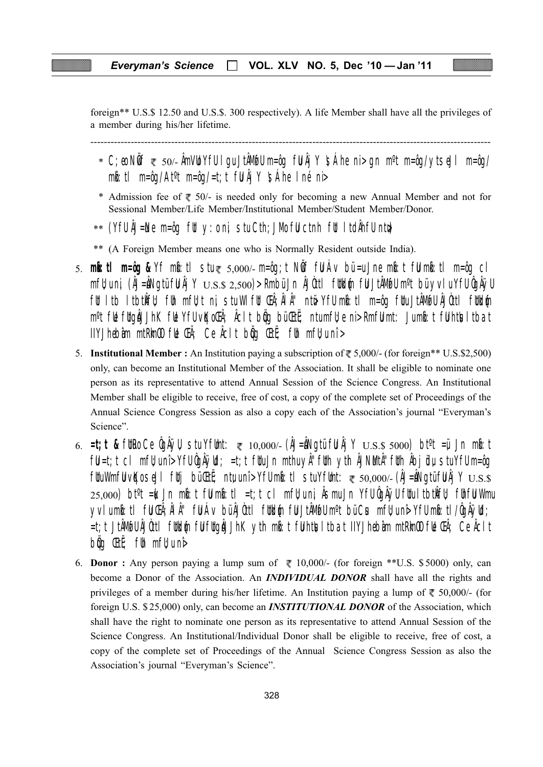foreign\*\* U.S.\$ 12.50 and U.S.\$. 300 respectively). A life Member shall have all the privileges of a member during his/her lifetime.

-----------------------------------------------------------------------------------------------------------------------

- $*$  C;eo NOf  $\in$  50/- AmVLo YfU I gu JtAMofU m=ôg fU Aj Y  $\sh$ Ahe ni> gn m $\thinspace$ °t m=ôg/ytseJl m=ôg/ mbi:tl m=ôg/At<sup>o</sup>t m=ôg/=t;t fUlÄjY \sÁhe Iné ni>
- \* Admission fee of  $\bar{\xi}$  50/- is needed only for becoming a new Annual Member and not for Sessional Member/Life Member/Institutional Member/Student Member/Donor.
- $*$  (YfU AJ=Ne m=ôg fUt y:o ni, stu Cth;JMo fU ctnh fUt ItdAhfU ntu)
- \*\* (A Foreign Member means one who is Normally Resident outside India).
- 5. **mkô:tl m=ôg &** Yf mkô:tl stu 5,000/- m=ôg;t NwÖf fuU Áv bü =u Jne mkô:t fuU mkô:tl m=ôg cl mfl); u ni, (ÂJ=ÂNgtü flJ Âj Y U.S.\$ 2,500)> Rmbü Jn ÂJÒttl flitkl{n flJ JtÂMoflJ m°t bü yvl u YflJ ÔgÂÿlJ füt ltb ltbtkÎfü; füh mfü;t ni, stu Wlfüt ŒÂ;ÂlÂ" ntü Yfü mb:tl m=ôg fütu JtÂMøfü ÂJÒttl fütkl{n m<sup>o</sup>t fl**e** fltgåJJhK fle YfU vĶoCh; Aclt bög bü CtË; ntumfl;e ni> RmfU mt: Jumb:t fU htlsltbat IIYJhebiam mtRkm $\mathbf{0}$  ful  $\mathbf{E}$   $k$ ; Ce  $k$ citi b $\mathbf{0}$ g  $\mathbf{E}$ t $k$ ; fuh mfU;u nî >
- 5. Institutional Member : An Institution paying a subscription of  $\sqrt[m]{\ }$  5,000/- (for foreign\*\* U.S.\$2,500) only, can become an Institutional Member of the Association. It shall be eligible to nominate one person as its representative to attend Annual Session of the Science Congress. An Institutional Member shall be eligible to receive, free of cost, a copy of the complete set of Proceedings of the Annual Science Congress Session as also a copy each of the Association's journal "Everyman's Science".
- 6. **=t;t & futr**o Ce ÔgÂÿU, stu YfUnt: ₹ 10,000/- (ÂJ=ÂNgtü fU Âj Y ∪.s.\$ 5000) bt<sup>o</sup>t =ü, Jn mbi:t  $f$ U =t;t cl mfl;unî> YfU ÔgÂÿld; =t;t fltuJn mthu yÂ''flth yth ÂJNMtÂ''flth Âbj üdu, stu YfU m=ôg  $f$ Uu WmfU vKo seJl fUtj bü ŒtË; ntu u nî> YfU mb $:$ tl stu YfUmt:  $\approx$  50,000/- (ÂJ=ÂNgtü fU Åj Y  $_{\rm U.S.S}$  $25,000$ ) bt $\mathfrak{t}$  =t Jn mbs:t fulmbs:tl =t;t cl mfU;uni, Åsmu Jn YfU ÔgÂÿU fUu ltbtlifU; fUhfu Wmu yvlu mb:tl fu ŒÂ;ÂlÂ" fu Áv bü ÂJÒttl futbin fu JtÂMøfu m°t bü Cus mfu;u nê Yfu mb:tl/ÔgÂÿud;  $=$ t;t JtÂM@U $\hat{A}$ JÒttl futbl $\hat{u}$  fuu futg $\hat{a}$ JhK yth mbot funtusltbat IIYJhebam mtRkm $\hat{u}$  fue ŒÂ; Ce Âclt  $b\hat{q}$ q ŒtË; f $\hat{p}$  mf $\hat{v}$  u n $\hat{p}$
- 6. **Donor :** Any person paying a lump sum of  $\sqrt[n]{\ }10,000/$  (for foreign \*\*U.S. \$5000) only, can become a Donor of the Association. An **INDIVIDUAL DONOR** shall have all the rights and privileges of a member during his/her lifetime. An Institution paying a lump of  $\overline{\xi}$  50,000/- (for foreign U.S. \$25,000) only, can become an *INSTITUTIONAL DONOR* of the Association, which shall have the right to nominate one person as its representative to attend Annual Session of the Science Congress. An Institutional/Individual Donor shall be eligible to receive, free of cost, a copy of the complete set of Proceedings of the Annual Science Congress Session as also the Association's journal "Everyman's Science".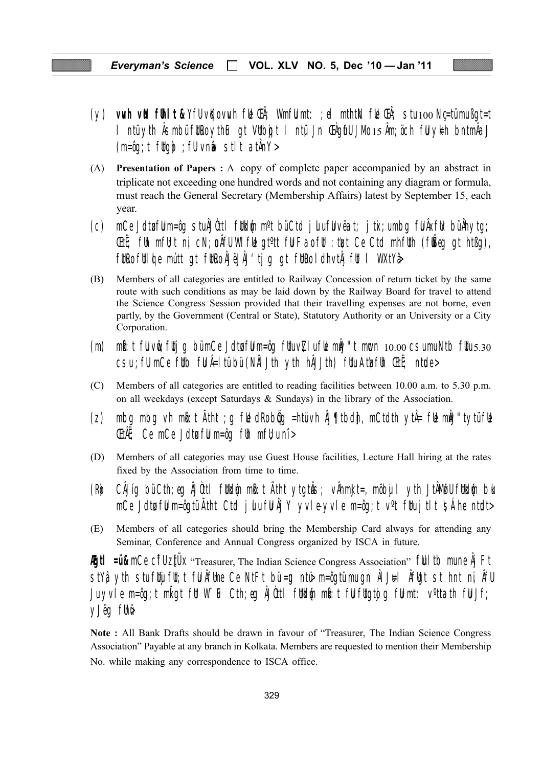- (y) **vuh vill fihit &** YfU vKovuh fill Ch<sup>2</sup>; WmfU mt: ;el mthtN fill Ch<sup>2</sup>; stu 100 Nc=tümußqt=t I ntü yth Âsmbü für ko ythe gt Vülbojt I ntü Jn Chgifu JMo 15 Åm; öch fü ykh bntmÅaJ  $(m=\hat{0}q; t$  fltg $\hat{0}$ ; flvnia stit athn $Y >$
- (A) Presentation of Papers : A copy of complete paper accompanied by an abstract in triplicate not exceeding one hundred words and not containing any diagram or formula, must reach the General Secretary (Membership Affairs) latest by September 15, each year.
- mCe JdtøfUm=ôq stu $\tilde{A}$ Jûttl fitkin m<sup>o</sup>t büCtd juufUvëat; jtix;umbq fU $\tilde{A}$ xfik bü $\tilde{A}$ hytq;  $(C)$ Citi; film mfilt ni, cN; u Afli Wilfle giott film Fao film: that Ce Ctd mhflith (filiseg gt htßg), füre fülde mútt at füre Ålejål'tja at füre lahviåj füll WXtYa
- (B) Members of all categories are entitled to Railway Concession of return ticket by the same route with such conditions as may be laid down by the Railway Board for travel to attend the Science Congress Session provided that their travelling expenses are not borne, even partly, by the Government (Central or State), Statutory Authority or an University or a City Corporation.
- $m$ i: t fil vir; fili q bümCe Jdia film=ôq filuv $\nabla$ lufile mi $\nabla$ ''t much 10.00 csumuNtb filus.30  $(m)$ csu; fü mCe füb fü Â=I tü bü (NÅI Jth yth hÅJJth) füu Atlefüh CtE; ntole>
- $(C)$ Members of all categories are entitled to reading facilities between 10.00 a.m. to 5.30 p.m. on all weekdays (except Saturdays & Sundays) in the library of the Association.
- mbq mbq vh m $\mathbf{h}$ : t  $\tilde{A}$ tht ; q f $\mathbf{t}$  dRob $\mathbf{\hat{q}}$ q =htüvh  $\tilde{A}$ ltbdh, mCtdth yt $\mathbf{\hat{A}}$ = f $\mathbf{t}$  m $\mathbf{\hat{m}}$ l'tytüf $\mathbf{t}$  $(Z)$ **Etherally**: Ce mCe Jdta full m=ôg full mft, u nî >
- (D) Members of all categories may use Guest House facilities, Lecture Hall hiring at the rates fixed by the Association from time to time.
- CÂJíg bü Cth; eg ÂJùtl füldin mit: t Ãtht ytgtås; vÂhmidt=, möby I yth JtÂMufu füldin bi (Ro mCe JdtøfUm=ôqtü Ätht Ctd julufU Åj Y yvle-yvle m=ôq;t v<sup>o</sup>t fUujtlt SÁhe nt**u**d>
- Members of all categories should bring the Membership Card always for attending any (E) Seminar, Conference and Annual Congress organized by ISCA in future.

**Agti** =  $\mathbf{u}_k$  mCe cifl zt  $\mathbf{u}_k$  "Treasurer, The Indian Science Congress Association" full tb mune  $\hat{\mathbf{A}}$  Ft stYậ yth stuftly flt;t fl Áflme Ce NtFt bù=g ntỏ m=ôqtümuqn Ál J#l Áflgt st hnt nị Áfl Ju yvle m=ôq;t mliqt fül WiF Cth;eq  $\hat{\mu}$ Uttl füldin mb:t fülfliqtiq fülmt: v°ttath fülJf; y Jeg fihw

Note : All Bank Drafts should be drawn in favour of "Treasurer, The Indian Science Congress Association" Payable at any branch in Kolkata. Members are requested to mention their Membership No. while making any correspondence to ISCA office.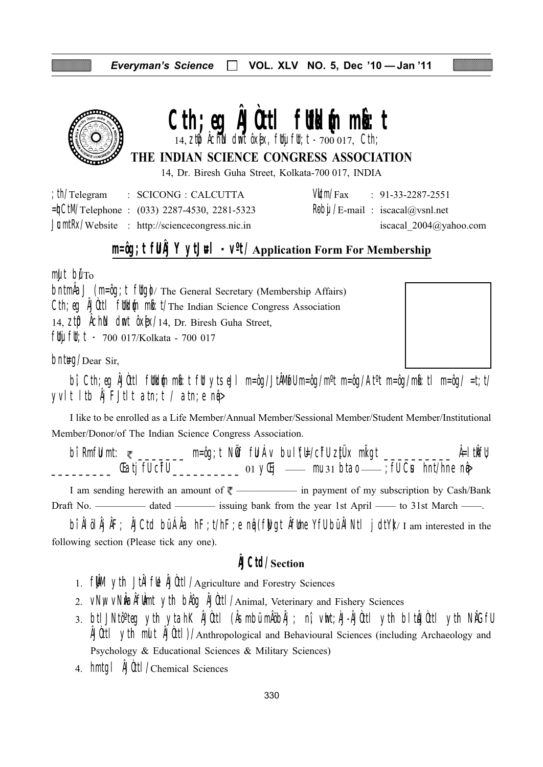

# 

14,  $z$ t $\phi$  Achin dmt  $\delta x$ [ $x$ , fltj flt; t -  $7000017$ , Cth;

# THE INDIAN SCIENCE CONGRESS ASSOCIATION

14, Dr. Biresh Guha Street, Kolkata-700 017, INDIA

| ; th/Telegram | : SCICONG : CALCUTTA                                      |  | $VU/m/Fax$ : 91-33-2287-2551                                                         |
|---------------|-----------------------------------------------------------|--|--------------------------------------------------------------------------------------|
|               | $=\n\text{CtM/Telephone}: (033) 2287 - 4530, 2281 - 5323$ |  | $\mathsf{R}\mathsf{b}\mathsf{b}\mathsf{u}/\mathsf{E}\text{-mail}$ : iscacal@vsnl.net |
|               | $J$ <b>c</b> mtRx/Website : http://sciencecongress.nic.in |  | iscacal $2004@$ yahoo.com                                                            |

# $m = \hat{q}$ ; t fu $\hat{A}$ j Y ytJ#l - v<sup>o</sup>t/Application Form For Membership

 $mult$  bu $T<sub>o</sub>$ 

 $\Delta$   $(m=\hat{q})$ ;  $\hat{r}$   $\hat{r}$   $\hat{r}$   $\hat{r}$   $\hat{r}$   $\hat{r}$   $\hat{r}$   $\hat{r}$   $\hat{r}$   $\hat{r}$   $\hat{r}$   $\hat{r}$   $\hat{r}$   $\hat{r}$   $\hat{r}$   $\hat{r}$   $\hat{r}$   $\hat{r}$   $\hat{r}$   $\hat{r}$   $\hat{r}$   $\hat{r}$   $\hat{r}$   $\hat{r}$   $\hat{r}$   $\hat{r}$ Cth; eq AJ0ttl fullelin mb: t/The Indian Science Congress Association 14, ZIO ACHAN dmt 0XEX/14, Dr. Biresh Guha Street,  $\int$ fltj flt; t - 700 017/Kolkata - 700 017

 $b$ nt#g/Dear Sir,



bi Cth; eq ÅJùttl füldin mi: t fü ytsejl m=ôq/JtÅMifUm=ôq/m<sup>o</sup>t m=ôq/At<sup>o</sup>t m=ôq/mi: tl m=ôq/ =t; t/ yvit itb  $\hat{A}$ j Fjtit atn; t / atn; e n $\hat{P}$ 

I like to be enrolled as a Life Member/Annual Member/Sessional Member/Student Member/Institutional Member/Donor/of The Indian Science Congress Association.

bi RmfU mt: ₹ \_\_\_\_\_\_\_ m=ôg;t NÖf fU Áv bu l'fli-/cifU z‡Üx mligt \_\_\_\_\_\_\_\_\_ Â=ltÂfU; 

I am sending herewith an amount of  $\overline{\xi}$  — in payment of my subscription by Cash/Bank 

bî Al öl Aj AF; AJCtd bü AAa  $hF$ ; t/hF; e nû (fwgt Aftme Yfu bü Al Ntl j dtY) I am interested in the following section (Please tick any one).

# **AJCtd/Section**

- 1. **film** yth Jtil full Dutt / Agriculture and Forestry Sciences
- 2. VNW VNWalifUmt yth blog AJ0ttl/Animal, Veterinary and Fishery Sciences
- 3. btl JNtô°teq yth ytahK ÅJ0ttl (ÅsmbümÅöbÅj ; nî, vht;ÅJ-ÅJ0ttl yth bltÅJ0ttl yth NÅGfU A fill vith mult A fill (Manthropological and Behavioural Sciences (including Archaeology and Psychology & Educational Sciences & Military Sciences)
- 4. hmtgl  $\frac{1}{2}$ Uttl/Chemical Sciences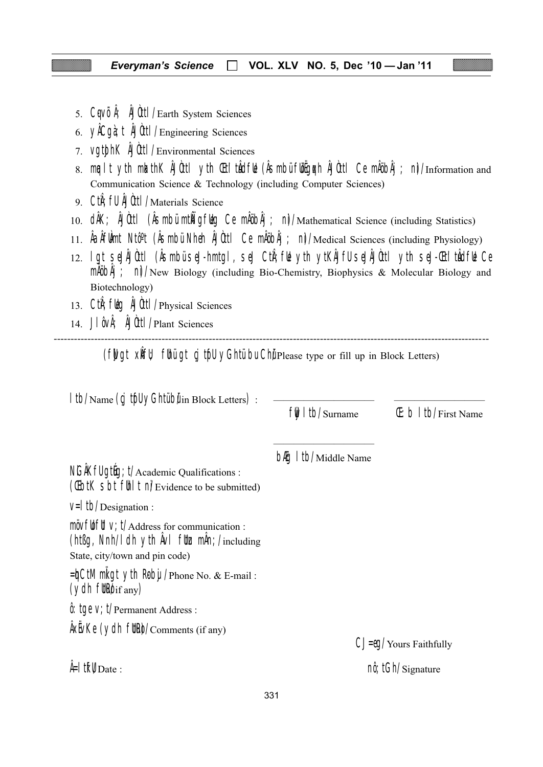- 5. CqvÕĥ; AJUtil / Earth System Sciences
- 6.  $\sqrt{ACq}$   $\hat{d}$ ;  $\hat{d}$   $\hat{d}$   $\hat{d}$   $\hat{d}$   $\hat{l}$   $\hat{l}$   $\hat{l}$   $\hat{l}$   $\hat{e}$   $\hat{f}$   $\hat{e}$   $\hat{f}$   $\hat{e}$   $\hat{f}$   $\hat{f}$   $\hat{f}$   $\hat{f}$   $\hat{f}$   $\hat{f}$   $\hat{f}$   $\hat{f}$   $\hat{f}$   $\hat{f}$   $\hat{f}$   $\hat{f}$   $\hat{$
- 7. VQt0hK AJ0tt1/Environmental Sciences
- 8. mealt yth mlathK ÅJUttl yth Cit' thdfle (Asmbüflegen AJUttl Ce mAöbAj; nJ/Information and Communication Science & Technology (including Computer Sciences)
- 9. Ctn: fll AJ0ttl / Materials Science
- 10. dÂK; ÂJÙtI (ÂSmbü mtÑigflèg Ce mÂöbÂj; n)/Mathematical Science (including Statistics)
- 11. Å alfülmt Ntô<sup>o</sup>t (*A*Smbü Nheh A Uttl Ce mÅöbÅj ; n)/Medical Sciences (including Physiology)
- 12. I gt seJÅJÙttl (ÅsmbüseJ-hmtgl, seJ CtÅ; fle yth ytKÅJflJ seJÅJÙttl yth seJ-Cti' tådfle Ce  $m\hat{A}$  $\hat{B}$  $\hat{A}$  $\hat{B}$   $\hat{C}$   $\hat{A}$   $\hat{C}$   $\hat{C}$   $\hat{C}$   $\hat{C}$   $\hat{C}$   $\hat{C}$   $\hat{C}$   $\hat{C}$   $\hat{C}$   $\hat{C}$   $\hat{C}$   $\hat{C}$   $\hat{C}$   $\hat{C}$   $\hat{C}$   $\hat{C}$   $\hat{C}$   $\hat{C}$   $\hat{C}$   $\hat{C}$   $\hat{C}$   $\hat{C}$ Biotechnology)
- 13. Ctn; fleg AJOttl / Physical Sciences
- 14. JI OvÅ; A Ott I / Plant Sciences

(flugt xlift) flhügt cj trill yGhtü bu Chü Please type or fill up in Block Letters)

| I tb/Name (cj trfl yGhtübilin Block Letters) :                                                                                                                     | $\frac{f}{f}$   tb/Surname             | $E: b$ I tb/First Name                    |
|--------------------------------------------------------------------------------------------------------------------------------------------------------------------|----------------------------------------|-------------------------------------------|
| NGAKfU gthg; t/Academic Qualifications:<br>(Cibil Sbt fill I ni/Evidence to be submitted)                                                                          | <b>b<sub>f</sub>g</b> I tb/Middle Name |                                           |
| $V=$   tb/Designation :                                                                                                                                            |                                        |                                           |
| $m\ddot{o}v$ full V; $t/A$ ddress for communication :<br>(ht $\beta g$ , Nnh/I dh yth $\hat{A}vI$ flte m $\hat{A}n$ ; /including<br>State, city/town and pin code) |                                        |                                           |
| $=\n{\text{d}}$ CtM mligt yth Roby / Phone No. & E-mail:<br>$(ydh$ fltR $y$ <sub>if any</sub> )                                                                    |                                        |                                           |
| $\hat{\theta}$ : tqe V; t/Permanent Address :                                                                                                                      |                                        |                                           |
| $\frac{1}{2}$ AxEvKe (ydh fltRe)/Comments (if any)                                                                                                                 |                                        | $CJ = \theta Q / \text{Yours}$ Faithfully |
| $\frac{1}{2}$ if $\mathsf{W}_{\mathrm{Date}}$ :                                                                                                                    |                                        | $n\hat{\theta}$ ; tGh/Signature           |